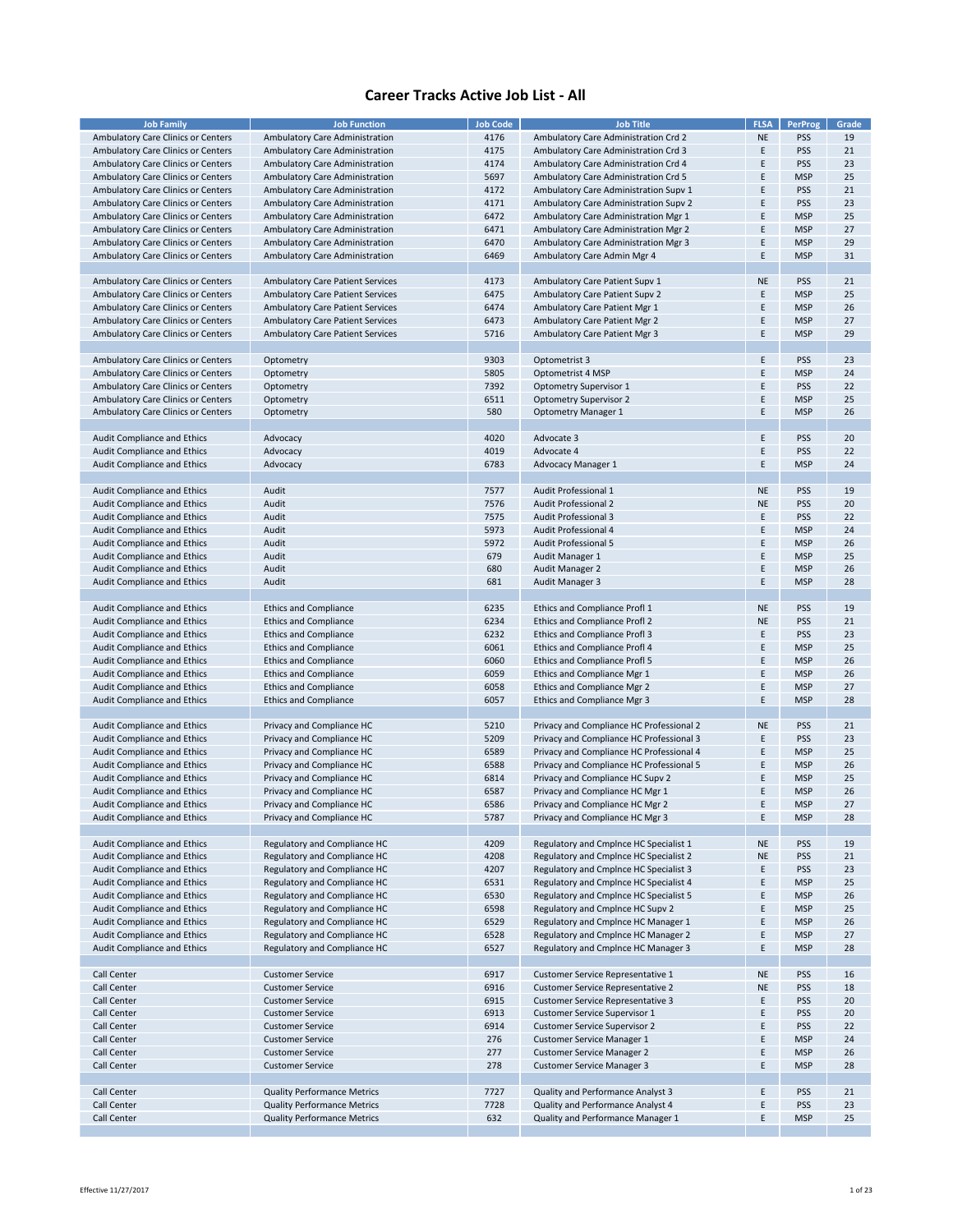| <b>Job Family</b>                         | <b>Job Function</b>                     | <b>Job Code</b> | <b>Job Title</b>                         | <b>FLSA</b> | PerProg    | Grade |
|-------------------------------------------|-----------------------------------------|-----------------|------------------------------------------|-------------|------------|-------|
|                                           |                                         |                 |                                          |             | <b>PSS</b> | 19    |
| Ambulatory Care Clinics or Centers        | Ambulatory Care Administration          | 4176            | Ambulatory Care Administration Crd 2     | <b>NE</b>   |            |       |
| Ambulatory Care Clinics or Centers        | Ambulatory Care Administration          | 4175            | Ambulatory Care Administration Crd 3     | Ε           | <b>PSS</b> | 21    |
| Ambulatory Care Clinics or Centers        | Ambulatory Care Administration          | 4174            | Ambulatory Care Administration Crd 4     | E           | <b>PSS</b> | 23    |
| Ambulatory Care Clinics or Centers        | Ambulatory Care Administration          | 5697            | Ambulatory Care Administration Crd 5     | E           | <b>MSP</b> | 25    |
| Ambulatory Care Clinics or Centers        | Ambulatory Care Administration          | 4172            | Ambulatory Care Administration Supv 1    | F           | <b>PSS</b> | 21    |
| Ambulatory Care Clinics or Centers        | Ambulatory Care Administration          | 4171            | Ambulatory Care Administration Supv 2    | E           | <b>PSS</b> | 23    |
|                                           |                                         |                 |                                          |             |            |       |
| Ambulatory Care Clinics or Centers        | Ambulatory Care Administration          | 6472            | Ambulatory Care Administration Mgr 1     | E           | <b>MSP</b> | 25    |
| <b>Ambulatory Care Clinics or Centers</b> | Ambulatory Care Administration          | 6471            | Ambulatory Care Administration Mgr 2     | E           | <b>MSP</b> | 27    |
| Ambulatory Care Clinics or Centers        | Ambulatory Care Administration          | 6470            | Ambulatory Care Administration Mgr 3     | Ε           | <b>MSP</b> | 29    |
| Ambulatory Care Clinics or Centers        | Ambulatory Care Administration          | 6469            | Ambulatory Care Admin Mgr 4              | Ε           | <b>MSP</b> | 31    |
|                                           |                                         |                 |                                          |             |            |       |
|                                           |                                         |                 |                                          | <b>NE</b>   | <b>PSS</b> | 21    |
| Ambulatory Care Clinics or Centers        | <b>Ambulatory Care Patient Services</b> | 4173            | Ambulatory Care Patient Supv 1           |             |            |       |
| Ambulatory Care Clinics or Centers        | <b>Ambulatory Care Patient Services</b> | 6475            | Ambulatory Care Patient Supv 2           | E           | <b>MSP</b> | 25    |
| Ambulatory Care Clinics or Centers        | <b>Ambulatory Care Patient Services</b> | 6474            | Ambulatory Care Patient Mgr 1            | E           | <b>MSP</b> | 26    |
| Ambulatory Care Clinics or Centers        | <b>Ambulatory Care Patient Services</b> | 6473            | Ambulatory Care Patient Mgr 2            | E           | <b>MSP</b> | 27    |
| Ambulatory Care Clinics or Centers        | <b>Ambulatory Care Patient Services</b> | 5716            | Ambulatory Care Patient Mgr 3            | Ε           | <b>MSP</b> | 29    |
|                                           |                                         |                 |                                          |             |            |       |
|                                           |                                         |                 |                                          |             |            |       |
| Ambulatory Care Clinics or Centers        | Optometry                               | 9303            | Optometrist 3                            | E           | <b>PSS</b> | 23    |
| Ambulatory Care Clinics or Centers        | Optometry                               | 5805            | Optometrist 4 MSP                        | E           | <b>MSP</b> | 24    |
| Ambulatory Care Clinics or Centers        | Optometry                               | 7392            | <b>Optometry Supervisor 1</b>            | F           | <b>PSS</b> | 22    |
| Ambulatory Care Clinics or Centers        | Optometry                               | 6511            | <b>Optometry Supervisor 2</b>            | E           | <b>MSP</b> | 25    |
| Ambulatory Care Clinics or Centers        | Optometry                               | 580             | <b>Optometry Manager 1</b>               | Ε           | <b>MSP</b> | 26    |
|                                           |                                         |                 |                                          |             |            |       |
|                                           |                                         |                 |                                          |             |            |       |
| Audit Compliance and Ethics               | Advocacy                                | 4020            | Advocate 3                               | E           | <b>PSS</b> | 20    |
| Audit Compliance and Ethics               | Advocacy                                | 4019            | Advocate 4                               | E           | <b>PSS</b> | 22    |
| Audit Compliance and Ethics               | Advocacy                                | 6783            | <b>Advocacy Manager 1</b>                | E           | <b>MSP</b> | 24    |
|                                           |                                         |                 |                                          |             |            |       |
| Audit Compliance and Ethics               | Audit                                   | 7577            | Audit Professional 1                     | <b>NE</b>   | <b>PSS</b> | 19    |
|                                           |                                         |                 |                                          |             |            |       |
| Audit Compliance and Ethics               | Audit                                   | 7576            | Audit Professional 2                     | <b>NE</b>   | <b>PSS</b> | 20    |
| Audit Compliance and Ethics               | Audit                                   | 7575            | <b>Audit Professional 3</b>              | E           | <b>PSS</b> | 22    |
| Audit Compliance and Ethics               | Audit                                   | 5973            | Audit Professional 4                     | E           | <b>MSP</b> | 24    |
| Audit Compliance and Ethics               | Audit                                   | 5972            | <b>Audit Professional 5</b>              | E           | <b>MSP</b> | 26    |
| Audit Compliance and Ethics               | Audit                                   | 679             | Audit Manager 1                          | E           | <b>MSP</b> | 25    |
|                                           |                                         |                 |                                          |             |            |       |
| Audit Compliance and Ethics               | Audit                                   | 680             | Audit Manager 2                          | Ε           | <b>MSP</b> | 26    |
| Audit Compliance and Ethics               | Audit                                   | 681             | Audit Manager 3                          | Ε           | <b>MSP</b> | 28    |
|                                           |                                         |                 |                                          |             |            |       |
| Audit Compliance and Ethics               | <b>Ethics and Compliance</b>            | 6235            | Ethics and Compliance Profl 1            | <b>NE</b>   | <b>PSS</b> | 19    |
| Audit Compliance and Ethics               | <b>Ethics and Compliance</b>            | 6234            | <b>Ethics and Compliance Profl 2</b>     | <b>NE</b>   | <b>PSS</b> | 21    |
| Audit Compliance and Ethics               | <b>Ethics and Compliance</b>            | 6232            | Ethics and Compliance Profl 3            | Ε           | <b>PSS</b> | 23    |
|                                           |                                         |                 |                                          |             |            |       |
| Audit Compliance and Ethics               | <b>Ethics and Compliance</b>            | 6061            | Ethics and Compliance Profl 4            | F           | <b>MSP</b> | 25    |
| Audit Compliance and Ethics               | <b>Ethics and Compliance</b>            | 6060            | <b>Ethics and Compliance Profl 5</b>     | E           | <b>MSP</b> | 26    |
| Audit Compliance and Ethics               | <b>Ethics and Compliance</b>            | 6059            | Ethics and Compliance Mgr 1              | E           | <b>MSP</b> | 26    |
| Audit Compliance and Ethics               | <b>Ethics and Compliance</b>            | 6058            | Ethics and Compliance Mgr 2              | E           | <b>MSP</b> | 27    |
| Audit Compliance and Ethics               | <b>Ethics and Compliance</b>            | 6057            | Ethics and Compliance Mgr 3              | Ε           | <b>MSP</b> | 28    |
|                                           |                                         |                 |                                          |             |            |       |
|                                           |                                         |                 | Privacy and Compliance HC Professional 2 |             |            |       |
| Audit Compliance and Ethics               | Privacy and Compliance HC               | 5210            |                                          | <b>NE</b>   | <b>PSS</b> | 21    |
| Audit Compliance and Ethics               | Privacy and Compliance HC               | 5209            | Privacy and Compliance HC Professional 3 | E           | <b>PSS</b> | 23    |
| Audit Compliance and Ethics               | Privacy and Compliance HC               | 6589            | Privacy and Compliance HC Professional 4 | E           | <b>MSP</b> | 25    |
| Audit Compliance and Ethics               | Privacy and Compliance HC               | 6588            | Privacy and Compliance HC Professional 5 | Ε           | <b>MSP</b> | 26    |
| Audit Compliance and Ethics               | Privacy and Compliance HC               | 6814            | Privacy and Compliance HC Supv 2         | E           | <b>MSP</b> | 25    |
| Audit Compliance and Ethics               | Privacy and Compliance HC               | 6587            | Privacy and Compliance HC Mgr 1          | E           | <b>MSP</b> | 26    |
| Audit Compliance and Ethics               |                                         |                 |                                          | E           |            | 27    |
|                                           | Privacy and Compliance HC               | 6586            | Privacy and Compliance HC Mgr 2          |             | <b>MSP</b> |       |
| Audit Compliance and Ethics               | Privacy and Compliance HC               | 5787            | Privacy and Compliance HC Mgr 3          | Ε           | <b>MSP</b> | 28    |
|                                           |                                         |                 |                                          |             |            |       |
| Audit Compliance and Ethics               | Regulatory and Compliance HC            | 4209            | Regulatory and Cmplnce HC Specialist 1   | <b>NE</b>   | <b>PSS</b> | 19    |
| Audit Compliance and Ethics               | Regulatory and Compliance HC            | 4208            | Regulatory and Cmplnce HC Specialist 2   | <b>NE</b>   | PSS        | 21    |
| Audit Compliance and Ethics               | Regulatory and Compliance HC            | 4207            | Regulatory and Cmplnce HC Specialist 3   | Ε           | <b>PSS</b> | 23    |
| Audit Compliance and Ethics               | Regulatory and Compliance HC            | 6531            | Regulatory and Cmplnce HC Specialist 4   | E           | <b>MSP</b> | 25    |
|                                           |                                         |                 |                                          |             |            |       |
| Audit Compliance and Ethics               | Regulatory and Compliance HC            | 6530            | Regulatory and Cmplnce HC Specialist 5   | Ε           | <b>MSP</b> | 26    |
| Audit Compliance and Ethics               | Regulatory and Compliance HC            | 6598            | Regulatory and Cmplnce HC Supv 2         | E           | <b>MSP</b> | 25    |
| Audit Compliance and Ethics               | Regulatory and Compliance HC            | 6529            | Regulatory and Cmplnce HC Manager 1      | E           | <b>MSP</b> | 26    |
| Audit Compliance and Ethics               | Regulatory and Compliance HC            | 6528            | Regulatory and Cmplnce HC Manager 2      | Ε           | <b>MSP</b> | 27    |
| Audit Compliance and Ethics               | Regulatory and Compliance HC            | 6527            | Regulatory and Cmplnce HC Manager 3      | Ε           | <b>MSP</b> | 28    |
|                                           |                                         |                 |                                          |             |            |       |
| Call Center                               | <b>Customer Service</b>                 | 6917            | Customer Service Representative 1        | <b>NE</b>   | <b>PSS</b> | 16    |
|                                           |                                         |                 |                                          |             |            |       |
| Call Center                               | <b>Customer Service</b>                 | 6916            | <b>Customer Service Representative 2</b> | <b>NE</b>   | PSS        | 18    |
| <b>Call Center</b>                        | <b>Customer Service</b>                 | 6915            | <b>Customer Service Representative 3</b> | E           | <b>PSS</b> | 20    |
| Call Center                               | <b>Customer Service</b>                 | 6913            | <b>Customer Service Supervisor 1</b>     | E           | <b>PSS</b> | 20    |
| Call Center                               | <b>Customer Service</b>                 | 6914            | <b>Customer Service Supervisor 2</b>     | Ε           | <b>PSS</b> | 22    |
| Call Center                               | <b>Customer Service</b>                 | 276             | Customer Service Manager 1               | E           | <b>MSP</b> | 24    |
| Call Center                               | <b>Customer Service</b>                 | 277             | <b>Customer Service Manager 2</b>        | E           | <b>MSP</b> | 26    |
|                                           |                                         |                 |                                          |             |            |       |
| <b>Call Center</b>                        | <b>Customer Service</b>                 | 278             | <b>Customer Service Manager 3</b>        | Ε           | <b>MSP</b> | 28    |
|                                           |                                         |                 |                                          |             |            |       |
| Call Center                               | <b>Quality Performance Metrics</b>      | 7727            | Quality and Performance Analyst 3        | E           | <b>PSS</b> | 21    |
| Call Center                               | <b>Quality Performance Metrics</b>      | 7728            | Quality and Performance Analyst 4        | Ε           | <b>PSS</b> | 23    |
| Call Center                               | <b>Quality Performance Metrics</b>      | 632             | Quality and Performance Manager 1        | E           | <b>MSP</b> | 25    |
|                                           |                                         |                 |                                          |             |            |       |
|                                           |                                         |                 |                                          |             |            |       |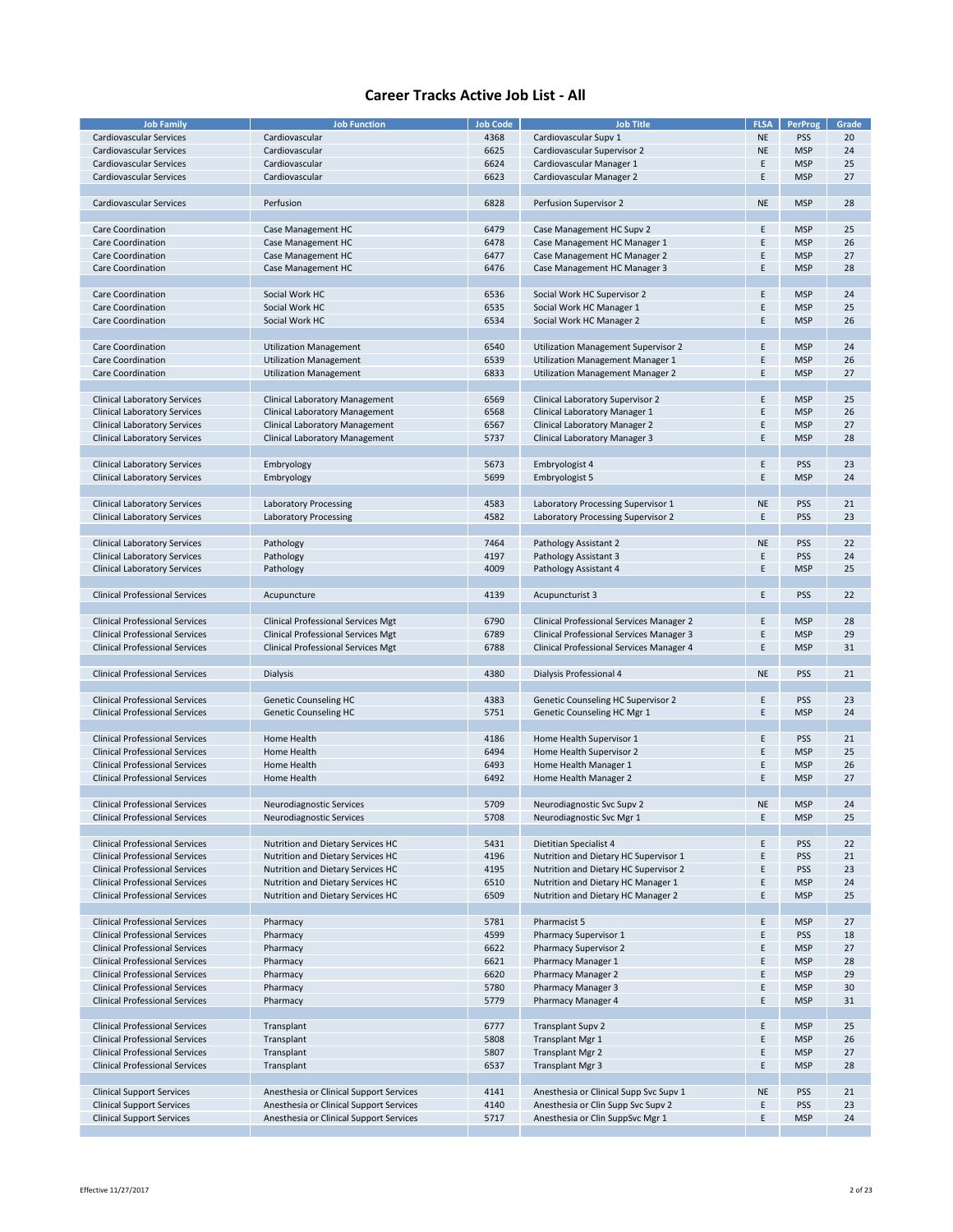| <b>Job Family</b>                     | <b>Job Function</b>                       | <b>Job Code</b> | <b>Job Title</b>                         | <b>FLSA</b> | <b>PerProg</b> | Grade |
|---------------------------------------|-------------------------------------------|-----------------|------------------------------------------|-------------|----------------|-------|
|                                       |                                           |                 | Cardiovascular Supv 1                    | <b>NE</b>   | <b>PSS</b>     | 20    |
| Cardiovascular Services               | Cardiovascular                            | 4368            |                                          |             |                |       |
| Cardiovascular Services               | Cardiovascular                            | 6625            | Cardiovascular Supervisor 2              | NE          | <b>MSP</b>     | 24    |
| <b>Cardiovascular Services</b>        | Cardiovascular                            | 6624            | Cardiovascular Manager 1                 | E           | <b>MSP</b>     | 25    |
| Cardiovascular Services               | Cardiovascular                            | 6623            | Cardiovascular Manager 2                 | Ε           | <b>MSP</b>     | 27    |
|                                       |                                           |                 |                                          |             |                |       |
| Cardiovascular Services               | Perfusion                                 | 6828            | Perfusion Supervisor 2                   | <b>NE</b>   | <b>MSP</b>     | 28    |
|                                       |                                           |                 |                                          |             |                |       |
|                                       |                                           |                 |                                          |             |                |       |
| Care Coordination                     | Case Management HC                        | 6479            | Case Management HC Supv 2                | E           | <b>MSP</b>     | 25    |
| Care Coordination                     | Case Management HC                        | 6478            | Case Management HC Manager 1             | Ε           | <b>MSP</b>     | 26    |
| <b>Care Coordination</b>              | Case Management HC                        | 6477            | Case Management HC Manager 2             | F           | <b>MSP</b>     | 27    |
| Care Coordination                     | Case Management HC                        | 6476            | Case Management HC Manager 3             | E           | <b>MSP</b>     | 28    |
|                                       |                                           |                 |                                          |             |                |       |
| Care Coordination                     | Social Work HC                            | 6536            | Social Work HC Supervisor 2              | E           | <b>MSP</b>     | 24    |
|                                       |                                           |                 |                                          |             |                |       |
| Care Coordination                     | Social Work HC                            | 6535            | Social Work HC Manager 1                 | E           | <b>MSP</b>     | 25    |
| <b>Care Coordination</b>              | Social Work HC                            | 6534            | Social Work HC Manager 2                 | E           | <b>MSP</b>     | 26    |
|                                       |                                           |                 |                                          |             |                |       |
| <b>Care Coordination</b>              | <b>Utilization Management</b>             | 6540            | Utilization Management Supervisor 2      | E           | <b>MSP</b>     | 24    |
| <b>Care Coordination</b>              | <b>Utilization Management</b>             | 6539            | Utilization Management Manager 1         | E           | <b>MSP</b>     | 26    |
| <b>Care Coordination</b>              | <b>Utilization Management</b>             | 6833            | Utilization Management Manager 2         | E           | <b>MSP</b>     | 27    |
|                                       |                                           |                 |                                          |             |                |       |
|                                       |                                           |                 |                                          |             |                |       |
| <b>Clinical Laboratory Services</b>   | <b>Clinical Laboratory Management</b>     | 6569            | Clinical Laboratory Supervisor 2         | Ε           | <b>MSP</b>     | 25    |
| <b>Clinical Laboratory Services</b>   | <b>Clinical Laboratory Management</b>     | 6568            | Clinical Laboratory Manager 1            | E           | <b>MSP</b>     | 26    |
| <b>Clinical Laboratory Services</b>   | <b>Clinical Laboratory Management</b>     | 6567            | Clinical Laboratory Manager 2            | E           | <b>MSP</b>     | 27    |
| <b>Clinical Laboratory Services</b>   | <b>Clinical Laboratory Management</b>     | 5737            | Clinical Laboratory Manager 3            | E           | <b>MSP</b>     | 28    |
|                                       |                                           |                 |                                          |             |                |       |
| <b>Clinical Laboratory Services</b>   |                                           | 5673            |                                          | Ε           | <b>PSS</b>     | 23    |
|                                       | Embryology                                |                 | Embryologist 4                           |             |                |       |
| <b>Clinical Laboratory Services</b>   | Embryology                                | 5699            | Embryologist 5                           | E           | <b>MSP</b>     | 24    |
|                                       |                                           |                 |                                          |             |                |       |
| <b>Clinical Laboratory Services</b>   | <b>Laboratory Processing</b>              | 4583            | Laboratory Processing Supervisor 1       | <b>NE</b>   | <b>PSS</b>     | 21    |
| <b>Clinical Laboratory Services</b>   | <b>Laboratory Processing</b>              | 4582            | Laboratory Processing Supervisor 2       | E           | <b>PSS</b>     | 23    |
|                                       |                                           |                 |                                          |             |                |       |
|                                       |                                           | 7464            |                                          | NE          | <b>PSS</b>     | 22    |
| <b>Clinical Laboratory Services</b>   | Pathology                                 |                 | Pathology Assistant 2                    |             |                |       |
| <b>Clinical Laboratory Services</b>   | Pathology                                 | 4197            | Pathology Assistant 3                    | E           | <b>PSS</b>     | 24    |
| <b>Clinical Laboratory Services</b>   | Pathology                                 | 4009            | Pathology Assistant 4                    | E           | <b>MSP</b>     | 25    |
|                                       |                                           |                 |                                          |             |                |       |
| <b>Clinical Professional Services</b> | Acupuncture                               | 4139            | Acupuncturist 3                          | Ε           | <b>PSS</b>     | 22    |
|                                       |                                           |                 |                                          |             |                |       |
| <b>Clinical Professional Services</b> | <b>Clinical Professional Services Mgt</b> | 6790            | Clinical Professional Services Manager 2 | E           | <b>MSP</b>     | 28    |
|                                       |                                           |                 |                                          |             |                |       |
| <b>Clinical Professional Services</b> | <b>Clinical Professional Services Mgt</b> | 6789            | Clinical Professional Services Manager 3 | E           | <b>MSP</b>     | 29    |
| <b>Clinical Professional Services</b> | <b>Clinical Professional Services Mgt</b> | 6788            | Clinical Professional Services Manager 4 | E           | <b>MSP</b>     | 31    |
|                                       |                                           |                 |                                          |             |                |       |
| <b>Clinical Professional Services</b> | <b>Dialysis</b>                           | 4380            | Dialysis Professional 4                  | <b>NE</b>   | <b>PSS</b>     | 21    |
|                                       |                                           |                 |                                          |             |                |       |
| <b>Clinical Professional Services</b> | <b>Genetic Counseling HC</b>              | 4383            | Genetic Counseling HC Supervisor 2       | Ε           | <b>PSS</b>     | 23    |
| <b>Clinical Professional Services</b> |                                           | 5751            |                                          | E           | <b>MSP</b>     | 24    |
|                                       | <b>Genetic Counseling HC</b>              |                 | Genetic Counseling HC Mgr 1              |             |                |       |
|                                       |                                           |                 |                                          |             |                |       |
| <b>Clinical Professional Services</b> | Home Health                               | 4186            | Home Health Supervisor 1                 | E           | <b>PSS</b>     | 21    |
| <b>Clinical Professional Services</b> | Home Health                               | 6494            | Home Health Supervisor 2                 | E           | <b>MSP</b>     | 25    |
| <b>Clinical Professional Services</b> | Home Health                               | 6493            | Home Health Manager 1                    | Ε           | <b>MSP</b>     | 26    |
| <b>Clinical Professional Services</b> | Home Health                               | 6492            | Home Health Manager 2                    | E           | <b>MSP</b>     | 27    |
|                                       |                                           |                 |                                          |             |                |       |
| <b>Clinical Professional Services</b> |                                           | 5709            |                                          | <b>NE</b>   | <b>MSP</b>     | 24    |
|                                       | Neurodiagnostic Services                  |                 | Neurodiagnostic Svc Supv 2               |             |                |       |
| Clinical Professional Services        | Neurodiagnostic Services                  | 5708            | Neurodiagnostic Svc Mgr 1                | E           | <b>MSP</b>     | 25    |
|                                       |                                           |                 |                                          |             |                |       |
| <b>Clinical Professional Services</b> | Nutrition and Dietary Services HC         | 5431            | Dietitian Specialist 4                   | E           | <b>PSS</b>     | 22    |
| <b>Clinical Professional Services</b> | Nutrition and Dietary Services HC         | 4196            | Nutrition and Dietary HC Supervisor 1    | E           | PSS            | 21    |
| <b>Clinical Professional Services</b> | Nutrition and Dietary Services HC         | 4195            | Nutrition and Dietary HC Supervisor 2    | E           | <b>PSS</b>     | 23    |
| <b>Clinical Professional Services</b> | Nutrition and Dietary Services HC         | 6510            | Nutrition and Dietary HC Manager 1       | E           | <b>MSP</b>     | 24    |
| <b>Clinical Professional Services</b> | Nutrition and Dietary Services HC         | 6509            | Nutrition and Dietary HC Manager 2       | E           | <b>MSP</b>     | 25    |
|                                       |                                           |                 |                                          |             |                |       |
|                                       |                                           |                 |                                          |             |                |       |
| <b>Clinical Professional Services</b> | Pharmacy                                  | 5781            | Pharmacist 5                             | Ε           | <b>MSP</b>     | 27    |
| <b>Clinical Professional Services</b> | Pharmacy                                  | 4599            | Pharmacy Supervisor 1                    | E           | <b>PSS</b>     | 18    |
| <b>Clinical Professional Services</b> | Pharmacy                                  | 6622            | Pharmacy Supervisor 2                    | E           | <b>MSP</b>     | 27    |
| <b>Clinical Professional Services</b> | Pharmacy                                  | 6621            | Pharmacy Manager 1                       | E           | <b>MSP</b>     | 28    |
| <b>Clinical Professional Services</b> | Pharmacy                                  | 6620            | Pharmacy Manager 2                       | F           | <b>MSP</b>     | 29    |
| <b>Clinical Professional Services</b> | Pharmacy                                  | 5780            | <b>Pharmacy Manager 3</b>                | E           | <b>MSP</b>     | 30    |
| <b>Clinical Professional Services</b> |                                           | 5779            | Pharmacy Manager 4                       | E           | <b>MSP</b>     | 31    |
|                                       | Pharmacy                                  |                 |                                          |             |                |       |
|                                       |                                           |                 |                                          |             |                |       |
| <b>Clinical Professional Services</b> | Transplant                                | 6777            | <b>Transplant Supv 2</b>                 | E           | <b>MSP</b>     | 25    |
| <b>Clinical Professional Services</b> | Transplant                                | 5808            | Transplant Mgr 1                         | E           | <b>MSP</b>     | 26    |
| <b>Clinical Professional Services</b> | Transplant                                | 5807            | <b>Transplant Mgr 2</b>                  | E           | <b>MSP</b>     | 27    |
| <b>Clinical Professional Services</b> | Transplant                                | 6537            | <b>Transplant Mgr 3</b>                  | E           | <b>MSP</b>     | 28    |
|                                       |                                           |                 |                                          |             |                |       |
| <b>Clinical Support Services</b>      | Anesthesia or Clinical Support Services   | 4141            | Anesthesia or Clinical Supp Svc Supv 1   | <b>NE</b>   | <b>PSS</b>     | 21    |
|                                       |                                           |                 |                                          |             |                |       |
| <b>Clinical Support Services</b>      | Anesthesia or Clinical Support Services   | 4140            | Anesthesia or Clin Supp Svc Supv 2       | E           | PSS            | 23    |
| <b>Clinical Support Services</b>      | Anesthesia or Clinical Support Services   | 5717            | Anesthesia or Clin SuppSvc Mgr 1         | Ε           | <b>MSP</b>     | 24    |
|                                       |                                           |                 |                                          |             |                |       |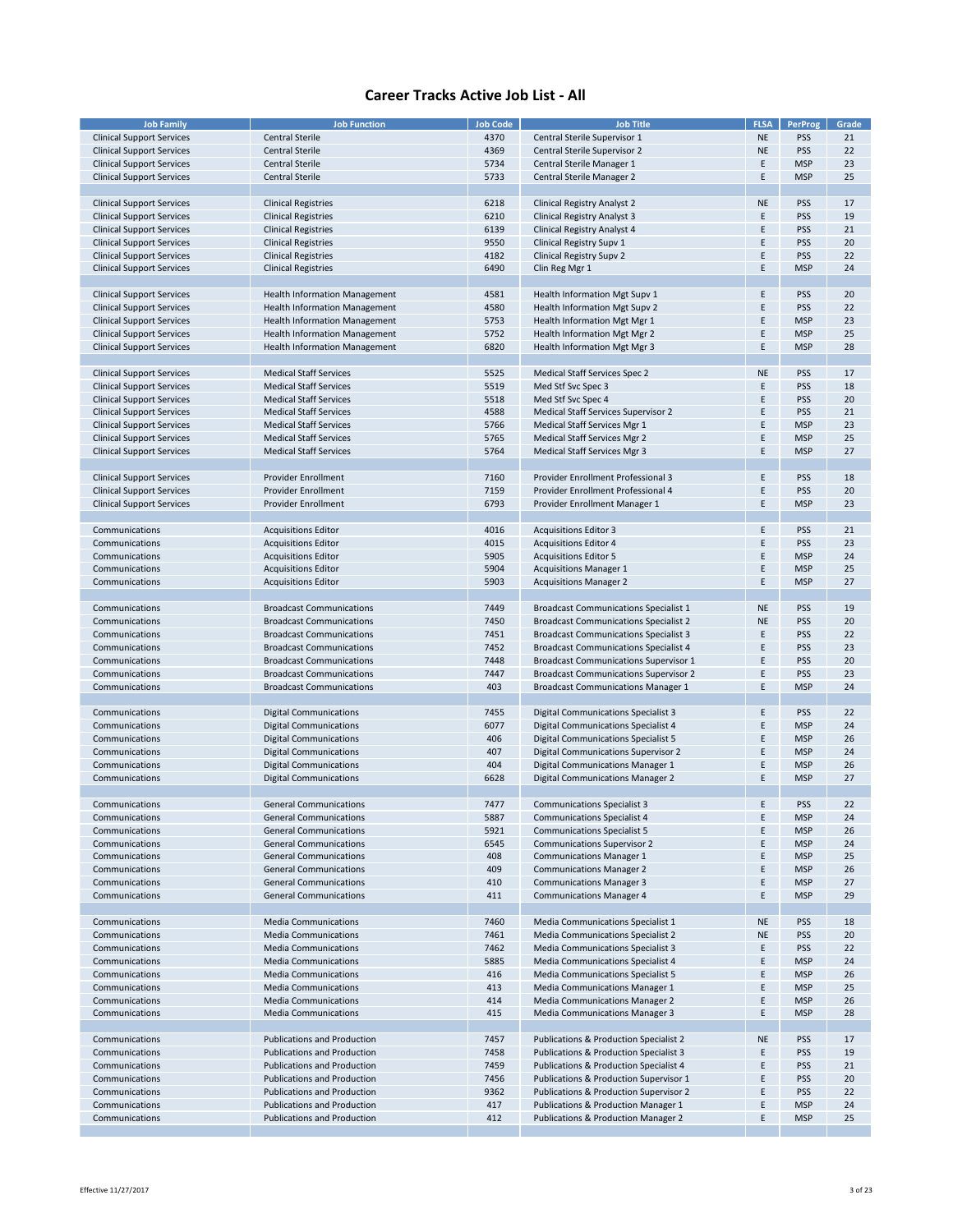| <b>Job Family</b>                | <b>Job Function</b>                  | <b>Job Code</b> | <b>Job Title</b>                             | <b>FLSA</b> | <b>PerProg</b> | Grade |
|----------------------------------|--------------------------------------|-----------------|----------------------------------------------|-------------|----------------|-------|
| <b>Clinical Support Services</b> | <b>Central Sterile</b>               | 4370            | Central Sterile Supervisor 1                 | <b>NE</b>   | <b>PSS</b>     | 21    |
| <b>Clinical Support Services</b> | Central Sterile                      | 4369            | Central Sterile Supervisor 2                 | <b>NE</b>   | <b>PSS</b>     | 22    |
| <b>Clinical Support Services</b> | <b>Central Sterile</b>               | 5734            | Central Sterile Manager 1                    | Ε           | <b>MSP</b>     | 23    |
| <b>Clinical Support Services</b> | <b>Central Sterile</b>               | 5733            | Central Sterile Manager 2                    | E           | <b>MSP</b>     | 25    |
|                                  |                                      |                 |                                              |             |                |       |
|                                  |                                      |                 |                                              |             |                |       |
| <b>Clinical Support Services</b> | <b>Clinical Registries</b>           | 6218            | Clinical Registry Analyst 2                  | <b>NE</b>   | <b>PSS</b>     | 17    |
| <b>Clinical Support Services</b> | <b>Clinical Registries</b>           | 6210            | Clinical Registry Analyst 3                  | Ε           | <b>PSS</b>     | 19    |
| <b>Clinical Support Services</b> | <b>Clinical Registries</b>           | 6139            | Clinical Registry Analyst 4                  | E           | PSS            | 21    |
| <b>Clinical Support Services</b> | <b>Clinical Registries</b>           | 9550            | Clinical Registry Supv 1                     | E           | PSS            | 20    |
| <b>Clinical Support Services</b> | <b>Clinical Registries</b>           | 4182            | Clinical Registry Supv 2                     | E           | PSS            | 22    |
| <b>Clinical Support Services</b> | <b>Clinical Registries</b>           | 6490            | Clin Reg Mgr 1                               | E           | <b>MSP</b>     | 24    |
|                                  |                                      |                 |                                              |             |                |       |
| <b>Clinical Support Services</b> | <b>Health Information Management</b> | 4581            | Health Information Mgt Supv 1                | E           | <b>PSS</b>     | 20    |
| <b>Clinical Support Services</b> | <b>Health Information Management</b> | 4580            | Health Information Mgt Supv 2                | E           | PSS            | 22    |
| <b>Clinical Support Services</b> | <b>Health Information Management</b> | 5753            | Health Information Mgt Mgr 1                 | E           | <b>MSP</b>     | 23    |
|                                  | <b>Health Information Management</b> |                 |                                              | E           | <b>MSP</b>     | 25    |
| <b>Clinical Support Services</b> |                                      | 5752            | Health Information Mgt Mgr 2                 |             |                |       |
| <b>Clinical Support Services</b> | <b>Health Information Management</b> | 6820            | Health Information Mgt Mgr 3                 | Ε           | <b>MSP</b>     | 28    |
|                                  |                                      |                 |                                              |             |                |       |
| <b>Clinical Support Services</b> | <b>Medical Staff Services</b>        | 5525            | Medical Staff Services Spec 2                | <b>NE</b>   | PSS            | 17    |
| <b>Clinical Support Services</b> | <b>Medical Staff Services</b>        | 5519            | Med Stf Svc Spec 3                           | Ε           | PSS            | 18    |
| <b>Clinical Support Services</b> | <b>Medical Staff Services</b>        | 5518            | Med Stf Svc Spec 4                           | E           | <b>PSS</b>     | 20    |
| <b>Clinical Support Services</b> | <b>Medical Staff Services</b>        | 4588            | Medical Staff Services Supervisor 2          | Ε           | <b>PSS</b>     | 21    |
| <b>Clinical Support Services</b> | <b>Medical Staff Services</b>        | 5766            | Medical Staff Services Mgr 1                 | E           | <b>MSP</b>     | 23    |
| <b>Clinical Support Services</b> | <b>Medical Staff Services</b>        | 5765            | <b>Medical Staff Services Mgr 2</b>          | E           | <b>MSP</b>     | 25    |
|                                  | <b>Medical Staff Services</b>        |                 |                                              |             |                | 27    |
| <b>Clinical Support Services</b> |                                      | 5764            | Medical Staff Services Mgr 3                 | Ε           | <b>MSP</b>     |       |
|                                  |                                      |                 |                                              |             |                |       |
| <b>Clinical Support Services</b> | <b>Provider Enrollment</b>           | 7160            | Provider Enrollment Professional 3           | Ε           | <b>PSS</b>     | 18    |
| <b>Clinical Support Services</b> | <b>Provider Enrollment</b>           | 7159            | Provider Enrollment Professional 4           | E           | PSS            | 20    |
| <b>Clinical Support Services</b> | <b>Provider Enrollment</b>           | 6793            | Provider Enrollment Manager 1                | E           | <b>MSP</b>     | 23    |
|                                  |                                      |                 |                                              |             |                |       |
| Communications                   | <b>Acquisitions Editor</b>           | 4016            | <b>Acquisitions Editor 3</b>                 | E           | <b>PSS</b>     | 21    |
| Communications                   | <b>Acquisitions Editor</b>           | 4015            | <b>Acquisitions Editor 4</b>                 | Ε           | <b>PSS</b>     | 23    |
| Communications                   | <b>Acquisitions Editor</b>           | 5905            | <b>Acquisitions Editor 5</b>                 | E           | <b>MSP</b>     | 24    |
|                                  |                                      | 5904            |                                              | E           | <b>MSP</b>     | 25    |
| Communications                   | <b>Acquisitions Editor</b>           |                 | <b>Acquisitions Manager 1</b>                |             |                |       |
| Communications                   | <b>Acquisitions Editor</b>           | 5903            | <b>Acquisitions Manager 2</b>                | Ε           | <b>MSP</b>     | 27    |
|                                  |                                      |                 |                                              |             |                |       |
| Communications                   | <b>Broadcast Communications</b>      | 7449            | <b>Broadcast Communications Specialist 1</b> | <b>NE</b>   | <b>PSS</b>     | 19    |
| Communications                   | <b>Broadcast Communications</b>      | 7450            | <b>Broadcast Communications Specialist 2</b> | <b>NE</b>   | PSS            | 20    |
| Communications                   | <b>Broadcast Communications</b>      | 7451            | <b>Broadcast Communications Specialist 3</b> | E           | PSS            | 22    |
| Communications                   | <b>Broadcast Communications</b>      | 7452            | <b>Broadcast Communications Specialist 4</b> | E           | PSS            | 23    |
| Communications                   | <b>Broadcast Communications</b>      | 7448            | <b>Broadcast Communications Supervisor 1</b> | E           | <b>PSS</b>     | 20    |
| Communications                   | <b>Broadcast Communications</b>      | 7447            | <b>Broadcast Communications Supervisor 2</b> | E           | <b>PSS</b>     | 23    |
| Communications                   | <b>Broadcast Communications</b>      | 403             | <b>Broadcast Communications Manager 1</b>    | Ε           | <b>MSP</b>     | 24    |
|                                  |                                      |                 |                                              |             |                |       |
|                                  |                                      |                 |                                              |             |                |       |
| Communications                   | <b>Digital Communications</b>        | 7455            | Digital Communications Specialist 3          | E           | PSS            | 22    |
| Communications                   | <b>Digital Communications</b>        | 6077            | Digital Communications Specialist 4          | E           | <b>MSP</b>     | 24    |
| Communications                   | <b>Digital Communications</b>        | 406             | <b>Digital Communications Specialist 5</b>   | E           | <b>MSP</b>     | 26    |
| Communications                   | <b>Digital Communications</b>        | 407             | Digital Communications Supervisor 2          | E           | <b>MSP</b>     | 24    |
| Communications                   | <b>Digital Communications</b>        | 404             | Digital Communications Manager 1             | E           | <b>MSP</b>     | 26    |
| Communications                   | <b>Digital Communications</b>        | 6628            | Digital Communications Manager 2             | Ε           | <b>MSP</b>     | 27    |
|                                  |                                      |                 |                                              |             |                |       |
| Communications                   | <b>General Communications</b>        | 7477            | <b>Communications Specialist 3</b>           | E           | PSS            | 22    |
| Communications                   | <b>General Communications</b>        | 5887            | <b>Communications Specialist 4</b>           | E           | <b>MSP</b>     | 24    |
| Communications                   | <b>General Communications</b>        |                 |                                              | E           |                | 26    |
|                                  |                                      | 5921            | <b>Communications Specialist 5</b>           |             | <b>MSP</b>     |       |
| Communications                   | <b>General Communications</b>        | 6545            | <b>Communications Supervisor 2</b>           | E           | <b>MSP</b>     | 24    |
| Communications                   | <b>General Communications</b>        | 408             | <b>Communications Manager 1</b>              | E           | <b>MSP</b>     | 25    |
| Communications                   | <b>General Communications</b>        | 409             | <b>Communications Manager 2</b>              | E           | <b>MSP</b>     | 26    |
| Communications                   | <b>General Communications</b>        | 410             | <b>Communications Manager 3</b>              | E           | <b>MSP</b>     | 27    |
| Communications                   | <b>General Communications</b>        | 411             | <b>Communications Manager 4</b>              | E           | <b>MSP</b>     | 29    |
|                                  |                                      |                 |                                              |             |                |       |
| Communications                   | <b>Media Communications</b>          | 7460            | Media Communications Specialist 1            | <b>NE</b>   | <b>PSS</b>     | 18    |
| Communications                   | <b>Media Communications</b>          | 7461            | Media Communications Specialist 2            | <b>NE</b>   | <b>PSS</b>     | 20    |
| Communications                   | <b>Media Communications</b>          | 7462            | Media Communications Specialist 3            | Ε           | <b>PSS</b>     | 22    |
| Communications                   | <b>Media Communications</b>          | 5885            | Media Communications Specialist 4            | E           | <b>MSP</b>     | 24    |
|                                  |                                      |                 |                                              |             |                |       |
| Communications                   | <b>Media Communications</b>          | 416             | Media Communications Specialist 5            | Ε           | <b>MSP</b>     | 26    |
| Communications                   | <b>Media Communications</b>          | 413             | Media Communications Manager 1               | E           | <b>MSP</b>     | 25    |
| Communications                   | <b>Media Communications</b>          | 414             | <b>Media Communications Manager 2</b>        | E           | <b>MSP</b>     | 26    |
| Communications                   | <b>Media Communications</b>          | 415             | <b>Media Communications Manager 3</b>        | E           | <b>MSP</b>     | 28    |
|                                  |                                      |                 |                                              |             |                |       |
| Communications                   | Publications and Production          | 7457            | Publications & Production Specialist 2       | <b>NE</b>   | <b>PSS</b>     | 17    |
| Communications                   | <b>Publications and Production</b>   | 7458            | Publications & Production Specialist 3       | E           | <b>PSS</b>     | 19    |
| Communications                   | Publications and Production          | 7459            | Publications & Production Specialist 4       | E           | <b>PSS</b>     | 21    |
| Communications                   | <b>Publications and Production</b>   | 7456            | Publications & Production Supervisor 1       | Ε           | <b>PSS</b>     | 20    |
| Communications                   | Publications and Production          | 9362            | Publications & Production Supervisor 2       | E           | <b>PSS</b>     | 22    |
|                                  |                                      |                 |                                              |             |                |       |
| Communications                   | Publications and Production          | 417             | Publications & Production Manager 1          | E           | <b>MSP</b>     | 24    |
| Communications                   | <b>Publications and Production</b>   | 412             | Publications & Production Manager 2          | E           | <b>MSP</b>     | 25    |
|                                  |                                      |                 |                                              |             |                |       |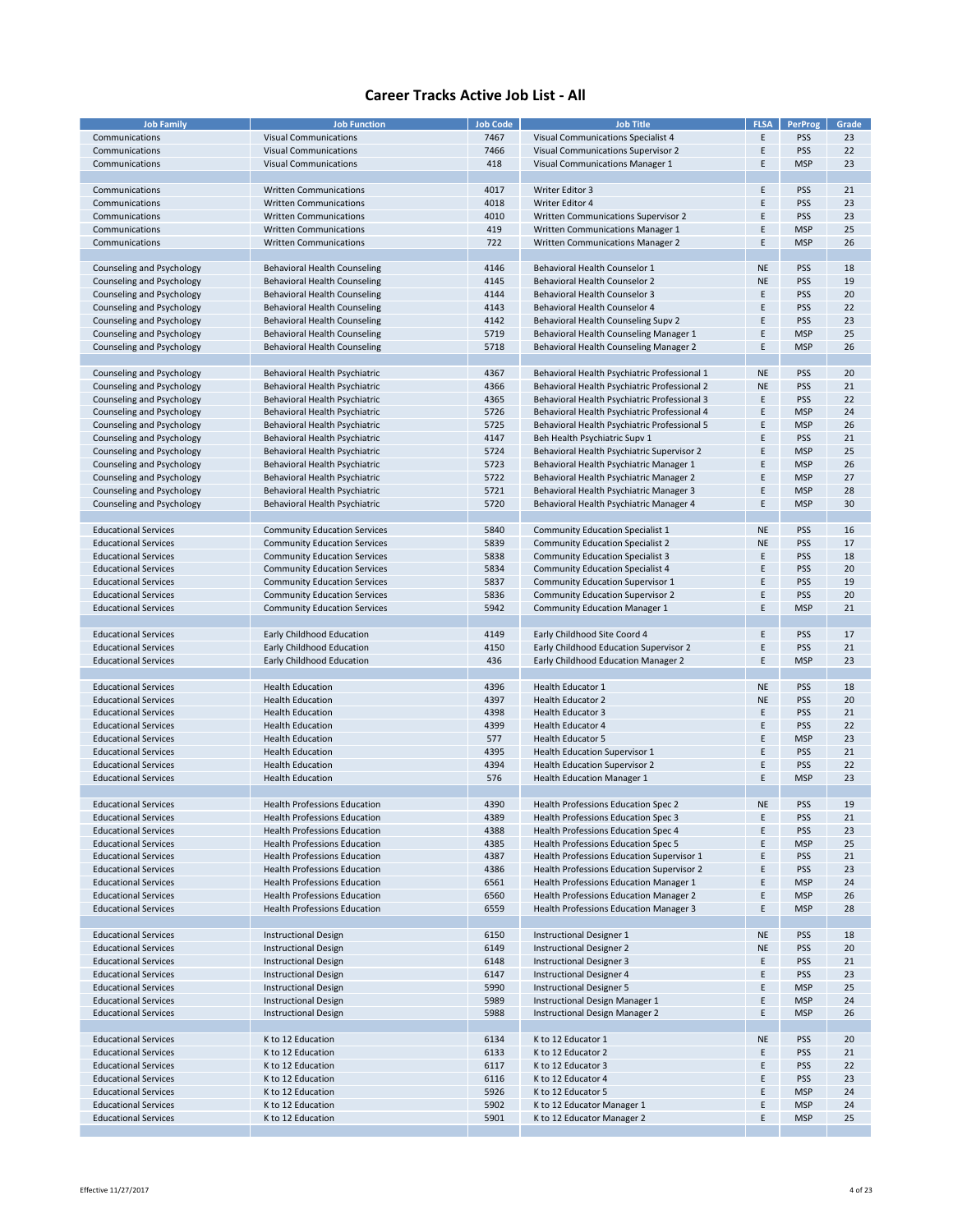| <b>Job Family</b>           | <b>Job Function</b>                 | <b>Job Code</b> | <b>Job Title</b>                             | <b>FLSA</b> | <b>PerProg</b> | Grade |
|-----------------------------|-------------------------------------|-----------------|----------------------------------------------|-------------|----------------|-------|
|                             |                                     |                 |                                              |             |                |       |
| Communications              | <b>Visual Communications</b>        | 7467            | Visual Communications Specialist 4           | E           | <b>PSS</b>     | 23    |
| Communications              | <b>Visual Communications</b>        | 7466            | Visual Communications Supervisor 2           | Ε           | <b>PSS</b>     | 22    |
|                             |                                     |                 |                                              |             |                |       |
| Communications              | <b>Visual Communications</b>        | 418             | Visual Communications Manager 1              | Ε           | <b>MSP</b>     | 23    |
|                             |                                     |                 |                                              |             |                |       |
| Communications              | <b>Written Communications</b>       | 4017            | Writer Editor 3                              | E           | <b>PSS</b>     | 21    |
|                             |                                     |                 |                                              |             |                |       |
| Communications              | <b>Written Communications</b>       | 4018            | Writer Editor 4                              | E           | <b>PSS</b>     | 23    |
| Communications              | <b>Written Communications</b>       | 4010            | Written Communications Supervisor 2          | E           | <b>PSS</b>     | 23    |
| Communications              | <b>Written Communications</b>       | 419             | Written Communications Manager 1             | Ε           | <b>MSP</b>     | 25    |
|                             |                                     |                 |                                              |             |                |       |
| Communications              | <b>Written Communications</b>       | 722             | Written Communications Manager 2             | E           | <b>MSP</b>     | 26    |
|                             |                                     |                 |                                              |             |                |       |
|                             | <b>Behavioral Health Counseling</b> | 4146            | Behavioral Health Counselor 1                | <b>NE</b>   | <b>PSS</b>     | 18    |
| Counseling and Psychology   |                                     |                 |                                              |             |                |       |
| Counseling and Psychology   | <b>Behavioral Health Counseling</b> | 4145            | Behavioral Health Counselor 2                | <b>NE</b>   | <b>PSS</b>     | 19    |
| Counseling and Psychology   | Behavioral Health Counseling        | 4144            | Behavioral Health Counselor 3                | E           | <b>PSS</b>     | 20    |
|                             |                                     |                 |                                              | E           |                |       |
| Counseling and Psychology   | <b>Behavioral Health Counseling</b> | 4143            | Behavioral Health Counselor 4                |             | <b>PSS</b>     | 22    |
| Counseling and Psychology   | Behavioral Health Counseling        | 4142            | Behavioral Health Counseling Supv 2          | E           | <b>PSS</b>     | 23    |
| Counseling and Psychology   | <b>Behavioral Health Counseling</b> | 5719            | Behavioral Health Counseling Manager 1       | E           | <b>MSP</b>     | 25    |
|                             |                                     |                 |                                              |             | <b>MSP</b>     | 26    |
| Counseling and Psychology   | <b>Behavioral Health Counseling</b> | 5718            | Behavioral Health Counseling Manager 2       | Ε           |                |       |
|                             |                                     |                 |                                              |             |                |       |
| Counseling and Psychology   | Behavioral Health Psychiatric       | 4367            | Behavioral Health Psychiatric Professional 1 | <b>NE</b>   | <b>PSS</b>     | 20    |
|                             |                                     |                 |                                              |             |                |       |
| Counseling and Psychology   | Behavioral Health Psychiatric       | 4366            | Behavioral Health Psychiatric Professional 2 | <b>NE</b>   | <b>PSS</b>     | 21    |
| Counseling and Psychology   | Behavioral Health Psychiatric       | 4365            | Behavioral Health Psychiatric Professional 3 | Ε           | <b>PSS</b>     | 22    |
| Counseling and Psychology   | Behavioral Health Psychiatric       | 5726            | Behavioral Health Psychiatric Professional 4 | Ε           | <b>MSP</b>     | 24    |
|                             |                                     |                 |                                              |             |                |       |
| Counseling and Psychology   | Behavioral Health Psychiatric       | 5725            | Behavioral Health Psychiatric Professional 5 | Ε           | <b>MSP</b>     | 26    |
| Counseling and Psychology   | Behavioral Health Psychiatric       | 4147            | Beh Health Psychiatric Supv 1                | E           | <b>PSS</b>     | 21    |
| Counseling and Psychology   | Behavioral Health Psychiatric       | 5724            | Behavioral Health Psychiatric Supervisor 2   | E           | <b>MSP</b>     | 25    |
|                             |                                     |                 |                                              |             |                |       |
| Counseling and Psychology   | Behavioral Health Psychiatric       | 5723            | Behavioral Health Psychiatric Manager 1      | E           | <b>MSP</b>     | 26    |
| Counseling and Psychology   | Behavioral Health Psychiatric       | 5722            | Behavioral Health Psychiatric Manager 2      | Ε           | <b>MSP</b>     | 27    |
|                             |                                     |                 |                                              |             |                |       |
| Counseling and Psychology   | Behavioral Health Psychiatric       | 5721            | Behavioral Health Psychiatric Manager 3      | Ε           | <b>MSP</b>     | 28    |
| Counseling and Psychology   | Behavioral Health Psychiatric       | 5720            | Behavioral Health Psychiatric Manager 4      | E           | <b>MSP</b>     | 30    |
|                             |                                     |                 |                                              |             |                |       |
|                             |                                     |                 |                                              |             |                |       |
| <b>Educational Services</b> | <b>Community Education Services</b> | 5840            | <b>Community Education Specialist 1</b>      | <b>NE</b>   | <b>PSS</b>     | 16    |
| <b>Educational Services</b> | <b>Community Education Services</b> | 5839            | <b>Community Education Specialist 2</b>      | <b>NE</b>   | <b>PSS</b>     | 17    |
| <b>Educational Services</b> | <b>Community Education Services</b> | 5838            | <b>Community Education Specialist 3</b>      | Ε           | <b>PSS</b>     | 18    |
|                             |                                     |                 |                                              |             |                |       |
| <b>Educational Services</b> | <b>Community Education Services</b> | 5834            | Community Education Specialist 4             | E           | <b>PSS</b>     | 20    |
| <b>Educational Services</b> | <b>Community Education Services</b> | 5837            | <b>Community Education Supervisor 1</b>      | E           | <b>PSS</b>     | 19    |
|                             |                                     |                 |                                              | E           | <b>PSS</b>     | 20    |
| <b>Educational Services</b> | <b>Community Education Services</b> | 5836            | <b>Community Education Supervisor 2</b>      |             |                |       |
| <b>Educational Services</b> | <b>Community Education Services</b> | 5942            | <b>Community Education Manager 1</b>         | Ε           | <b>MSP</b>     | 21    |
|                             |                                     |                 |                                              |             |                |       |
|                             |                                     |                 |                                              |             |                |       |
| <b>Educational Services</b> | Early Childhood Education           | 4149            | Early Childhood Site Coord 4                 | E           | <b>PSS</b>     | 17    |
| <b>Educational Services</b> | Early Childhood Education           | 4150            | Early Childhood Education Supervisor 2       | Ε           | <b>PSS</b>     | 21    |
| <b>Educational Services</b> | Early Childhood Education           | 436             | Early Childhood Education Manager 2          | E           | <b>MSP</b>     | 23    |
|                             |                                     |                 |                                              |             |                |       |
|                             |                                     |                 |                                              |             |                |       |
| <b>Educational Services</b> | <b>Health Education</b>             | 4396            | Health Educator 1                            | <b>NE</b>   | <b>PSS</b>     | 18    |
| <b>Educational Services</b> | <b>Health Education</b>             | 4397            | <b>Health Educator 2</b>                     | <b>NE</b>   | <b>PSS</b>     | 20    |
|                             |                                     |                 |                                              |             |                |       |
| <b>Educational Services</b> | <b>Health Education</b>             | 4398            | <b>Health Educator 3</b>                     | Ε           | <b>PSS</b>     | 21    |
| <b>Educational Services</b> | <b>Health Education</b>             | 4399            | <b>Health Educator 4</b>                     | E           | <b>PSS</b>     | 22    |
|                             |                                     |                 |                                              |             |                |       |
| <b>Educational Services</b> | <b>Health Education</b>             | 577             | <b>Health Educator 5</b>                     | E           | <b>MSP</b>     | 23    |
| <b>Educational Services</b> | <b>Health Education</b>             | 4395            | <b>Health Education Supervisor 1</b>         | Ε           | <b>PSS</b>     | 21    |
| <b>Educational Services</b> | <b>Health Education</b>             | 4394            | <b>Health Education Supervisor 2</b>         | E           | <b>PSS</b>     | 22    |
|                             | <b>Health Education</b>             |                 |                                              |             |                |       |
| <b>Educational Services</b> |                                     | 576             | <b>Health Education Manager 1</b>            | E           | <b>MSP</b>     | 23    |
|                             |                                     |                 |                                              |             |                |       |
| <b>Educational Services</b> | <b>Health Professions Education</b> | 4390            | Health Professions Education Spec 2          | <b>NE</b>   | <b>PSS</b>     | 19    |
|                             |                                     |                 |                                              |             |                |       |
| <b>Educational Services</b> | <b>Health Professions Education</b> | 4389            | Health Professions Education Spec 3          | Ε           | <b>PSS</b>     | 21    |
| <b>Educational Services</b> | <b>Health Professions Education</b> | 4388            | Health Professions Education Spec 4          | Ε           | <b>PSS</b>     | 23    |
| <b>Educational Services</b> | <b>Health Professions Education</b> | 4385            | Health Professions Education Spec 5          | E           | <b>MSP</b>     | 25    |
|                             |                                     |                 |                                              | E           |                |       |
| <b>Educational Services</b> | <b>Health Professions Education</b> | 4387            | Health Professions Education Supervisor 1    |             | <b>PSS</b>     | 21    |
| <b>Educational Services</b> | <b>Health Professions Education</b> | 4386            | Health Professions Education Supervisor 2    | E.          | <b>PSS</b>     | 23    |
| <b>Educational Services</b> | <b>Health Professions Education</b> | 6561            | Health Professions Education Manager 1       | Ε           | <b>MSP</b>     | 24    |
| <b>Educational Services</b> | <b>Health Professions Education</b> | 6560            | Health Professions Education Manager 2       | E.          | <b>MSP</b>     | 26    |
|                             |                                     |                 |                                              |             |                |       |
| <b>Educational Services</b> | <b>Health Professions Education</b> | 6559            | Health Professions Education Manager 3       | E           | <b>MSP</b>     | 28    |
|                             |                                     |                 |                                              |             |                |       |
|                             |                                     |                 |                                              |             |                |       |
| <b>Educational Services</b> | <b>Instructional Design</b>         | 6150            | <b>Instructional Designer 1</b>              | <b>NE</b>   | <b>PSS</b>     | 18    |
| <b>Educational Services</b> | <b>Instructional Design</b>         | 6149            | <b>Instructional Designer 2</b>              | <b>NE</b>   | <b>PSS</b>     | 20    |
| <b>Educational Services</b> | <b>Instructional Design</b>         | 6148            | <b>Instructional Designer 3</b>              | Ε           | <b>PSS</b>     | 21    |
|                             |                                     |                 |                                              |             |                |       |
| <b>Educational Services</b> | <b>Instructional Design</b>         | 6147            | <b>Instructional Designer 4</b>              | E           | <b>PSS</b>     | 23    |
| <b>Educational Services</b> | <b>Instructional Design</b>         | 5990            | <b>Instructional Designer 5</b>              | E           | <b>MSP</b>     | 25    |
| <b>Educational Services</b> | <b>Instructional Design</b>         | 5989            | Instructional Design Manager 1               | E           | <b>MSP</b>     | 24    |
|                             |                                     |                 |                                              |             |                |       |
| <b>Educational Services</b> | <b>Instructional Design</b>         | 5988            | Instructional Design Manager 2               | Ε           | <b>MSP</b>     | 26    |
|                             |                                     |                 |                                              |             |                |       |
| <b>Educational Services</b> | K to 12 Education                   | 6134            | K to 12 Educator 1                           | <b>NE</b>   | <b>PSS</b>     | 20    |
|                             |                                     |                 |                                              |             |                |       |
| <b>Educational Services</b> | K to 12 Education                   | 6133            | K to 12 Educator 2                           | E           | <b>PSS</b>     | 21    |
| <b>Educational Services</b> | K to 12 Education                   | 6117            | K to 12 Educator 3                           | E           | <b>PSS</b>     | 22    |
| <b>Educational Services</b> | K to 12 Education                   | 6116            | K to 12 Educator 4                           | Ε           | <b>PSS</b>     | 23    |
|                             |                                     |                 |                                              |             |                |       |
| <b>Educational Services</b> | K to 12 Education                   | 5926            | K to 12 Educator 5                           | E           | <b>MSP</b>     | 24    |
| <b>Educational Services</b> | K to 12 Education                   | 5902            | K to 12 Educator Manager 1                   | Ε           | <b>MSP</b>     | 24    |
| <b>Educational Services</b> | K to 12 Education                   | 5901            | K to 12 Educator Manager 2                   | Ε           | <b>MSP</b>     | 25    |
|                             |                                     |                 |                                              |             |                |       |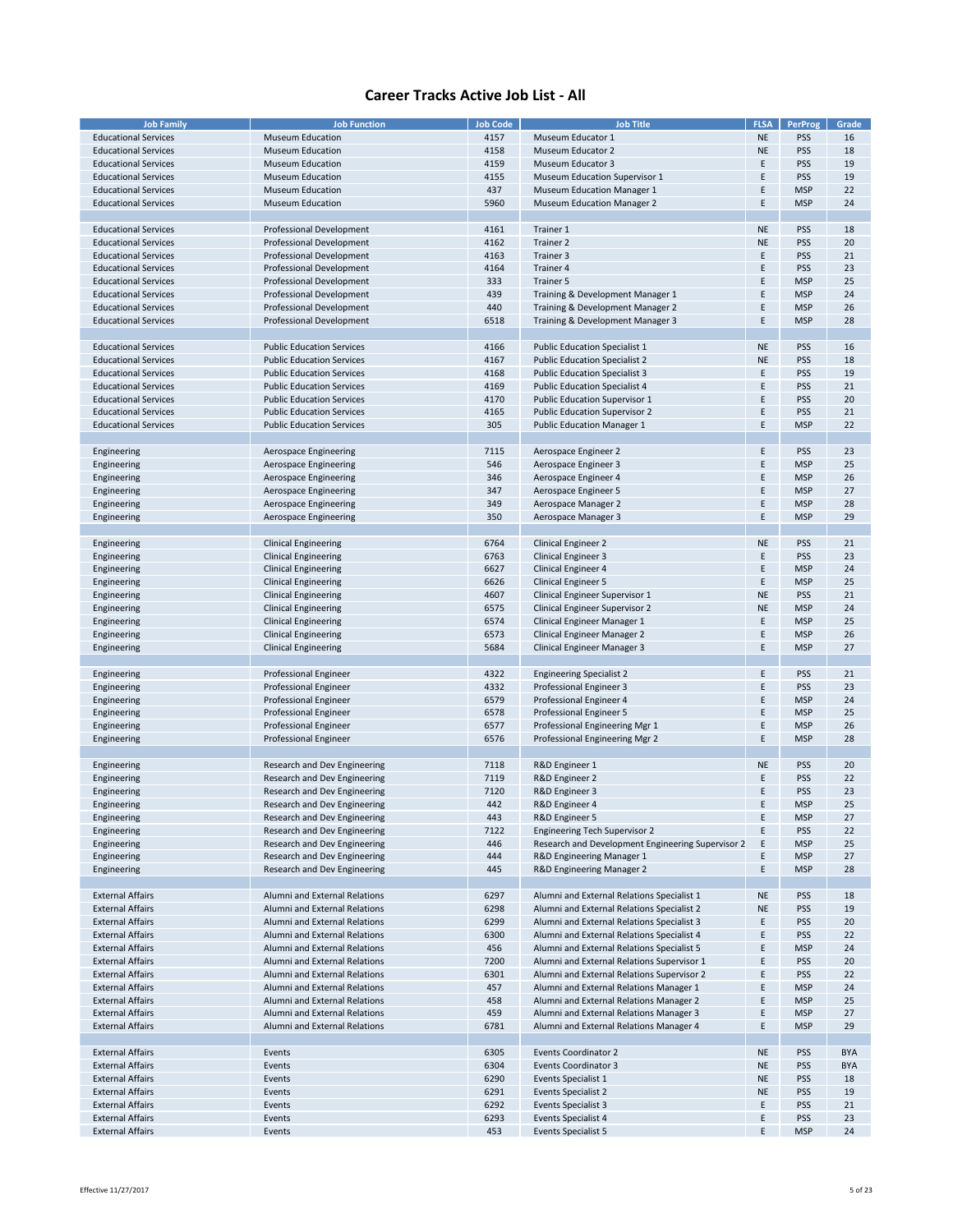| <b>Job Family</b>           | <b>Job Function</b>              | <b>Job Code</b> | <b>Job Title</b>                                  | <b>FLSA</b> | <b>PerProg</b> | Grade      |
|-----------------------------|----------------------------------|-----------------|---------------------------------------------------|-------------|----------------|------------|
|                             |                                  |                 |                                                   |             |                |            |
| <b>Educational Services</b> | <b>Museum Education</b>          | 4157            | Museum Educator 1                                 | <b>NE</b>   | <b>PSS</b>     | 16         |
| <b>Educational Services</b> | <b>Museum Education</b>          | 4158            | Museum Educator 2                                 | <b>NE</b>   | PSS            | 18         |
| <b>Educational Services</b> | <b>Museum Education</b>          | 4159            | <b>Museum Educator 3</b>                          | E           | <b>PSS</b>     | 19         |
| <b>Educational Services</b> | <b>Museum Education</b>          | 4155            | <b>Museum Education Supervisor 1</b>              | E           | <b>PSS</b>     | 19         |
|                             |                                  |                 |                                                   |             |                |            |
| <b>Educational Services</b> | <b>Museum Education</b>          | 437             | <b>Museum Education Manager 1</b>                 | E           | <b>MSP</b>     | 22         |
| <b>Educational Services</b> | <b>Museum Education</b>          | 5960            | <b>Museum Education Manager 2</b>                 | F           | <b>MSP</b>     | 24         |
|                             |                                  |                 |                                                   |             |                |            |
| <b>Educational Services</b> | Professional Development         | 4161            | Trainer 1                                         | <b>NE</b>   | <b>PSS</b>     | 18         |
|                             |                                  |                 |                                                   |             |                |            |
| <b>Educational Services</b> | Professional Development         | 4162            | Trainer 2                                         | <b>NE</b>   | <b>PSS</b>     | 20         |
| <b>Educational Services</b> | Professional Development         | 4163            | Trainer 3                                         | Ε           | <b>PSS</b>     | 21         |
| <b>Educational Services</b> | Professional Development         | 4164            | Trainer 4                                         | F           | <b>PSS</b>     | 23         |
| <b>Educational Services</b> | <b>Professional Development</b>  | 333             | Trainer 5                                         | E           | <b>MSP</b>     | 25         |
|                             |                                  |                 |                                                   |             |                |            |
| <b>Educational Services</b> | Professional Development         | 439             | Training & Development Manager 1                  | E           | <b>MSP</b>     | 24         |
| <b>Educational Services</b> | <b>Professional Development</b>  | 440             | Training & Development Manager 2                  | Ε           | <b>MSP</b>     | 26         |
| <b>Educational Services</b> | Professional Development         | 6518            | Training & Development Manager 3                  | Ε           | <b>MSP</b>     | 28         |
|                             |                                  |                 |                                                   |             |                |            |
|                             |                                  |                 |                                                   | <b>NE</b>   | <b>PSS</b>     |            |
| <b>Educational Services</b> | <b>Public Education Services</b> | 4166            | <b>Public Education Specialist 1</b>              |             |                | 16         |
| <b>Educational Services</b> | <b>Public Education Services</b> | 4167            | <b>Public Education Specialist 2</b>              | <b>NE</b>   | <b>PSS</b>     | 18         |
| <b>Educational Services</b> | <b>Public Education Services</b> | 4168            | <b>Public Education Specialist 3</b>              | Ε           | <b>PSS</b>     | 19         |
| <b>Educational Services</b> | <b>Public Education Services</b> | 4169            | <b>Public Education Specialist 4</b>              | E           | PSS            | 21         |
|                             |                                  |                 |                                                   |             |                |            |
| <b>Educational Services</b> | <b>Public Education Services</b> | 4170            | Public Education Supervisor 1                     | F           | <b>PSS</b>     | 20         |
| <b>Educational Services</b> | <b>Public Education Services</b> | 4165            | <b>Public Education Supervisor 2</b>              | E           | <b>PSS</b>     | 21         |
| <b>Educational Services</b> | <b>Public Education Services</b> | 305             | <b>Public Education Manager 1</b>                 | Ε           | <b>MSP</b>     | 22         |
|                             |                                  |                 |                                                   |             |                |            |
|                             |                                  |                 |                                                   |             |                |            |
| Engineering                 | Aerospace Engineering            | 7115            | Aerospace Engineer 2                              | E           | <b>PSS</b>     | 23         |
| Engineering                 | Aerospace Engineering            | 546             | Aerospace Engineer 3                              | F           | <b>MSP</b>     | 25         |
| Engineering                 | Aerospace Engineering            | 346             | Aerospace Engineer 4                              | E           | <b>MSP</b>     | 26         |
| Engineering                 | Aerospace Engineering            | 347             | Aerospace Engineer 5                              | E           | <b>MSP</b>     | 27         |
|                             |                                  |                 |                                                   |             |                |            |
| Engineering                 | Aerospace Engineering            | 349             | Aerospace Manager 2                               | Ε           | <b>MSP</b>     | 28         |
| Engineering                 | Aerospace Engineering            | 350             | Aerospace Manager 3                               | Ε           | <b>MSP</b>     | 29         |
|                             |                                  |                 |                                                   |             |                |            |
| Engineering                 | <b>Clinical Engineering</b>      | 6764            | <b>Clinical Engineer 2</b>                        | <b>NE</b>   | <b>PSS</b>     | 21         |
|                             |                                  |                 |                                                   |             |                |            |
| Engineering                 | <b>Clinical Engineering</b>      | 6763            | Clinical Engineer 3                               | E           | <b>PSS</b>     | 23         |
| Engineering                 | <b>Clinical Engineering</b>      | 6627            | <b>Clinical Engineer 4</b>                        | E           | <b>MSP</b>     | 24         |
| Engineering                 | <b>Clinical Engineering</b>      | 6626            | <b>Clinical Engineer 5</b>                        | E           | <b>MSP</b>     | 25         |
| Engineering                 | <b>Clinical Engineering</b>      | 4607            | Clinical Engineer Supervisor 1                    | <b>NE</b>   | <b>PSS</b>     | 21         |
|                             |                                  |                 |                                                   |             |                |            |
| Engineering                 | <b>Clinical Engineering</b>      | 6575            | Clinical Engineer Supervisor 2                    | <b>NE</b>   | <b>MSP</b>     | 24         |
| Engineering                 | <b>Clinical Engineering</b>      | 6574            | Clinical Engineer Manager 1                       | Ε           | <b>MSP</b>     | 25         |
| Engineering                 | <b>Clinical Engineering</b>      | 6573            | Clinical Engineer Manager 2                       | E           | <b>MSP</b>     | 26         |
| Engineering                 | <b>Clinical Engineering</b>      | 5684            | Clinical Engineer Manager 3                       | Ε           | <b>MSP</b>     | 27         |
|                             |                                  |                 |                                                   |             |                |            |
|                             |                                  |                 |                                                   |             |                |            |
| Engineering                 | Professional Engineer            | 4322            | <b>Engineering Specialist 2</b>                   | E           | <b>PSS</b>     | 21         |
| Engineering                 | Professional Engineer            | 4332            | Professional Engineer 3                           | E           | <b>PSS</b>     | 23         |
| Engineering                 | Professional Engineer            | 6579            | Professional Engineer 4                           | E           | <b>MSP</b>     | 24         |
|                             |                                  |                 |                                                   |             |                |            |
| Engineering                 | Professional Engineer            | 6578            | Professional Engineer 5                           | E           | <b>MSP</b>     | 25         |
| Engineering                 | <b>Professional Engineer</b>     | 6577            | Professional Engineering Mgr 1                    | E           | <b>MSP</b>     | 26         |
| Engineering                 | Professional Engineer            | 6576            | Professional Engineering Mgr 2                    | Ε           | <b>MSP</b>     | 28         |
|                             |                                  |                 |                                                   |             |                |            |
|                             |                                  |                 | R&D Engineer 1                                    | <b>NE</b>   |                | 20         |
| Engineering                 | Research and Dev Engineering     | 7118            |                                                   |             | <b>PSS</b>     |            |
| Engineering                 | Research and Dev Engineering     | 7119            | R&D Engineer 2                                    | Ε           | PSS            | 22         |
| Engineering                 | Research and Dev Engineering     | 7120            | R&D Engineer 3                                    | F           | <b>PSS</b>     | 23         |
| Engineering                 | Research and Dev Engineering     | 442             | R&D Engineer 4                                    | F           | <b>MSP</b>     | 25         |
| Engineering                 | Research and Dev Engineering     | 443             | R&D Engineer 5                                    | E           | <b>MSP</b>     | 27         |
|                             |                                  |                 |                                                   |             |                |            |
| Engineering                 | Research and Dev Engineering     | 7122            | <b>Engineering Tech Supervisor 2</b>              | Ε           | <b>PSS</b>     | 22         |
| Engineering                 | Research and Dev Engineering     | 446             | Research and Development Engineering Supervisor 2 | E           | <b>MSP</b>     | 25         |
| Engineering                 | Research and Dev Engineering     | 444             | R&D Engineering Manager 1                         | E           | <b>MSP</b>     | 27         |
| Engineering                 | Research and Dev Engineering     | 445             | R&D Engineering Manager 2                         | E           | <b>MSP</b>     | 28         |
|                             |                                  |                 |                                                   |             |                |            |
|                             |                                  |                 |                                                   |             |                |            |
| <b>External Affairs</b>     | Alumni and External Relations    | 6297            | Alumni and External Relations Specialist 1        | <b>NE</b>   | <b>PSS</b>     | 18         |
| <b>External Affairs</b>     | Alumni and External Relations    | 6298            | Alumni and External Relations Specialist 2        | <b>NE</b>   | PSS            | 19         |
| <b>External Affairs</b>     | Alumni and External Relations    | 6299            | Alumni and External Relations Specialist 3        | Ε           | <b>PSS</b>     | 20         |
| <b>External Affairs</b>     | Alumni and External Relations    | 6300            | Alumni and External Relations Specialist 4        | E           | <b>PSS</b>     | 22         |
|                             |                                  |                 |                                                   |             |                |            |
| <b>External Affairs</b>     | Alumni and External Relations    | 456             | Alumni and External Relations Specialist 5        | Ε           | <b>MSP</b>     | 24         |
| <b>External Affairs</b>     | Alumni and External Relations    | 7200            | Alumni and External Relations Supervisor 1        | Ε           | <b>PSS</b>     | 20         |
| <b>External Affairs</b>     | Alumni and External Relations    | 6301            | Alumni and External Relations Supervisor 2        | E           | <b>PSS</b>     | 22         |
| <b>External Affairs</b>     | Alumni and External Relations    | 457             | Alumni and External Relations Manager 1           | E           | <b>MSP</b>     | 24         |
|                             |                                  |                 |                                                   |             |                |            |
| <b>External Affairs</b>     | Alumni and External Relations    | 458             | Alumni and External Relations Manager 2           | E           | <b>MSP</b>     | 25         |
| <b>External Affairs</b>     | Alumni and External Relations    | 459             | Alumni and External Relations Manager 3           | Ε           | <b>MSP</b>     | 27         |
| <b>External Affairs</b>     | Alumni and External Relations    | 6781            | Alumni and External Relations Manager 4           | Ε           | <b>MSP</b>     | 29         |
|                             |                                  |                 |                                                   |             |                |            |
|                             |                                  |                 |                                                   |             |                |            |
| <b>External Affairs</b>     | Events                           | 6305            | <b>Events Coordinator 2</b>                       | <b>NE</b>   | <b>PSS</b>     | <b>BYA</b> |
| <b>External Affairs</b>     | Events                           | 6304            | <b>Events Coordinator 3</b>                       | NE          | <b>PSS</b>     | <b>BYA</b> |
| <b>External Affairs</b>     | Events                           | 6290            | Events Specialist 1                               | <b>NE</b>   | <b>PSS</b>     | 18         |
| <b>External Affairs</b>     | Events                           | 6291            | <b>Events Specialist 2</b>                        | <b>NE</b>   | <b>PSS</b>     | 19         |
|                             |                                  |                 |                                                   |             |                |            |
| <b>External Affairs</b>     | Events                           | 6292            | <b>Events Specialist 3</b>                        | Ε           | <b>PSS</b>     | 21         |
| <b>External Affairs</b>     | Events                           | 6293            | <b>Events Specialist 4</b>                        | Ε           | <b>PSS</b>     | 23         |
| <b>External Affairs</b>     | Events                           | 453             | <b>Events Specialist 5</b>                        | F           | <b>MSP</b>     | 24         |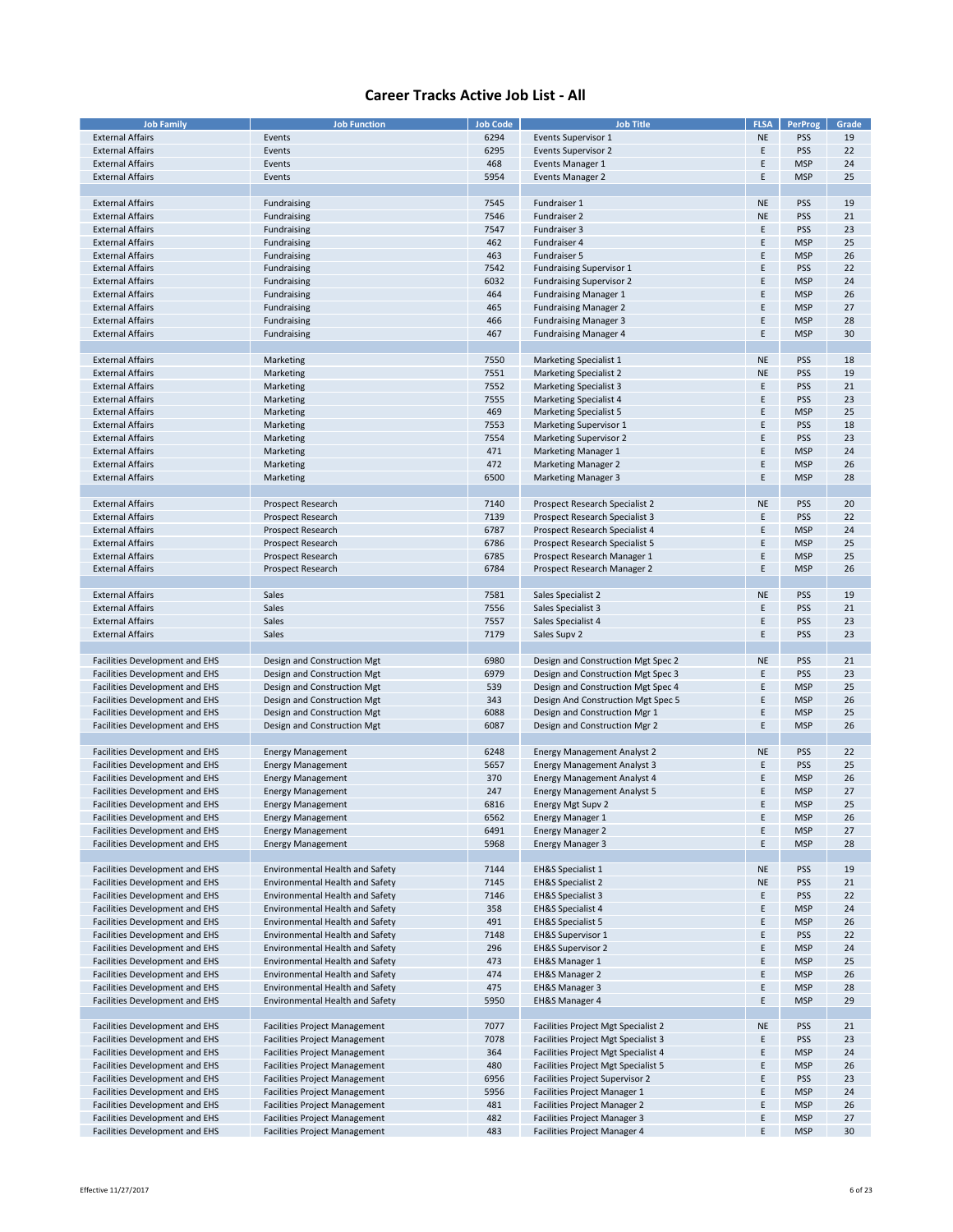| <b>Job Family</b>                     | <b>Job Function</b>                    | <b>Job Code</b> | <b>Job Title</b>                    | <b>FLSA</b> | <b>PerProg</b> | Grade |
|---------------------------------------|----------------------------------------|-----------------|-------------------------------------|-------------|----------------|-------|
| <b>External Affairs</b>               | Events                                 | 6294            | Events Supervisor 1                 | <b>NE</b>   | PSS            | 19    |
|                                       |                                        |                 |                                     |             |                |       |
| <b>External Affairs</b>               | Events                                 | 6295            | <b>Events Supervisor 2</b>          | Ε           | <b>PSS</b>     | 22    |
| <b>External Affairs</b>               | Events                                 | 468             | Events Manager 1                    | E           | <b>MSP</b>     | 24    |
| <b>External Affairs</b>               | Events                                 | 5954            | <b>Events Manager 2</b>             | E           | <b>MSP</b>     | 25    |
|                                       |                                        |                 |                                     |             |                |       |
| <b>External Affairs</b>               | Fundraising                            | 7545            | Fundraiser 1                        | <b>NE</b>   | <b>PSS</b>     | 19    |
| <b>External Affairs</b>               | Fundraising                            | 7546            | Fundraiser 2                        | <b>NE</b>   | <b>PSS</b>     | 21    |
|                                       |                                        |                 |                                     |             |                |       |
| <b>External Affairs</b>               | Fundraising                            | 7547            | Fundraiser 3                        | E           | PSS            | 23    |
| <b>External Affairs</b>               | Fundraising                            | 462             | Fundraiser 4                        | E           | <b>MSP</b>     | 25    |
| <b>External Affairs</b>               | Fundraising                            | 463             | Fundraiser 5                        | E           | <b>MSP</b>     | 26    |
| <b>External Affairs</b>               | Fundraising                            | 7542            | <b>Fundraising Supervisor 1</b>     | E           | PSS            | 22    |
| <b>External Affairs</b>               | Fundraising                            | 6032            | <b>Fundraising Supervisor 2</b>     | E           | <b>MSP</b>     | 24    |
| <b>External Affairs</b>               |                                        |                 |                                     | E           | <b>MSP</b>     | 26    |
|                                       | Fundraising                            | 464             | <b>Fundraising Manager 1</b>        |             |                |       |
| <b>External Affairs</b>               | Fundraising                            | 465             | <b>Fundraising Manager 2</b>        | E           | <b>MSP</b>     | 27    |
| <b>External Affairs</b>               | Fundraising                            | 466             | <b>Fundraising Manager 3</b>        | E           | <b>MSP</b>     | 28    |
| <b>External Affairs</b>               | Fundraising                            | 467             | <b>Fundraising Manager 4</b>        | E           | <b>MSP</b>     | 30    |
|                                       |                                        |                 |                                     |             |                |       |
| <b>External Affairs</b>               | Marketing                              | 7550            | <b>Marketing Specialist 1</b>       | <b>NE</b>   | <b>PSS</b>     | 18    |
| <b>External Affairs</b>               | Marketing                              | 7551            | <b>Marketing Specialist 2</b>       | <b>NE</b>   | PSS            | 19    |
|                                       |                                        |                 |                                     |             |                |       |
| <b>External Affairs</b>               | Marketing                              | 7552            | <b>Marketing Specialist 3</b>       | E           | PSS            | 21    |
| <b>External Affairs</b>               | Marketing                              | 7555            | <b>Marketing Specialist 4</b>       | E           | PSS            | 23    |
| <b>External Affairs</b>               | Marketing                              | 469             | <b>Marketing Specialist 5</b>       | E           | <b>MSP</b>     | 25    |
| <b>External Affairs</b>               | Marketing                              | 7553            | Marketing Supervisor 1              | E           | PSS            | 18    |
| <b>External Affairs</b>               | Marketing                              | 7554            | <b>Marketing Supervisor 2</b>       | E           | PSS            | 23    |
|                                       |                                        |                 |                                     |             |                |       |
| <b>External Affairs</b>               | Marketing                              | 471             | Marketing Manager 1                 | E           | <b>MSP</b>     | 24    |
| <b>External Affairs</b>               | Marketing                              | 472             | <b>Marketing Manager 2</b>          | E           | <b>MSP</b>     | 26    |
| <b>External Affairs</b>               | Marketing                              | 6500            | <b>Marketing Manager 3</b>          | E           | <b>MSP</b>     | 28    |
|                                       |                                        |                 |                                     |             |                |       |
| <b>External Affairs</b>               | Prospect Research                      | 7140            | Prospect Research Specialist 2      | <b>NE</b>   | PSS            | 20    |
|                                       |                                        |                 |                                     |             |                |       |
| <b>External Affairs</b>               | Prospect Research                      | 7139            | Prospect Research Specialist 3      | E           | PSS            | 22    |
| <b>External Affairs</b>               | Prospect Research                      | 6787            | Prospect Research Specialist 4      | E           | <b>MSP</b>     | 24    |
| <b>External Affairs</b>               | Prospect Research                      | 6786            | Prospect Research Specialist 5      | E           | <b>MSP</b>     | 25    |
| <b>External Affairs</b>               | Prospect Research                      | 6785            | Prospect Research Manager 1         | Ε           | <b>MSP</b>     | 25    |
| <b>External Affairs</b>               | Prospect Research                      | 6784            | Prospect Research Manager 2         | E           | <b>MSP</b>     | 26    |
|                                       |                                        |                 |                                     |             |                |       |
| <b>External Affairs</b>               |                                        |                 |                                     | <b>NE</b>   |                | 19    |
|                                       | Sales                                  | 7581            | Sales Specialist 2                  |             | <b>PSS</b>     |       |
| <b>External Affairs</b>               | Sales                                  | 7556            | Sales Specialist 3                  | E           | <b>PSS</b>     | 21    |
| <b>External Affairs</b>               | Sales                                  | 7557            | Sales Specialist 4                  | E           | PSS            | 23    |
| <b>External Affairs</b>               | Sales                                  | 7179            | Sales Supv 2                        | E           | PSS            | 23    |
|                                       |                                        |                 |                                     |             |                |       |
| Facilities Development and EHS        | Design and Construction Mgt            | 6980            | Design and Construction Mgt Spec 2  | <b>NE</b>   | <b>PSS</b>     | 21    |
|                                       |                                        | 6979            |                                     | E           | PSS            |       |
| Facilities Development and EHS        | Design and Construction Mgt            |                 | Design and Construction Mgt Spec 3  |             |                | 23    |
| Facilities Development and EHS        | Design and Construction Mgt            | 539             | Design and Construction Mgt Spec 4  | E           | <b>MSP</b>     | 25    |
| Facilities Development and EHS        | Design and Construction Mgt            | 343             | Design And Construction Mgt Spec 5  | E           | <b>MSP</b>     | 26    |
| Facilities Development and EHS        | Design and Construction Mgt            | 6088            | Design and Construction Mgr 1       | Ε           | <b>MSP</b>     | 25    |
| Facilities Development and EHS        | Design and Construction Mgt            | 6087            | Design and Construction Mgr 2       | E           | <b>MSP</b>     | 26    |
|                                       |                                        |                 |                                     |             |                |       |
| Facilities Development and EHS        |                                        | 6248            | <b>Energy Management Analyst 2</b>  | <b>NE</b>   | <b>PSS</b>     | 22    |
|                                       | <b>Energy Management</b>               |                 |                                     |             |                |       |
| Facilities Development and EHS        | <b>Energy Management</b>               | 5657            | <b>Energy Management Analyst 3</b>  | E           | PSS            | 25    |
| Facilities Development and EHS        | <b>Energy Management</b>               | 370             | <b>Energy Management Analyst 4</b>  | E           | <b>MSP</b>     | 26    |
| <b>Facilities Development and EHS</b> | <b>Energy Management</b>               | 247             | <b>Energy Management Analyst 5</b>  | E           | <b>MSP</b>     | 27    |
| <b>Facilities Development and EHS</b> | <b>Energy Management</b>               | 6816            | <b>Energy Mgt Supv 2</b>            | E           | <b>MSP</b>     | 25    |
| Facilities Development and EHS        | <b>Energy Management</b>               | 6562            | <b>Energy Manager 1</b>             | Ε           | <b>MSP</b>     | 26    |
| Facilities Development and EHS        | <b>Energy Management</b>               | 6491            | <b>Energy Manager 2</b>             | Ε           | <b>MSP</b>     | 27    |
|                                       |                                        |                 |                                     |             |                |       |
| Facilities Development and EHS        | <b>Energy Management</b>               | 5968            | <b>Energy Manager 3</b>             | E           | <b>MSP</b>     | 28    |
|                                       |                                        |                 |                                     |             |                |       |
| Facilities Development and EHS        | Environmental Health and Safety        | 7144            | <b>EH&amp;S Specialist 1</b>        | <b>NE</b>   | <b>PSS</b>     | 19    |
| Facilities Development and EHS        | <b>Environmental Health and Safety</b> | 7145            | <b>EH&amp;S Specialist 2</b>        | <b>NE</b>   | <b>PSS</b>     | 21    |
| Facilities Development and EHS        | Environmental Health and Safety        | 7146            | <b>EH&amp;S Specialist 3</b>        | E           | PSS            | 22    |
| Facilities Development and EHS        | Environmental Health and Safety        | 358             | <b>EH&amp;S Specialist 4</b>        | E           | <b>MSP</b>     | 24    |
|                                       |                                        |                 |                                     | E           |                |       |
| Facilities Development and EHS        | Environmental Health and Safety        | 491             | <b>EH&amp;S Specialist 5</b>        |             | <b>MSP</b>     | 26    |
| Facilities Development and EHS        | Environmental Health and Safety        | 7148            | EH&S Supervisor 1                   | E           | <b>PSS</b>     | 22    |
| Facilities Development and EHS        | Environmental Health and Safety        | 296             | <b>EH&amp;S Supervisor 2</b>        | E           | <b>MSP</b>     | 24    |
| Facilities Development and EHS        | Environmental Health and Safety        | 473             | EH&S Manager 1                      | E.          | <b>MSP</b>     | 25    |
| Facilities Development and EHS        | Environmental Health and Safety        | 474             | EH&S Manager 2                      | E.          | <b>MSP</b>     | 26    |
| Facilities Development and EHS        | <b>Environmental Health and Safety</b> | 475             | EH&S Manager 3                      | E           | <b>MSP</b>     | 28    |
|                                       |                                        |                 |                                     |             |                |       |
| Facilities Development and EHS        | Environmental Health and Safety        | 5950            | EH&S Manager 4                      | E           | <b>MSP</b>     | 29    |
|                                       |                                        |                 |                                     |             |                |       |
| Facilities Development and EHS        | <b>Facilities Project Management</b>   | 7077            | Facilities Project Mgt Specialist 2 | <b>NE</b>   | <b>PSS</b>     | 21    |
| Facilities Development and EHS        | <b>Facilities Project Management</b>   | 7078            | Facilities Project Mgt Specialist 3 | E           | <b>PSS</b>     | 23    |
| Facilities Development and EHS        | <b>Facilities Project Management</b>   | 364             | Facilities Project Mgt Specialist 4 | E           | <b>MSP</b>     | 24    |
| Facilities Development and EHS        | <b>Facilities Project Management</b>   | 480             | Facilities Project Mgt Specialist 5 | E.          | <b>MSP</b>     | 26    |
| Facilities Development and EHS        | <b>Facilities Project Management</b>   | 6956            | Facilities Project Supervisor 2     | E           | <b>PSS</b>     | 23    |
|                                       |                                        |                 |                                     |             |                |       |
| Facilities Development and EHS        | <b>Facilities Project Management</b>   | 5956            | Facilities Project Manager 1        | E.          | <b>MSP</b>     | 24    |
| Facilities Development and EHS        | <b>Facilities Project Management</b>   | 481             | Facilities Project Manager 2        | E           | <b>MSP</b>     | 26    |
| Facilities Development and EHS        | <b>Facilities Project Management</b>   | 482             | Facilities Project Manager 3        | E           | <b>MSP</b>     | 27    |
| Facilities Development and EHS        | <b>Facilities Project Management</b>   | 483             | Facilities Project Manager 4        | E           | <b>MSP</b>     | 30    |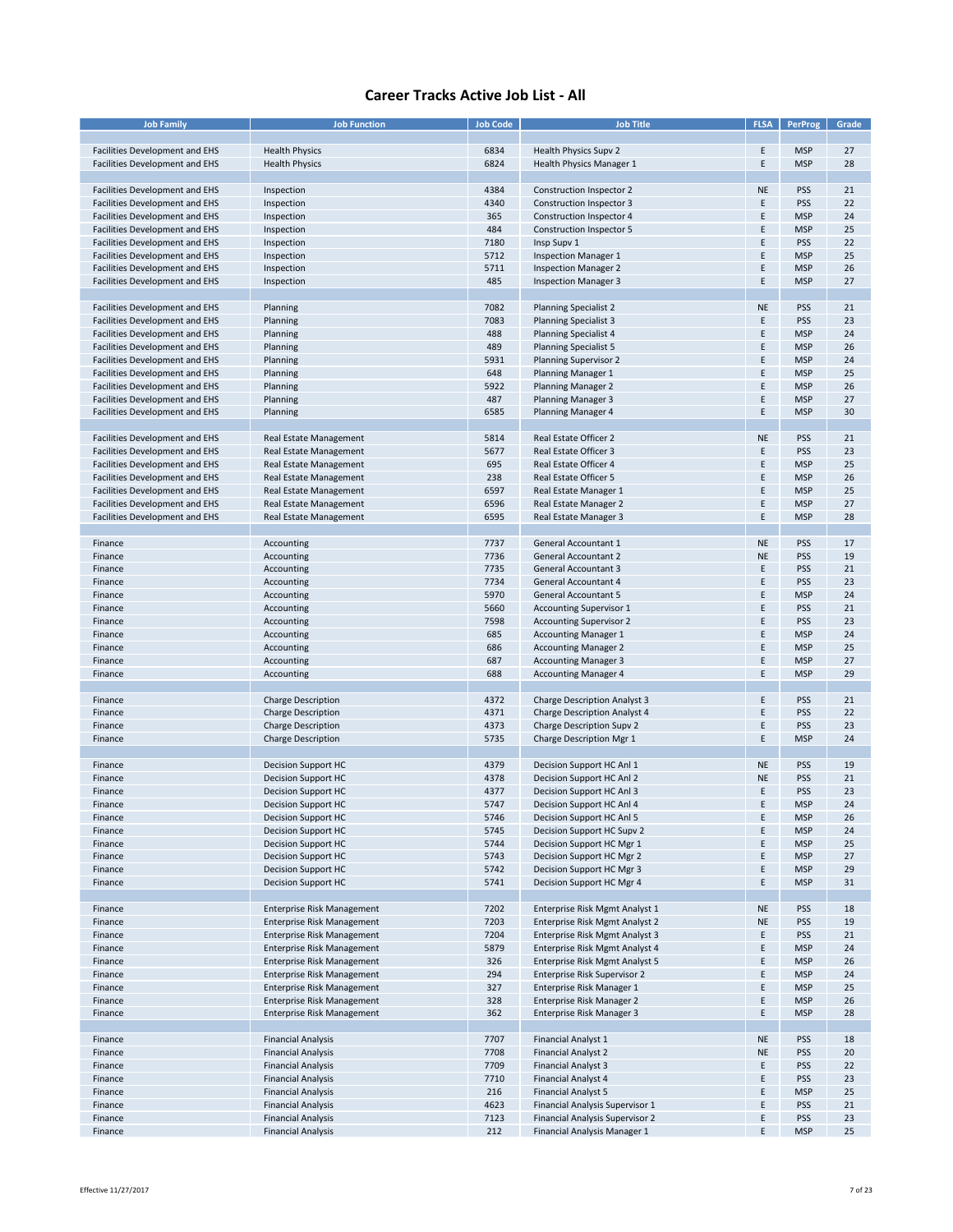| <b>Job Family</b>                     | <b>Job Function</b>           | <b>Job Code</b> | <b>Job Title</b>                    | <b>FLSA</b> | <b>PerProg</b> | Grade |
|---------------------------------------|-------------------------------|-----------------|-------------------------------------|-------------|----------------|-------|
|                                       |                               |                 |                                     |             |                |       |
| Facilities Development and EHS        | <b>Health Physics</b>         | 6834            | Health Physics Supv 2               | E           | <b>MSP</b>     | 27    |
| Facilities Development and EHS        | <b>Health Physics</b>         | 6824            | Health Physics Manager 1            | Ε           | <b>MSP</b>     | 28    |
|                                       |                               |                 |                                     |             |                |       |
| Facilities Development and EHS        | Inspection                    | 4384            | Construction Inspector 2            | <b>NE</b>   | <b>PSS</b>     | 21    |
|                                       | Inspection                    | 4340            |                                     | E           | <b>PSS</b>     | 22    |
| Facilities Development and EHS        |                               |                 | Construction Inspector 3            |             |                |       |
| Facilities Development and EHS        | Inspection                    | 365             | Construction Inspector 4            | Ε           | <b>MSP</b>     | 24    |
| Facilities Development and EHS        | Inspection                    | 484             | Construction Inspector 5            | Ε           | <b>MSP</b>     | 25    |
| Facilities Development and EHS        | Inspection                    | 7180            | Insp Supv 1                         | E           | <b>PSS</b>     | 22    |
| Facilities Development and EHS        | Inspection                    | 5712            | <b>Inspection Manager 1</b>         | E           | <b>MSP</b>     | 25    |
| <b>Facilities Development and EHS</b> | Inspection                    | 5711            | <b>Inspection Manager 2</b>         | E           | <b>MSP</b>     | 26    |
| Facilities Development and EHS        | Inspection                    | 485             | <b>Inspection Manager 3</b>         | Ε           | <b>MSP</b>     | 27    |
|                                       |                               |                 |                                     |             |                |       |
| Facilities Development and EHS        | Planning                      | 7082            | <b>Planning Specialist 2</b>        | <b>NE</b>   | <b>PSS</b>     | 21    |
| Facilities Development and EHS        | Planning                      | 7083            | <b>Planning Specialist 3</b>        | E           | <b>PSS</b>     | 23    |
| Facilities Development and EHS        | Planning                      | 488             | <b>Planning Specialist 4</b>        | E           | <b>MSP</b>     | 24    |
|                                       |                               |                 |                                     |             |                | 26    |
| Facilities Development and EHS        | Planning                      | 489             | <b>Planning Specialist 5</b>        | Ε           | <b>MSP</b>     |       |
| Facilities Development and EHS        | Planning                      | 5931            | <b>Planning Supervisor 2</b>        | E           | <b>MSP</b>     | 24    |
| Facilities Development and EHS        | Planning                      | 648             | Planning Manager 1                  | E           | <b>MSP</b>     | 25    |
| Facilities Development and EHS        | Planning                      | 5922            | Planning Manager 2                  | E           | <b>MSP</b>     | 26    |
| Facilities Development and EHS        | Planning                      | 487             | <b>Planning Manager 3</b>           | E           | <b>MSP</b>     | 27    |
| Facilities Development and EHS        | Planning                      | 6585            | Planning Manager 4                  | E           | <b>MSP</b>     | 30    |
|                                       |                               |                 |                                     |             |                |       |
| Facilities Development and EHS        | <b>Real Estate Management</b> | 5814            | Real Estate Officer 2               | <b>NE</b>   | <b>PSS</b>     | 21    |
| Facilities Development and EHS        | <b>Real Estate Management</b> | 5677            | Real Estate Officer 3               | E           | <b>PSS</b>     | 23    |
|                                       |                               |                 |                                     |             |                |       |
| Facilities Development and EHS        | <b>Real Estate Management</b> | 695             | Real Estate Officer 4               | E           | <b>MSP</b>     | 25    |
| Facilities Development and EHS        | Real Estate Management        | 238             | Real Estate Officer 5               | Ε           | <b>MSP</b>     | 26    |
| Facilities Development and EHS        | <b>Real Estate Management</b> | 6597            | Real Estate Manager 1               | Ε           | <b>MSP</b>     | 25    |
| Facilities Development and EHS        | <b>Real Estate Management</b> | 6596            | Real Estate Manager 2               | E           | <b>MSP</b>     | 27    |
| Facilities Development and EHS        | <b>Real Estate Management</b> | 6595            | Real Estate Manager 3               | E           | <b>MSP</b>     | 28    |
|                                       |                               |                 |                                     |             |                |       |
| Finance                               | Accounting                    | 7737            | General Accountant 1                | <b>NE</b>   | <b>PSS</b>     | 17    |
| Finance                               | Accounting                    | 7736            | <b>General Accountant 2</b>         | <b>NE</b>   | PSS            | 19    |
| Finance                               | Accounting                    | 7735            | <b>General Accountant 3</b>         | E           | <b>PSS</b>     | 21    |
|                                       |                               |                 |                                     |             |                |       |
| Finance                               | Accounting                    | 7734            | <b>General Accountant 4</b>         | E           | <b>PSS</b>     | 23    |
| Finance                               | Accounting                    | 5970            | General Accountant 5                | E           | <b>MSP</b>     | 24    |
| Finance                               | Accounting                    | 5660            | <b>Accounting Supervisor 1</b>      | Ε           | <b>PSS</b>     | 21    |
| Finance                               | Accounting                    | 7598            | <b>Accounting Supervisor 2</b>      | E           | <b>PSS</b>     | 23    |
| Finance                               | Accounting                    | 685             | <b>Accounting Manager 1</b>         | E           | <b>MSP</b>     | 24    |
| Finance                               | Accounting                    | 686             | <b>Accounting Manager 2</b>         | E           | <b>MSP</b>     | 25    |
| Finance                               | Accounting                    | 687             | <b>Accounting Manager 3</b>         | E           | <b>MSP</b>     | 27    |
| Finance                               | Accounting                    | 688             | <b>Accounting Manager 4</b>         | E           | <b>MSP</b>     | 29    |
|                                       |                               |                 |                                     |             |                |       |
| Finance                               | <b>Charge Description</b>     | 4372            | <b>Charge Description Analyst 3</b> | E           | <b>PSS</b>     | 21    |
|                                       |                               | 4371            | <b>Charge Description Analyst 4</b> | E           | <b>PSS</b>     | 22    |
| Finance                               | <b>Charge Description</b>     |                 |                                     |             |                |       |
| Finance                               | <b>Charge Description</b>     | 4373            | <b>Charge Description Supv 2</b>    | E           | <b>PSS</b>     | 23    |
| Finance                               | <b>Charge Description</b>     | 5735            | Charge Description Mgr 1            | Ε           | <b>MSP</b>     | 24    |
|                                       |                               |                 |                                     |             |                |       |
| Finance                               | <b>Decision Support HC</b>    | 4379            | Decision Support HC Anl 1           | <b>NE</b>   | <b>PSS</b>     | 19    |
| Finance                               | Decision Support HC           | 4378            | Decision Support HC Anl 2           | <b>NE</b>   | <b>PSS</b>     | 21    |
| Finance                               | <b>Decision Support HC</b>    | 4377            | Decision Support HC Anl 3           | E           | <b>PSS</b>     | 23    |
| Finance                               | <b>Decision Support HC</b>    | 5747            | Decision Support HC Anl 4           | E           | <b>MSP</b>     | 24    |
| Finance                               | <b>Decision Support HC</b>    | 5746            | Decision Support HC Anl 5           | Ε           | <b>MSP</b>     | 26    |
| Finance                               | <b>Decision Support HC</b>    | 5745            | Decision Support HC Supv 2          | E           | <b>MSP</b>     | 24    |
| Finance                               | <b>Decision Support HC</b>    | 5744            | Decision Support HC Mgr 1           | E           | <b>MSP</b>     | 25    |
| Finance                               | <b>Decision Support HC</b>    | 5743            | Decision Support HC Mgr 2           | E           | <b>MSP</b>     | 27    |
|                                       |                               | 5742            | Decision Support HC Mgr 3           | E           |                |       |
| Finance                               | <b>Decision Support HC</b>    |                 |                                     |             | <b>MSP</b>     | 29    |
| Finance                               | <b>Decision Support HC</b>    | 5741            | Decision Support HC Mgr 4           | Ε           | <b>MSP</b>     | 31    |
|                                       |                               |                 |                                     |             |                |       |
| Finance                               | Enterprise Risk Management    | 7202            | Enterprise Risk Mgmt Analyst 1      | <b>NE</b>   | <b>PSS</b>     | 18    |
| Finance                               | Enterprise Risk Management    | 7203            | Enterprise Risk Mgmt Analyst 2      | <b>NE</b>   | <b>PSS</b>     | 19    |
| Finance                               | Enterprise Risk Management    | 7204            | Enterprise Risk Mgmt Analyst 3      | E           | <b>PSS</b>     | 21    |
| Finance                               | Enterprise Risk Management    | 5879            | Enterprise Risk Mgmt Analyst 4      | E           | <b>MSP</b>     | 24    |
| Finance                               | Enterprise Risk Management    | 326             | Enterprise Risk Mgmt Analyst 5      | E           | <b>MSP</b>     | 26    |
| Finance                               | Enterprise Risk Management    | 294             | Enterprise Risk Supervisor 2        | E           | <b>MSP</b>     | 24    |
| Finance                               | Enterprise Risk Management    | 327             | Enterprise Risk Manager 1           | E           | <b>MSP</b>     | 25    |
| Finance                               | Enterprise Risk Management    | 328             | Enterprise Risk Manager 2           | E           | <b>MSP</b>     | 26    |
|                                       | Enterprise Risk Management    |                 | Enterprise Risk Manager 3           |             |                |       |
| Finance                               |                               | 362             |                                     | Ε           | <b>MSP</b>     | 28    |
|                                       |                               |                 |                                     |             |                |       |
| Finance                               | <b>Financial Analysis</b>     | 7707            | <b>Financial Analyst 1</b>          | <b>NE</b>   | <b>PSS</b>     | 18    |
| Finance                               | <b>Financial Analysis</b>     | 7708            | <b>Financial Analyst 2</b>          | <b>NE</b>   | <b>PSS</b>     | 20    |
| Finance                               | <b>Financial Analysis</b>     | 7709            | <b>Financial Analyst 3</b>          | E           | <b>PSS</b>     | 22    |
| Finance                               | <b>Financial Analysis</b>     | 7710            | <b>Financial Analyst 4</b>          | Ε           | <b>PSS</b>     | 23    |
| Finance                               | <b>Financial Analysis</b>     | 216             | <b>Financial Analyst 5</b>          | E           | <b>MSP</b>     | 25    |
| Finance                               | <b>Financial Analysis</b>     | 4623            | Financial Analysis Supervisor 1     | Ε           | <b>PSS</b>     | 21    |
| Finance                               | <b>Financial Analysis</b>     | 7123            | Financial Analysis Supervisor 2     | Ε           | <b>PSS</b>     | 23    |
| Finance                               | <b>Financial Analysis</b>     | 212             | Financial Analysis Manager 1        | E           | <b>MSP</b>     | 25    |
|                                       |                               |                 |                                     |             |                |       |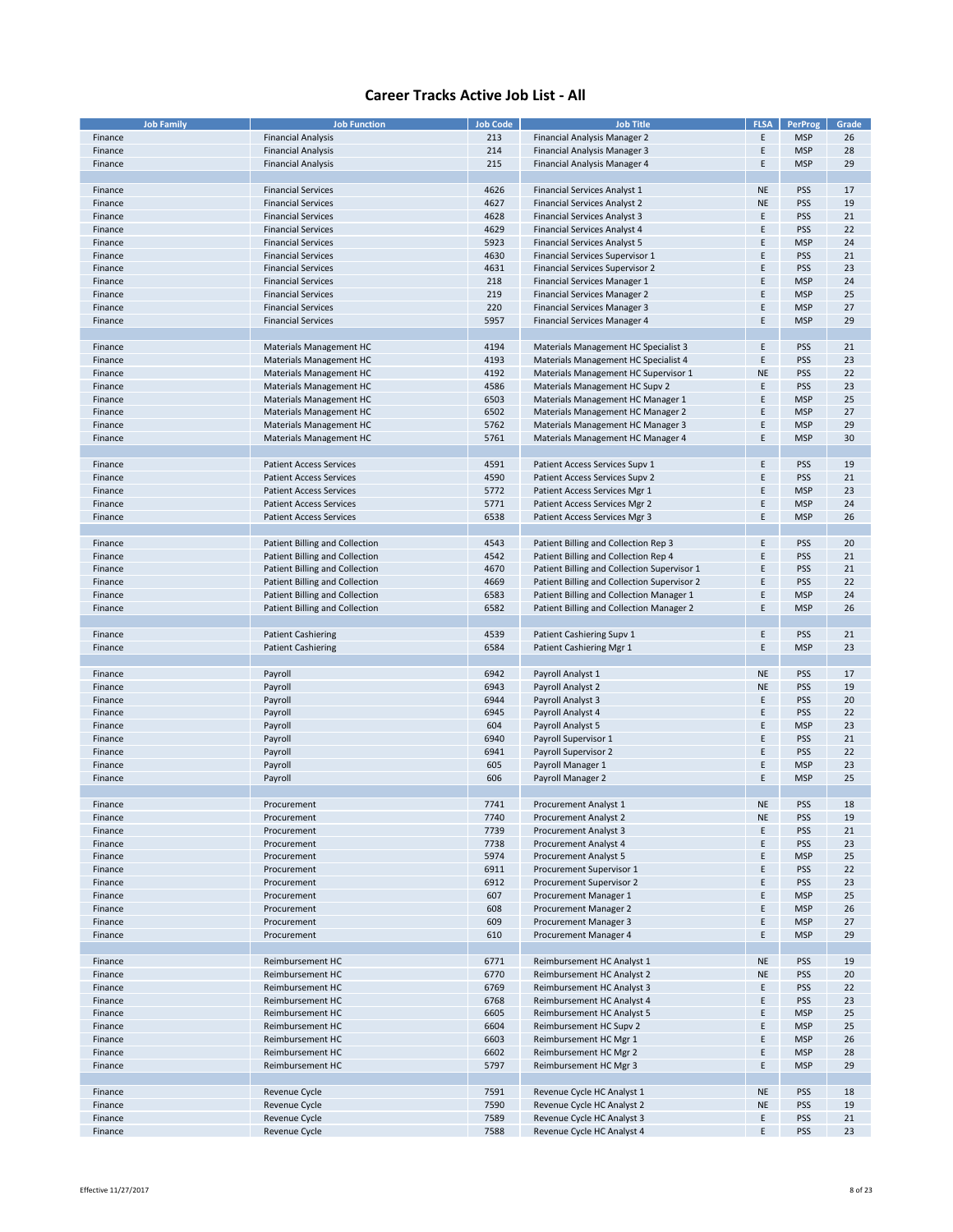| <b>Job Family</b> | <b>Job Function</b>                   | <b>Job Code</b> | <b>Job Title</b>                            | <b>FLSA</b> | <b>PerProg</b> | Grade |
|-------------------|---------------------------------------|-----------------|---------------------------------------------|-------------|----------------|-------|
| Finance           | <b>Financial Analysis</b>             | 213             | <b>Financial Analysis Manager 2</b>         | E           | <b>MSP</b>     | 26    |
|                   |                                       |                 |                                             |             |                |       |
| Finance           | <b>Financial Analysis</b>             | 214             | Financial Analysis Manager 3                | Ε           | <b>MSP</b>     | 28    |
| Finance           | <b>Financial Analysis</b>             | 215             | Financial Analysis Manager 4                | Ε           | <b>MSP</b>     | 29    |
|                   |                                       |                 |                                             |             |                |       |
| Finance           | <b>Financial Services</b>             | 4626            | <b>Financial Services Analyst 1</b>         | <b>NE</b>   | <b>PSS</b>     | 17    |
| Finance           | <b>Financial Services</b>             | 4627            | <b>Financial Services Analyst 2</b>         | <b>NE</b>   | <b>PSS</b>     | 19    |
|                   |                                       |                 |                                             |             |                |       |
| Finance           | <b>Financial Services</b>             | 4628            | <b>Financial Services Analyst 3</b>         | Ε           | <b>PSS</b>     | 21    |
| Finance           | <b>Financial Services</b>             | 4629            | <b>Financial Services Analyst 4</b>         | E           | <b>PSS</b>     | 22    |
| Finance           | <b>Financial Services</b>             | 5923            | <b>Financial Services Analyst 5</b>         | E           | <b>MSP</b>     | 24    |
|                   | <b>Financial Services</b>             | 4630            |                                             | E           | <b>PSS</b>     | 21    |
| Finance           |                                       |                 | Financial Services Supervisor 1             |             |                |       |
| Finance           | <b>Financial Services</b>             | 4631            | <b>Financial Services Supervisor 2</b>      | E           | <b>PSS</b>     | 23    |
| Finance           | <b>Financial Services</b>             | 218             | <b>Financial Services Manager 1</b>         | Ε           | <b>MSP</b>     | 24    |
| Finance           | <b>Financial Services</b>             | 219             | <b>Financial Services Manager 2</b>         | E           | <b>MSP</b>     | 25    |
| Finance           | <b>Financial Services</b>             | 220             | <b>Financial Services Manager 3</b>         | E           | <b>MSP</b>     | 27    |
|                   |                                       |                 |                                             |             |                |       |
| Finance           | <b>Financial Services</b>             | 5957            | <b>Financial Services Manager 4</b>         | Ε           | <b>MSP</b>     | 29    |
|                   |                                       |                 |                                             |             |                |       |
| Finance           | Materials Management HC               | 4194            | Materials Management HC Specialist 3        | Ε           | <b>PSS</b>     | 21    |
| Finance           | Materials Management HC               | 4193            | Materials Management HC Specialist 4        | Е           | <b>PSS</b>     | 23    |
|                   |                                       |                 |                                             |             |                |       |
| Finance           | Materials Management HC               | 4192            | Materials Management HC Supervisor 1        | <b>NE</b>   | <b>PSS</b>     | 22    |
| Finance           | Materials Management HC               | 4586            | Materials Management HC Supv 2              | Ε           | <b>PSS</b>     | 23    |
| Finance           | Materials Management HC               | 6503            | Materials Management HC Manager 1           | E           | <b>MSP</b>     | 25    |
| Finance           | Materials Management HC               | 6502            | Materials Management HC Manager 2           | Ε           | <b>MSP</b>     | 27    |
|                   |                                       |                 |                                             |             |                |       |
| Finance           | Materials Management HC               | 5762            | Materials Management HC Manager 3           | Ε           | <b>MSP</b>     | 29    |
| Finance           | Materials Management HC               | 5761            | Materials Management HC Manager 4           | E           | <b>MSP</b>     | 30    |
|                   |                                       |                 |                                             |             |                |       |
|                   |                                       | 4591            |                                             | E           |                | 19    |
| Finance           | <b>Patient Access Services</b>        |                 | Patient Access Services Supv 1              |             | <b>PSS</b>     |       |
| Finance           | <b>Patient Access Services</b>        | 4590            | Patient Access Services Supv 2              | Ε           | <b>PSS</b>     | 21    |
| Finance           | <b>Patient Access Services</b>        | 5772            | Patient Access Services Mgr 1               | E           | <b>MSP</b>     | 23    |
| Finance           | <b>Patient Access Services</b>        | 5771            | Patient Access Services Mgr 2               | E           | <b>MSP</b>     | 24    |
|                   |                                       |                 |                                             |             |                |       |
| Finance           | <b>Patient Access Services</b>        | 6538            | Patient Access Services Mgr 3               | Ε           | <b>MSP</b>     | 26    |
|                   |                                       |                 |                                             |             |                |       |
| Finance           | Patient Billing and Collection        | 4543            | Patient Billing and Collection Rep 3        | Ε           | <b>PSS</b>     | 20    |
| Finance           | <b>Patient Billing and Collection</b> | 4542            | Patient Billing and Collection Rep 4        | E           | <b>PSS</b>     | 21    |
|                   |                                       |                 |                                             | E           | <b>PSS</b>     | 21    |
| Finance           | Patient Billing and Collection        | 4670            | Patient Billing and Collection Supervisor 1 |             |                |       |
| Finance           | Patient Billing and Collection        | 4669            | Patient Billing and Collection Supervisor 2 | E           | <b>PSS</b>     | 22    |
| Finance           | Patient Billing and Collection        | 6583            | Patient Billing and Collection Manager 1    | E           | <b>MSP</b>     | 24    |
| Finance           | Patient Billing and Collection        | 6582            | Patient Billing and Collection Manager 2    | Ε           | <b>MSP</b>     | 26    |
|                   |                                       |                 |                                             |             |                |       |
|                   |                                       |                 |                                             |             |                |       |
| Finance           | <b>Patient Cashiering</b>             | 4539            | Patient Cashiering Supv 1                   | E           | <b>PSS</b>     | 21    |
| Finance           | <b>Patient Cashiering</b>             | 6584            | Patient Cashiering Mgr 1                    | Ε           | <b>MSP</b>     | 23    |
|                   |                                       |                 |                                             |             |                |       |
|                   | Payroll                               | 6942            | Payroll Analyst 1                           | <b>NE</b>   | <b>PSS</b>     | 17    |
| Finance           |                                       |                 |                                             |             |                |       |
| Finance           | Payroll                               | 6943            | Payroll Analyst 2                           | <b>NE</b>   | <b>PSS</b>     | 19    |
| Finance           | Payroll                               | 6944            | Payroll Analyst 3                           | E           | <b>PSS</b>     | 20    |
| Finance           | Payroll                               | 6945            | Payroll Analyst 4                           | E           | <b>PSS</b>     | 22    |
| Finance           | Payroll                               | 604             | Payroll Analyst 5                           | E           | <b>MSP</b>     | 23    |
|                   |                                       |                 |                                             |             |                |       |
| Finance           | Payroll                               | 6940            | Payroll Supervisor 1                        | E           | <b>PSS</b>     | 21    |
| Finance           | Payroll                               | 6941            | Payroll Supervisor 2                        | E           | <b>PSS</b>     | 22    |
| Finance           | Payroll                               | 605             | Payroll Manager 1                           | E           | <b>MSP</b>     | 23    |
| Finance           | Payroll                               | 606             | Payroll Manager 2                           | E           | <b>MSP</b>     | 25    |
|                   |                                       |                 |                                             |             |                |       |
|                   |                                       |                 |                                             |             |                |       |
| Finance           | Procurement                           | 7741            | Procurement Analyst 1                       | <b>NE</b>   | <b>PSS</b>     | 18    |
| Finance           | Procurement                           | 7740            | Procurement Analyst 2                       | <b>NE</b>   | <b>PSS</b>     | 19    |
| Finance           | Procurement                           | 7739            | Procurement Analyst 3                       | Ε           | PSS            | 21    |
| Finance           | Procurement                           | 7738            | Procurement Analyst 4                       | E           | PSS            | 23    |
|                   |                                       |                 |                                             |             |                |       |
| Finance           | Procurement                           | 5974            | Procurement Analyst 5                       | E           | <b>MSP</b>     | 25    |
| Finance           | Procurement                           | 6911            | Procurement Supervisor 1                    | E           | PSS            | 22    |
| Finance           | Procurement                           | 6912            | Procurement Supervisor 2                    | Ε           | <b>PSS</b>     | 23    |
| Finance           | Procurement                           | 607             | Procurement Manager 1                       | E           | <b>MSP</b>     | 25    |
|                   |                                       |                 |                                             |             |                |       |
| Finance           | Procurement                           | 608             | Procurement Manager 2                       | E           | <b>MSP</b>     | 26    |
| Finance           | Procurement                           | 609             | Procurement Manager 3                       | E           | <b>MSP</b>     | 27    |
| Finance           | Procurement                           | 610             | Procurement Manager 4                       | E           | <b>MSP</b>     | 29    |
|                   |                                       |                 |                                             |             |                |       |
|                   |                                       |                 |                                             |             |                |       |
| Finance           | Reimbursement HC                      | 6771            | Reimbursement HC Analyst 1                  | <b>NE</b>   | <b>PSS</b>     | 19    |
| Finance           | Reimbursement HC                      | 6770            | Reimbursement HC Analyst 2                  | <b>NE</b>   | <b>PSS</b>     | 20    |
| Finance           | Reimbursement HC                      | 6769            | Reimbursement HC Analyst 3                  | E           | <b>PSS</b>     | 22    |
| Finance           | Reimbursement HC                      | 6768            | Reimbursement HC Analyst 4                  | E           | <b>PSS</b>     | 23    |
|                   |                                       |                 |                                             |             |                |       |
| Finance           | Reimbursement HC                      | 6605            | Reimbursement HC Analyst 5                  | Ε           | <b>MSP</b>     | 25    |
| Finance           | Reimbursement HC                      | 6604            | Reimbursement HC Supv 2                     | E           | <b>MSP</b>     | 25    |
| Finance           | Reimbursement HC                      | 6603            | Reimbursement HC Mgr 1                      | E           | <b>MSP</b>     | 26    |
| Finance           | Reimbursement HC                      | 6602            | Reimbursement HC Mgr 2                      | E           | <b>MSP</b>     | 28    |
|                   |                                       |                 |                                             |             |                |       |
| Finance           | Reimbursement HC                      | 5797            | Reimbursement HC Mgr 3                      | E           | <b>MSP</b>     | 29    |
|                   |                                       |                 |                                             |             |                |       |
| Finance           | Revenue Cycle                         | 7591            | Revenue Cycle HC Analyst 1                  | <b>NE</b>   | <b>PSS</b>     | 18    |
| Finance           | Revenue Cycle                         | 7590            | Revenue Cycle HC Analyst 2                  | <b>NE</b>   | <b>PSS</b>     | 19    |
|                   |                                       |                 |                                             |             |                |       |
| Finance           | Revenue Cycle                         | 7589            | Revenue Cycle HC Analyst 3                  | Ε           | <b>PSS</b>     | 21    |
| Finance           | Revenue Cycle                         | 7588            | Revenue Cycle HC Analyst 4                  | E           | <b>PSS</b>     | 23    |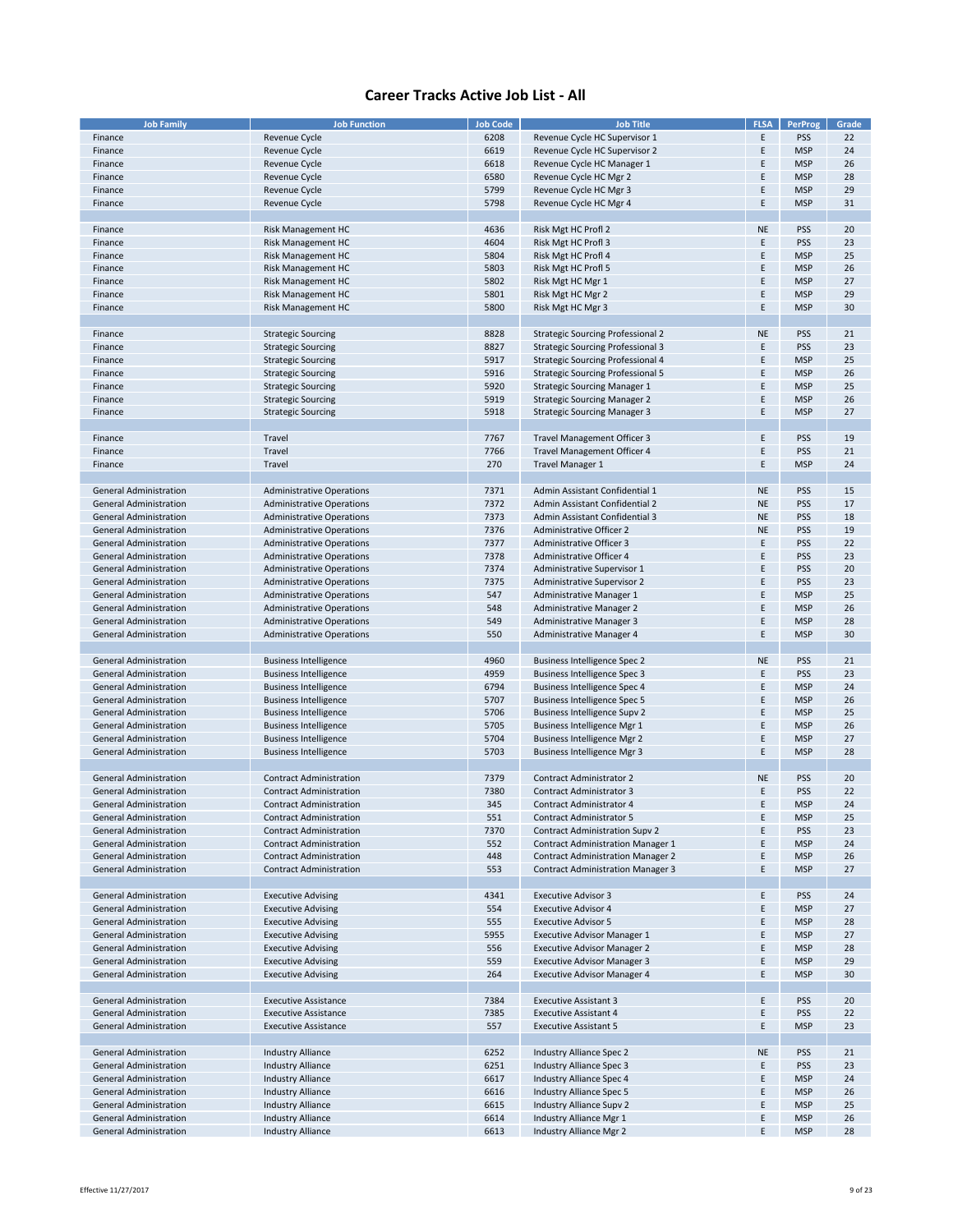| <b>Job Family</b>             | <b>Job Function</b>              | <b>Job Code</b> | <b>Job Title</b>                         | <b>FLSA</b> | <b>PerProg</b> | Grade |
|-------------------------------|----------------------------------|-----------------|------------------------------------------|-------------|----------------|-------|
|                               |                                  |                 |                                          |             |                |       |
| Finance                       | Revenue Cycle                    | 6208            | Revenue Cycle HC Supervisor 1            | E           | PSS            | 22    |
| Finance                       | Revenue Cycle                    | 6619            | Revenue Cycle HC Supervisor 2            | E           | <b>MSP</b>     | 24    |
| Finance                       | <b>Revenue Cycle</b>             | 6618            | Revenue Cycle HC Manager 1               | E           | <b>MSP</b>     | 26    |
| Finance                       | Revenue Cycle                    | 6580            | Revenue Cycle HC Mgr 2                   | Ε           | <b>MSP</b>     | 28    |
| Finance                       | Revenue Cycle                    | 5799            | Revenue Cycle HC Mgr 3                   | E           | <b>MSP</b>     | 29    |
| Finance                       | Revenue Cycle                    | 5798            | Revenue Cycle HC Mgr 4                   | E           | <b>MSP</b>     | 31    |
|                               |                                  |                 |                                          |             |                |       |
|                               |                                  |                 |                                          |             |                |       |
| Finance                       | <b>Risk Management HC</b>        | 4636            | Risk Mgt HC Profl 2                      | <b>NE</b>   | <b>PSS</b>     | 20    |
| Finance                       | Risk Management HC               | 4604            | Risk Mgt HC Profl 3                      | E           | <b>PSS</b>     | 23    |
| Finance                       | Risk Management HC               | 5804            | Risk Mgt HC Profl 4                      | F           | <b>MSP</b>     | 25    |
| Finance                       | <b>Risk Management HC</b>        | 5803            | Risk Mgt HC Profl 5                      | E           | <b>MSP</b>     | 26    |
| Finance                       | <b>Risk Management HC</b>        | 5802            | Risk Mgt HC Mgr 1                        | E           | <b>MSP</b>     | 27    |
| Finance                       | <b>Risk Management HC</b>        | 5801            | Risk Mgt HC Mgr 2                        | E           | <b>MSP</b>     | 29    |
|                               | <b>Risk Management HC</b>        |                 |                                          | E           | <b>MSP</b>     | 30    |
| Finance                       |                                  | 5800            | Risk Mgt HC Mgr 3                        |             |                |       |
|                               |                                  |                 |                                          |             |                |       |
| Finance                       | <b>Strategic Sourcing</b>        | 8828            | <b>Strategic Sourcing Professional 2</b> | <b>NE</b>   | PSS            | 21    |
| Finance                       | <b>Strategic Sourcing</b>        | 8827            | <b>Strategic Sourcing Professional 3</b> | E           | PSS            | 23    |
| Finance                       | <b>Strategic Sourcing</b>        | 5917            | Strategic Sourcing Professional 4        | E           | <b>MSP</b>     | 25    |
| Finance                       | <b>Strategic Sourcing</b>        | 5916            | <b>Strategic Sourcing Professional 5</b> | Ε           | <b>MSP</b>     | 26    |
| Finance                       | <b>Strategic Sourcing</b>        | 5920            | <b>Strategic Sourcing Manager 1</b>      | E           | <b>MSP</b>     | 25    |
|                               |                                  |                 |                                          |             |                |       |
| Finance                       | <b>Strategic Sourcing</b>        | 5919            | <b>Strategic Sourcing Manager 2</b>      | E           | <b>MSP</b>     | 26    |
| Finance                       | <b>Strategic Sourcing</b>        | 5918            | <b>Strategic Sourcing Manager 3</b>      | E           | <b>MSP</b>     | 27    |
|                               |                                  |                 |                                          |             |                |       |
| Finance                       | Travel                           | 7767            | <b>Travel Management Officer 3</b>       | Ε           | <b>PSS</b>     | 19    |
| Finance                       | Travel                           | 7766            | Travel Management Officer 4              | E           | PSS            | 21    |
| Finance                       | Travel                           | 270             | Travel Manager 1                         | E           | <b>MSP</b>     | 24    |
|                               |                                  |                 |                                          |             |                |       |
|                               |                                  |                 |                                          |             |                |       |
| <b>General Administration</b> | <b>Administrative Operations</b> | 7371            | Admin Assistant Confidential 1           | <b>NE</b>   | <b>PSS</b>     | 15    |
| <b>General Administration</b> | <b>Administrative Operations</b> | 7372            | Admin Assistant Confidential 2           | <b>NE</b>   | <b>PSS</b>     | 17    |
| <b>General Administration</b> | <b>Administrative Operations</b> | 7373            | Admin Assistant Confidential 3           | <b>NE</b>   | PSS            | 18    |
| <b>General Administration</b> | <b>Administrative Operations</b> | 7376            | <b>Administrative Officer 2</b>          | <b>NE</b>   | PSS            | 19    |
| <b>General Administration</b> | <b>Administrative Operations</b> | 7377            | Administrative Officer 3                 | E.          | PSS            | 22    |
| <b>General Administration</b> | <b>Administrative Operations</b> | 7378            | Administrative Officer 4                 | E           | PSS            | 23    |
|                               |                                  |                 |                                          |             |                |       |
| <b>General Administration</b> | <b>Administrative Operations</b> | 7374            | Administrative Supervisor 1              | E           | <b>PSS</b>     | 20    |
| <b>General Administration</b> | <b>Administrative Operations</b> | 7375            | Administrative Supervisor 2              | F           | PSS            | 23    |
| <b>General Administration</b> | <b>Administrative Operations</b> | 547             | Administrative Manager 1                 | E           | <b>MSP</b>     | 25    |
| <b>General Administration</b> | <b>Administrative Operations</b> | 548             | <b>Administrative Manager 2</b>          | F           | <b>MSP</b>     | 26    |
| <b>General Administration</b> | <b>Administrative Operations</b> | 549             | Administrative Manager 3                 | E           | <b>MSP</b>     | 28    |
| <b>General Administration</b> | <b>Administrative Operations</b> | 550             | Administrative Manager 4                 | E           | <b>MSP</b>     | 30    |
|                               |                                  |                 |                                          |             |                |       |
|                               |                                  |                 |                                          |             |                |       |
| <b>General Administration</b> | <b>Business Intelligence</b>     | 4960            | <b>Business Intelligence Spec 2</b>      | <b>NE</b>   | PSS            | 21    |
| <b>General Administration</b> | <b>Business Intelligence</b>     | 4959            | <b>Business Intelligence Spec 3</b>      | E           | PSS            | 23    |
| <b>General Administration</b> | <b>Business Intelligence</b>     | 6794            | Business Intelligence Spec 4             | E           | <b>MSP</b>     | 24    |
| <b>General Administration</b> | <b>Business Intelligence</b>     | 5707            | <b>Business Intelligence Spec 5</b>      | E           | <b>MSP</b>     | 26    |
| <b>General Administration</b> | <b>Business Intelligence</b>     | 5706            | <b>Business Intelligence Supv 2</b>      | E           | <b>MSP</b>     | 25    |
| <b>General Administration</b> | <b>Business Intelligence</b>     | 5705            | Business Intelligence Mgr 1              | E           | <b>MSP</b>     | 26    |
| <b>General Administration</b> | <b>Business Intelligence</b>     | 5704            | <b>Business Intelligence Mgr 2</b>       | E           | <b>MSP</b>     | 27    |
|                               |                                  |                 |                                          |             |                |       |
| <b>General Administration</b> | <b>Business Intelligence</b>     | 5703            | <b>Business Intelligence Mgr 3</b>       | E           | <b>MSP</b>     | 28    |
|                               |                                  |                 |                                          |             |                |       |
| <b>General Administration</b> | <b>Contract Administration</b>   | 7379            | <b>Contract Administrator 2</b>          | <b>NE</b>   | PSS            | 20    |
| <b>General Administration</b> | <b>Contract Administration</b>   | 7380            | <b>Contract Administrator 3</b>          | E           | PSS            | 22    |
| <b>General Administration</b> | <b>Contract Administration</b>   | 345             | <b>Contract Administrator 4</b>          | F           | <b>MSP</b>     | 24    |
| General Administration        | <b>Contract Administration</b>   | 551             | Contract Administrator 5                 | Ε           | <b>MSP</b>     | 25    |
| <b>General Administration</b> | <b>Contract Administration</b>   | 7370            | <b>Contract Administration Supv 2</b>    | Ε           | <b>PSS</b>     | 23    |
|                               |                                  |                 |                                          |             |                |       |
| <b>General Administration</b> | <b>Contract Administration</b>   | 552             | <b>Contract Administration Manager 1</b> | E           | <b>MSP</b>     | 24    |
| <b>General Administration</b> | <b>Contract Administration</b>   | 448             | <b>Contract Administration Manager 2</b> | E           | <b>MSP</b>     | 26    |
| <b>General Administration</b> | <b>Contract Administration</b>   | 553             | <b>Contract Administration Manager 3</b> | E           | <b>MSP</b>     | 27    |
|                               |                                  |                 |                                          |             |                |       |
| <b>General Administration</b> | <b>Executive Advising</b>        | 4341            | <b>Executive Advisor 3</b>               | E           | <b>PSS</b>     | 24    |
| General Administration        | <b>Executive Advising</b>        | 554             | <b>Executive Advisor 4</b>               | E           | <b>MSP</b>     | 27    |
| <b>General Administration</b> | <b>Executive Advising</b>        | 555             | <b>Executive Advisor 5</b>               | E           | <b>MSP</b>     | 28    |
|                               |                                  |                 |                                          |             |                |       |
| General Administration        | <b>Executive Advising</b>        | 5955            | <b>Executive Advisor Manager 1</b>       | E           | <b>MSP</b>     | 27    |
| <b>General Administration</b> | <b>Executive Advising</b>        | 556             | <b>Executive Advisor Manager 2</b>       | E           | <b>MSP</b>     | 28    |
| <b>General Administration</b> | <b>Executive Advising</b>        | 559             | <b>Executive Advisor Manager 3</b>       | E           | <b>MSP</b>     | 29    |
| <b>General Administration</b> | <b>Executive Advising</b>        | 264             | <b>Executive Advisor Manager 4</b>       | E           | <b>MSP</b>     | 30    |
|                               |                                  |                 |                                          |             |                |       |
| <b>General Administration</b> | <b>Executive Assistance</b>      | 7384            | <b>Executive Assistant 3</b>             | E           | <b>PSS</b>     | 20    |
| <b>General Administration</b> | <b>Executive Assistance</b>      | 7385            | <b>Executive Assistant 4</b>             | E           | <b>PSS</b>     | 22    |
|                               |                                  |                 |                                          |             |                |       |
| <b>General Administration</b> | <b>Executive Assistance</b>      | 557             | <b>Executive Assistant 5</b>             | E           | <b>MSP</b>     | 23    |
|                               |                                  |                 |                                          |             |                |       |
| <b>General Administration</b> | <b>Industry Alliance</b>         | 6252            | Industry Alliance Spec 2                 | <b>NE</b>   | <b>PSS</b>     | 21    |
| <b>General Administration</b> | <b>Industry Alliance</b>         | 6251            | Industry Alliance Spec 3                 | E           | <b>PSS</b>     | 23    |
| <b>General Administration</b> | <b>Industry Alliance</b>         | 6617            | Industry Alliance Spec 4                 | E           | <b>MSP</b>     | 24    |
| <b>General Administration</b> | <b>Industry Alliance</b>         | 6616            | Industry Alliance Spec 5                 | E           | <b>MSP</b>     | 26    |
| <b>General Administration</b> | <b>Industry Alliance</b>         | 6615            | Industry Alliance Supv 2                 | E           | <b>MSP</b>     | 25    |
|                               |                                  |                 |                                          |             |                |       |
| General Administration        | <b>Industry Alliance</b>         | 6614            | Industry Alliance Mgr 1                  | E.          | <b>MSP</b>     | 26    |
| <b>General Administration</b> | <b>Industry Alliance</b>         | 6613            | Industry Alliance Mgr 2                  | E           | <b>MSP</b>     | 28    |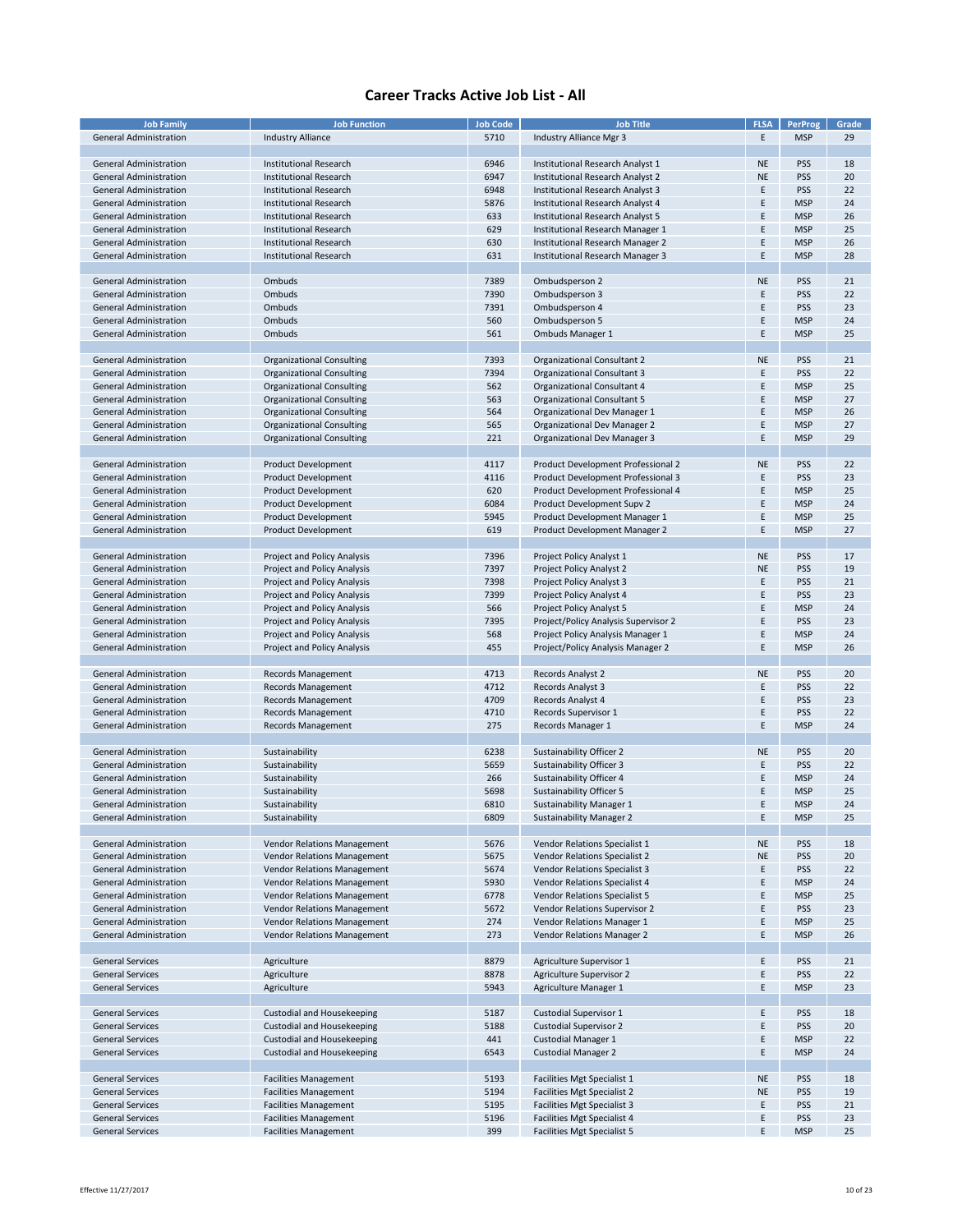| <b>Job Family</b>             | <b>Job Function</b>                | <b>Job Code</b> | <b>Job Title</b>                     | <b>FLSA</b> | <b>PerProg</b> | Grade |
|-------------------------------|------------------------------------|-----------------|--------------------------------------|-------------|----------------|-------|
| <b>General Administration</b> | <b>Industry Alliance</b>           | 5710            | Industry Alliance Mgr 3              | E           | <b>MSP</b>     | 29    |
|                               |                                    |                 |                                      |             |                |       |
|                               |                                    |                 |                                      |             |                |       |
| <b>General Administration</b> | <b>Institutional Research</b>      | 6946            | Institutional Research Analyst 1     | <b>NE</b>   | <b>PSS</b>     | 18    |
| <b>General Administration</b> | <b>Institutional Research</b>      | 6947            | Institutional Research Analyst 2     | <b>NE</b>   | <b>PSS</b>     | 20    |
| <b>General Administration</b> | <b>Institutional Research</b>      | 6948            | Institutional Research Analyst 3     | E           | <b>PSS</b>     | 22    |
| <b>General Administration</b> | <b>Institutional Research</b>      | 5876            | Institutional Research Analyst 4     | E           | <b>MSP</b>     | 24    |
| <b>General Administration</b> | <b>Institutional Research</b>      | 633             | Institutional Research Analyst 5     | E           | <b>MSP</b>     | 26    |
| <b>General Administration</b> | <b>Institutional Research</b>      | 629             | Institutional Research Manager 1     | E           | <b>MSP</b>     | 25    |
| <b>General Administration</b> | <b>Institutional Research</b>      | 630             | Institutional Research Manager 2     | E           | <b>MSP</b>     | 26    |
|                               |                                    |                 |                                      |             |                |       |
| <b>General Administration</b> | <b>Institutional Research</b>      | 631             | Institutional Research Manager 3     | E           | <b>MSP</b>     | 28    |
|                               |                                    |                 |                                      |             |                |       |
| <b>General Administration</b> | Ombuds                             | 7389            | Ombudsperson 2                       | <b>NE</b>   | <b>PSS</b>     | 21    |
| <b>General Administration</b> | Ombuds                             | 7390            | Ombudsperson 3                       | E           | <b>PSS</b>     | 22    |
| <b>General Administration</b> | Ombuds                             | 7391            | Ombudsperson 4                       | F           | <b>PSS</b>     | 23    |
| <b>General Administration</b> | Ombuds                             | 560             | Ombudsperson 5                       | E           | <b>MSP</b>     | 24    |
| <b>General Administration</b> | Ombuds                             | 561             | <b>Ombuds Manager 1</b>              | E           | <b>MSP</b>     | 25    |
|                               |                                    |                 |                                      |             |                |       |
|                               |                                    |                 |                                      |             |                |       |
| <b>General Administration</b> | <b>Organizational Consulting</b>   | 7393            | Organizational Consultant 2          | <b>NE</b>   | <b>PSS</b>     | 21    |
| <b>General Administration</b> | <b>Organizational Consulting</b>   | 7394            | Organizational Consultant 3          | E           | <b>PSS</b>     | 22    |
| <b>General Administration</b> | <b>Organizational Consulting</b>   | 562             | Organizational Consultant 4          | F           | <b>MSP</b>     | 25    |
| <b>General Administration</b> | <b>Organizational Consulting</b>   | 563             | Organizational Consultant 5          | F           | <b>MSP</b>     | 27    |
| <b>General Administration</b> | <b>Organizational Consulting</b>   | 564             | Organizational Dev Manager 1         | E           | <b>MSP</b>     | 26    |
| <b>General Administration</b> | <b>Organizational Consulting</b>   | 565             | Organizational Dev Manager 2         | E           | <b>MSP</b>     | 27    |
| <b>General Administration</b> | <b>Organizational Consulting</b>   | 221             | <b>Organizational Dev Manager 3</b>  | E           | <b>MSP</b>     | 29    |
|                               |                                    |                 |                                      |             |                |       |
|                               |                                    |                 |                                      |             |                |       |
| <b>General Administration</b> | Product Development                | 4117            | Product Development Professional 2   | <b>NE</b>   | <b>PSS</b>     | 22    |
| <b>General Administration</b> | Product Development                | 4116            | Product Development Professional 3   | E           | <b>PSS</b>     | 23    |
| <b>General Administration</b> | Product Development                | 620             | Product Development Professional 4   | E           | <b>MSP</b>     | 25    |
| <b>General Administration</b> | <b>Product Development</b>         | 6084            | Product Development Supv 2           | E           | <b>MSP</b>     | 24    |
| <b>General Administration</b> | Product Development                | 5945            | Product Development Manager 1        | E           | <b>MSP</b>     | 25    |
| <b>General Administration</b> | Product Development                | 619             | Product Development Manager 2        | Ε           | <b>MSP</b>     | 27    |
|                               |                                    |                 |                                      |             |                |       |
|                               |                                    |                 |                                      |             |                |       |
| <b>General Administration</b> | Project and Policy Analysis        | 7396            | Project Policy Analyst 1             | <b>NE</b>   | <b>PSS</b>     | 17    |
| <b>General Administration</b> | Project and Policy Analysis        | 7397            | Project Policy Analyst 2             | <b>NE</b>   | <b>PSS</b>     | 19    |
| <b>General Administration</b> | Project and Policy Analysis        | 7398            | Project Policy Analyst 3             | E           | <b>PSS</b>     | 21    |
| <b>General Administration</b> | Project and Policy Analysis        | 7399            | Project Policy Analyst 4             | E           | <b>PSS</b>     | 23    |
| <b>General Administration</b> | Project and Policy Analysis        | 566             | Project Policy Analyst 5             | F           | <b>MSP</b>     | 24    |
| <b>General Administration</b> | Project and Policy Analysis        | 7395            | Project/Policy Analysis Supervisor 2 | Ε           | <b>PSS</b>     | 23    |
| <b>General Administration</b> | Project and Policy Analysis        | 568             | Project Policy Analysis Manager 1    | E           | <b>MSP</b>     | 24    |
| <b>General Administration</b> | Project and Policy Analysis        | 455             | Project/Policy Analysis Manager 2    | E           | <b>MSP</b>     | 26    |
|                               |                                    |                 |                                      |             |                |       |
|                               |                                    |                 |                                      |             |                |       |
| <b>General Administration</b> | Records Management                 | 4713            | <b>Records Analyst 2</b>             | <b>NE</b>   | <b>PSS</b>     | 20    |
| <b>General Administration</b> | Records Management                 | 4712            | <b>Records Analyst 3</b>             | E           | <b>PSS</b>     | 22    |
| <b>General Administration</b> | Records Management                 | 4709            | Records Analyst 4                    | E           | <b>PSS</b>     | 23    |
| <b>General Administration</b> | Records Management                 | 4710            | Records Supervisor 1                 | E           | <b>PSS</b>     | 22    |
| <b>General Administration</b> | Records Management                 | 275             | Records Manager 1                    | E           | <b>MSP</b>     | 24    |
|                               |                                    |                 |                                      |             |                |       |
| General Administration        | Sustainability                     | 6238            | Sustainability Officer 2             | <b>NE</b>   | <b>PSS</b>     | 20    |
| <b>General Administration</b> | Sustainability                     | 5659            | <b>Sustainability Officer 3</b>      | E           | <b>PSS</b>     | 22    |
|                               |                                    |                 |                                      |             |                |       |
| <b>General Administration</b> | Sustainability                     | 266             | Sustainability Officer 4             | F           | <b>MSP</b>     | 24    |
| <b>General Administration</b> | Sustainability                     | 5698            | Sustainability Officer 5             | E           | <b>MSP</b>     | 25    |
| <b>General Administration</b> | Sustainability                     | 6810            | <b>Sustainability Manager 1</b>      | F           | <b>MSP</b>     | 24    |
| <b>General Administration</b> | Sustainability                     | 6809            | <b>Sustainability Manager 2</b>      | Ε           | <b>MSP</b>     | 25    |
|                               |                                    |                 |                                      |             |                |       |
| <b>General Administration</b> | Vendor Relations Management        | 5676            | Vendor Relations Specialist 1        | <b>NE</b>   | <b>PSS</b>     | 18    |
| <b>General Administration</b> | Vendor Relations Management        | 5675            | Vendor Relations Specialist 2        | <b>NE</b>   | <b>PSS</b>     | 20    |
| <b>General Administration</b> | <b>Vendor Relations Management</b> | 5674            | Vendor Relations Specialist 3        | E           | <b>PSS</b>     | 22    |
| <b>General Administration</b> | Vendor Relations Management        | 5930            | Vendor Relations Specialist 4        | Ε           | <b>MSP</b>     | 24    |
|                               |                                    |                 |                                      |             |                |       |
| General Administration        | Vendor Relations Management        | 6778            | <b>Vendor Relations Specialist 5</b> | Ε           | <b>MSP</b>     | 25    |
| <b>General Administration</b> | Vendor Relations Management        | 5672            | Vendor Relations Supervisor 2        | E           | <b>PSS</b>     | 23    |
| <b>General Administration</b> | Vendor Relations Management        | 274             | Vendor Relations Manager 1           | E           | <b>MSP</b>     | 25    |
| <b>General Administration</b> | Vendor Relations Management        | 273             | Vendor Relations Manager 2           | E           | <b>MSP</b>     | 26    |
|                               |                                    |                 |                                      |             |                |       |
| <b>General Services</b>       | Agriculture                        | 8879            | Agriculture Supervisor 1             | Ε           | <b>PSS</b>     | 21    |
| <b>General Services</b>       | Agriculture                        | 8878            | <b>Agriculture Supervisor 2</b>      | E           | PSS            | 22    |
| <b>General Services</b>       | Agriculture                        | 5943            | Agriculture Manager 1                | E           | <b>MSP</b>     | 23    |
|                               |                                    |                 |                                      |             |                |       |
|                               |                                    |                 |                                      |             |                |       |
| <b>General Services</b>       | Custodial and Housekeeping         | 5187            | Custodial Supervisor 1               | Ε           | <b>PSS</b>     | 18    |
| <b>General Services</b>       | Custodial and Housekeeping         | 5188            | <b>Custodial Supervisor 2</b>        | Ε           | <b>PSS</b>     | 20    |
| <b>General Services</b>       | <b>Custodial and Housekeeping</b>  | 441             | <b>Custodial Manager 1</b>           | E           | <b>MSP</b>     | 22    |
| <b>General Services</b>       | <b>Custodial and Housekeeping</b>  | 6543            | <b>Custodial Manager 2</b>           | E           | <b>MSP</b>     | 24    |
|                               |                                    |                 |                                      |             |                |       |
| <b>General Services</b>       | <b>Facilities Management</b>       | 5193            | Facilities Mgt Specialist 1          | <b>NE</b>   | <b>PSS</b>     | 18    |
| <b>General Services</b>       | <b>Facilities Management</b>       | 5194            | Facilities Mgt Specialist 2          | <b>NE</b>   | <b>PSS</b>     | 19    |
| <b>General Services</b>       | <b>Facilities Management</b>       | 5195            | Facilities Mgt Specialist 3          | E           | PSS            | 21    |
|                               |                                    |                 |                                      |             |                |       |
| <b>General Services</b>       | <b>Facilities Management</b>       | 5196            | Facilities Mgt Specialist 4          | E           | <b>PSS</b>     | 23    |
| <b>General Services</b>       | <b>Facilities Management</b>       | 399             | Facilities Mgt Specialist 5          | E           | <b>MSP</b>     | 25    |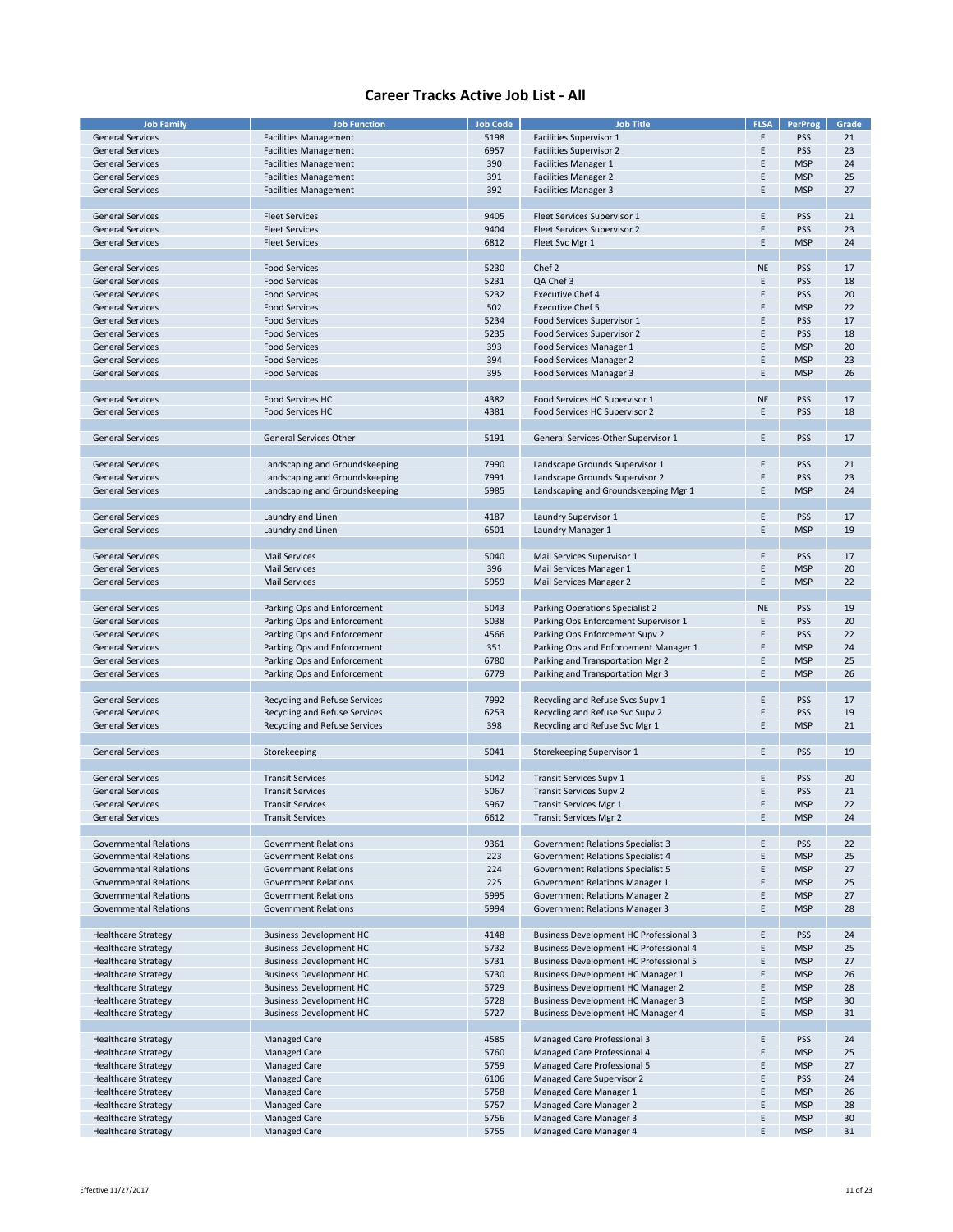| <b>Job Family</b>             | <b>Job Function</b>            | <b>Job Code</b> | <b>Job Title</b>                              | <b>FLSA</b> | <b>PerProg</b> | Grade |
|-------------------------------|--------------------------------|-----------------|-----------------------------------------------|-------------|----------------|-------|
|                               |                                |                 |                                               |             |                |       |
| <b>General Services</b>       | <b>Facilities Management</b>   | 5198            | Facilities Supervisor 1                       | E           | <b>PSS</b>     | 21    |
| <b>General Services</b>       | <b>Facilities Management</b>   | 6957            | <b>Facilities Supervisor 2</b>                | E           | <b>PSS</b>     | 23    |
| <b>General Services</b>       | <b>Facilities Management</b>   | 390             | <b>Facilities Manager 1</b>                   | E           | <b>MSP</b>     | 24    |
| <b>General Services</b>       | <b>Facilities Management</b>   | 391             | <b>Facilities Manager 2</b>                   | Ε           | <b>MSP</b>     | 25    |
| <b>General Services</b>       |                                | 392             |                                               | Ε           | <b>MSP</b>     | 27    |
|                               | <b>Facilities Management</b>   |                 | <b>Facilities Manager 3</b>                   |             |                |       |
|                               |                                |                 |                                               |             |                |       |
| <b>General Services</b>       | <b>Fleet Services</b>          | 9405            | Fleet Services Supervisor 1                   | E           | <b>PSS</b>     | 21    |
| <b>General Services</b>       | <b>Fleet Services</b>          | 9404            | Fleet Services Supervisor 2                   | E           | <b>PSS</b>     | 23    |
| <b>General Services</b>       | <b>Fleet Services</b>          | 6812            | Fleet Svc Mgr 1                               | Ε           | <b>MSP</b>     | 24    |
|                               |                                |                 |                                               |             |                |       |
|                               |                                |                 |                                               |             |                |       |
| <b>General Services</b>       | <b>Food Services</b>           | 5230            | Chef 2                                        | <b>NE</b>   | <b>PSS</b>     | 17    |
| <b>General Services</b>       | <b>Food Services</b>           | 5231            | QA Chef 3                                     | E           | <b>PSS</b>     | 18    |
| <b>General Services</b>       | <b>Food Services</b>           | 5232            | <b>Executive Chef 4</b>                       | E           | <b>PSS</b>     | 20    |
| <b>General Services</b>       | <b>Food Services</b>           | 502             | <b>Executive Chef 5</b>                       | Ε           | <b>MSP</b>     | 22    |
| <b>General Services</b>       | <b>Food Services</b>           | 5234            | Food Services Supervisor 1                    | E           | <b>PSS</b>     | 17    |
| <b>General Services</b>       | <b>Food Services</b>           | 5235            | Food Services Supervisor 2                    | E           | <b>PSS</b>     | 18    |
|                               |                                |                 |                                               |             |                |       |
| <b>General Services</b>       | <b>Food Services</b>           | 393             | Food Services Manager 1                       | E           | <b>MSP</b>     | 20    |
| <b>General Services</b>       | <b>Food Services</b>           | 394             | Food Services Manager 2                       | E           | <b>MSP</b>     | 23    |
| <b>General Services</b>       | <b>Food Services</b>           | 395             | Food Services Manager 3                       | Ε           | <b>MSP</b>     | 26    |
|                               |                                |                 |                                               |             |                |       |
| <b>General Services</b>       | Food Services HC               | 4382            | Food Services HC Supervisor 1                 | <b>NE</b>   | <b>PSS</b>     | 17    |
| <b>General Services</b>       | Food Services HC               | 4381            | Food Services HC Supervisor 2                 | E           | <b>PSS</b>     | 18    |
|                               |                                |                 |                                               |             |                |       |
|                               |                                |                 |                                               |             |                |       |
| <b>General Services</b>       | <b>General Services Other</b>  | 5191            | General Services-Other Supervisor 1           | Ε           | <b>PSS</b>     | 17    |
|                               |                                |                 |                                               |             |                |       |
| <b>General Services</b>       | Landscaping and Groundskeeping | 7990            | Landscape Grounds Supervisor 1                | Ε           | <b>PSS</b>     | 21    |
| <b>General Services</b>       | Landscaping and Groundskeeping | 7991            | Landscape Grounds Supervisor 2                | E           | <b>PSS</b>     | 23    |
|                               |                                |                 |                                               |             |                |       |
| <b>General Services</b>       | Landscaping and Groundskeeping | 5985            | Landscaping and Groundskeeping Mgr 1          | Ε           | <b>MSP</b>     | 24    |
|                               |                                |                 |                                               |             |                |       |
| <b>General Services</b>       | Laundry and Linen              | 4187            | Laundry Supervisor 1                          | E           | <b>PSS</b>     | 17    |
| <b>General Services</b>       | Laundry and Linen              | 6501            | Laundry Manager 1                             | Ε           | <b>MSP</b>     | 19    |
|                               |                                |                 |                                               |             |                |       |
|                               |                                |                 |                                               |             |                |       |
| <b>General Services</b>       | <b>Mail Services</b>           | 5040            | Mail Services Supervisor 1                    | E           | <b>PSS</b>     | 17    |
| <b>General Services</b>       | <b>Mail Services</b>           | 396             | Mail Services Manager 1                       | Ε           | <b>MSP</b>     | 20    |
| <b>General Services</b>       | <b>Mail Services</b>           | 5959            | Mail Services Manager 2                       | E           | <b>MSP</b>     | 22    |
|                               |                                |                 |                                               |             |                |       |
| <b>General Services</b>       | Parking Ops and Enforcement    | 5043            | Parking Operations Specialist 2               | <b>NE</b>   | <b>PSS</b>     | 19    |
| <b>General Services</b>       | Parking Ops and Enforcement    | 5038            | Parking Ops Enforcement Supervisor 1          | Ε           | <b>PSS</b>     | 20    |
|                               |                                |                 |                                               |             |                |       |
| <b>General Services</b>       | Parking Ops and Enforcement    | 4566            | Parking Ops Enforcement Supv 2                | Ε           | <b>PSS</b>     | 22    |
| <b>General Services</b>       | Parking Ops and Enforcement    | 351             | Parking Ops and Enforcement Manager 1         | E           | <b>MSP</b>     | 24    |
| <b>General Services</b>       | Parking Ops and Enforcement    | 6780            | Parking and Transportation Mgr 2              | Ε           | <b>MSP</b>     | 25    |
| <b>General Services</b>       | Parking Ops and Enforcement    | 6779            | Parking and Transportation Mgr 3              | E           | <b>MSP</b>     | 26    |
|                               |                                |                 |                                               |             |                |       |
|                               |                                |                 |                                               |             |                |       |
| <b>General Services</b>       | Recycling and Refuse Services  | 7992            | Recycling and Refuse Svcs Supv 1              | Ε           | <b>PSS</b>     | 17    |
| <b>General Services</b>       | Recycling and Refuse Services  | 6253            | Recycling and Refuse Svc Supv 2               | E           | <b>PSS</b>     | 19    |
| <b>General Services</b>       | Recycling and Refuse Services  | 398             | Recycling and Refuse Svc Mgr 1                | Ε           | <b>MSP</b>     | 21    |
|                               |                                |                 |                                               |             |                |       |
| <b>General Services</b>       | Storekeeping                   | 5041            | Storekeeping Supervisor 1                     | E           | <b>PSS</b>     | 19    |
|                               |                                |                 |                                               |             |                |       |
| <b>General Services</b>       | <b>Transit Services</b>        | 5042            | <b>Transit Services Supv 1</b>                | Ε           | <b>PSS</b>     | 20    |
|                               |                                |                 |                                               |             |                |       |
| <b>General Services</b>       | <b>Transit Services</b>        | 5067            | <b>Transit Services Supv 2</b>                | E           | <b>PSS</b>     | 21    |
| <b>General Services</b>       | <b>Transit Services</b>        | 5967            | <b>Transit Services Mgr 1</b>                 | E           | <b>MSP</b>     | 22    |
| <b>General Services</b>       | <b>Transit Services</b>        | 6612            | <b>Transit Services Mgr 2</b>                 | E           | <b>MSP</b>     | 24    |
|                               |                                |                 |                                               |             |                |       |
| <b>Governmental Relations</b> | <b>Government Relations</b>    | 9361            | <b>Government Relations Specialist 3</b>      | E           | <b>PSS</b>     | 22    |
| <b>Governmental Relations</b> | <b>Government Relations</b>    | 223             | Government Relations Specialist 4             | Ε           | <b>MSP</b>     | 25    |
| <b>Governmental Relations</b> | <b>Government Relations</b>    | 224             | <b>Government Relations Specialist 5</b>      | E           |                | 27    |
|                               |                                |                 |                                               |             | <b>MSP</b>     |       |
| <b>Governmental Relations</b> | <b>Government Relations</b>    | 225             | Government Relations Manager 1                | E           | <b>MSP</b>     | 25    |
| <b>Governmental Relations</b> | <b>Government Relations</b>    | 5995            | <b>Government Relations Manager 2</b>         | Ε           | <b>MSP</b>     | 27    |
| <b>Governmental Relations</b> | <b>Government Relations</b>    | 5994            | Government Relations Manager 3                | E           | <b>MSP</b>     | 28    |
|                               |                                |                 |                                               |             |                |       |
| <b>Healthcare Strategy</b>    | <b>Business Development HC</b> | 4148            | <b>Business Development HC Professional 3</b> | E           | <b>PSS</b>     | 24    |
| <b>Healthcare Strategy</b>    | <b>Business Development HC</b> | 5732            | <b>Business Development HC Professional 4</b> | E           | <b>MSP</b>     | 25    |
|                               |                                |                 |                                               |             |                |       |
| <b>Healthcare Strategy</b>    | <b>Business Development HC</b> | 5731            | Business Development HC Professional 5        | E           | <b>MSP</b>     | 27    |
| <b>Healthcare Strategy</b>    | <b>Business Development HC</b> | 5730            | <b>Business Development HC Manager 1</b>      | E           | <b>MSP</b>     | 26    |
| <b>Healthcare Strategy</b>    | <b>Business Development HC</b> | 5729            | <b>Business Development HC Manager 2</b>      | E           | <b>MSP</b>     | 28    |
| <b>Healthcare Strategy</b>    | <b>Business Development HC</b> | 5728            | <b>Business Development HC Manager 3</b>      | E           | <b>MSP</b>     | 30    |
| <b>Healthcare Strategy</b>    | <b>Business Development HC</b> | 5727            | <b>Business Development HC Manager 4</b>      | E           | <b>MSP</b>     | 31    |
|                               |                                |                 |                                               |             |                |       |
|                               |                                |                 |                                               |             |                |       |
| <b>Healthcare Strategy</b>    | Managed Care                   | 4585            | Managed Care Professional 3                   | E           | <b>PSS</b>     | 24    |
| <b>Healthcare Strategy</b>    | Managed Care                   | 5760            | Managed Care Professional 4                   | Ε           | <b>MSP</b>     | 25    |
| <b>Healthcare Strategy</b>    | Managed Care                   | 5759            | Managed Care Professional 5                   | E           | <b>MSP</b>     | 27    |
| <b>Healthcare Strategy</b>    | Managed Care                   | 6106            | Managed Care Supervisor 2                     | E           | <b>PSS</b>     | 24    |
| <b>Healthcare Strategy</b>    | Managed Care                   | 5758            | Managed Care Manager 1                        | E           | <b>MSP</b>     | 26    |
| <b>Healthcare Strategy</b>    | Managed Care                   | 5757            | Managed Care Manager 2                        | E           | <b>MSP</b>     | 28    |
|                               |                                |                 |                                               |             |                |       |
| <b>Healthcare Strategy</b>    | Managed Care                   | 5756            | Managed Care Manager 3                        | Ε           | <b>MSP</b>     | 30    |
| <b>Healthcare Strategy</b>    | Managed Care                   | 5755            | Managed Care Manager 4                        | E           | <b>MSP</b>     | 31    |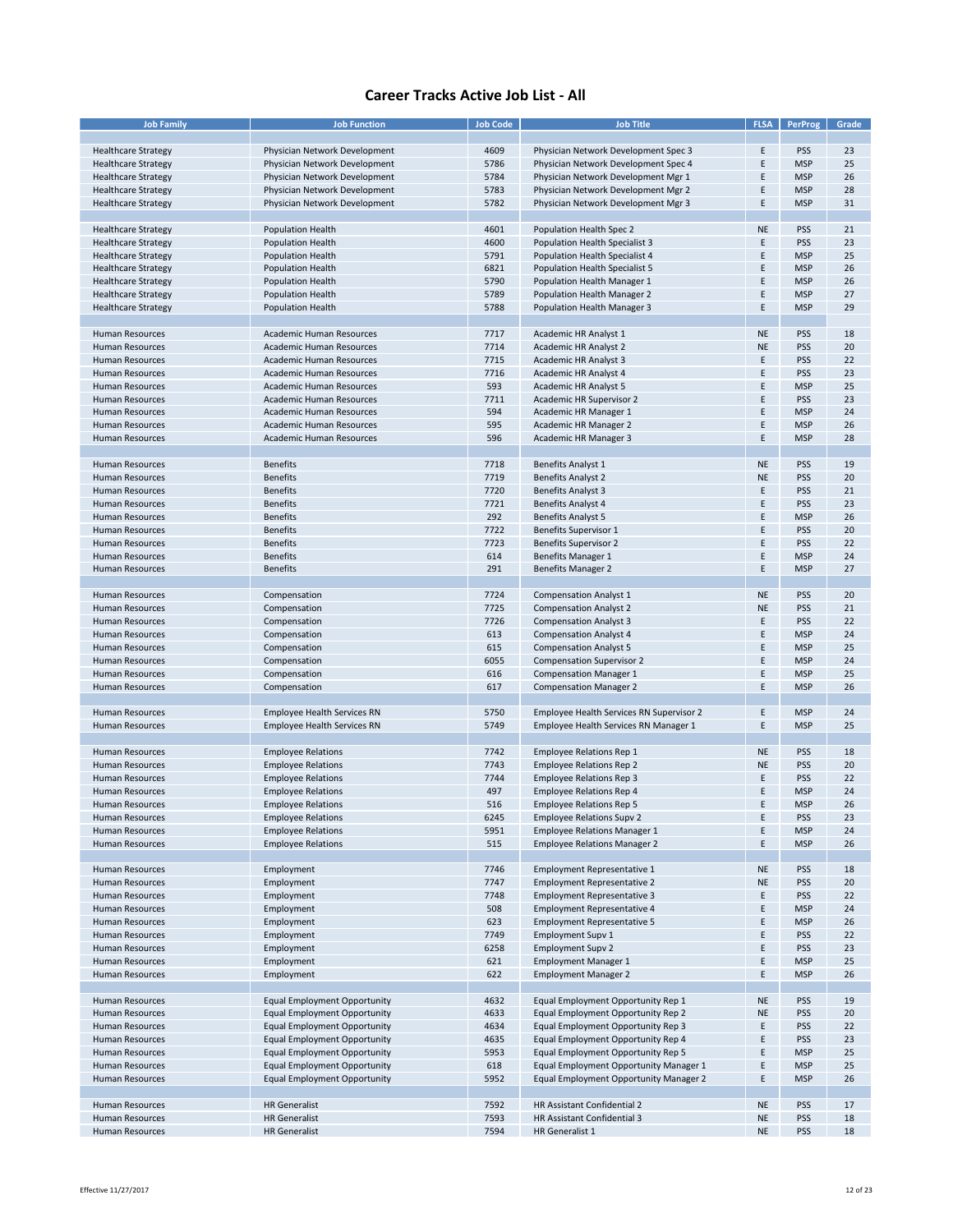| <b>Job Family</b>          | <b>Job Function</b>                 | <b>Job Code</b> | <b>Job Title</b>                         | FLSA      | PerProg    | Grade |
|----------------------------|-------------------------------------|-----------------|------------------------------------------|-----------|------------|-------|
|                            |                                     |                 |                                          |           |            |       |
| <b>Healthcare Strategy</b> | Physician Network Development       | 4609            | Physician Network Development Spec 3     | E         | <b>PSS</b> | 23    |
| <b>Healthcare Strategy</b> | Physician Network Development       | 5786            | Physician Network Development Spec 4     | E         | <b>MSP</b> | 25    |
| <b>Healthcare Strategy</b> | Physician Network Development       | 5784            | Physician Network Development Mgr 1      | E         | <b>MSP</b> | 26    |
| <b>Healthcare Strategy</b> | Physician Network Development       | 5783            | Physician Network Development Mgr 2      | E         | <b>MSP</b> | 28    |
| <b>Healthcare Strategy</b> | Physician Network Development       | 5782            | Physician Network Development Mgr 3      | E         | <b>MSP</b> | 31    |
|                            |                                     |                 |                                          |           |            |       |
|                            |                                     |                 |                                          |           |            |       |
| <b>Healthcare Strategy</b> | <b>Population Health</b>            | 4601            | Population Health Spec 2                 | <b>NE</b> | <b>PSS</b> | 21    |
| <b>Healthcare Strategy</b> | <b>Population Health</b>            | 4600            | Population Health Specialist 3           | E         | <b>PSS</b> | 23    |
| <b>Healthcare Strategy</b> | <b>Population Health</b>            | 5791            | Population Health Specialist 4           | F         | <b>MSP</b> | 25    |
| <b>Healthcare Strategy</b> | Population Health                   | 6821            | Population Health Specialist 5           | F         | <b>MSP</b> | 26    |
| <b>Healthcare Strategy</b> | <b>Population Health</b>            | 5790            | Population Health Manager 1              | E         | <b>MSP</b> | 26    |
| <b>Healthcare Strategy</b> | <b>Population Health</b>            | 5789            | Population Health Manager 2              | E         | <b>MSP</b> | 27    |
| <b>Healthcare Strategy</b> | <b>Population Health</b>            | 5788            | Population Health Manager 3              | E         | <b>MSP</b> | 29    |
|                            |                                     |                 |                                          |           |            |       |
| Human Resources            | Academic Human Resources            | 7717            | Academic HR Analyst 1                    | <b>NE</b> | <b>PSS</b> | 18    |
| Human Resources            | Academic Human Resources            | 7714            | Academic HR Analyst 2                    | <b>NE</b> | PSS        | 20    |
| Human Resources            | Academic Human Resources            | 7715            | Academic HR Analyst 3                    | E         | <b>PSS</b> | 22    |
| Human Resources            | Academic Human Resources            | 7716            | Academic HR Analyst 4                    | E         | <b>PSS</b> | 23    |
|                            |                                     |                 |                                          |           |            |       |
| Human Resources            | Academic Human Resources            | 593             | Academic HR Analyst 5                    | F         | <b>MSP</b> | 25    |
| Human Resources            | Academic Human Resources            | 7711            | Academic HR Supervisor 2                 | F         | <b>PSS</b> | 23    |
| Human Resources            | Academic Human Resources            | 594             | Academic HR Manager 1                    | E         | <b>MSP</b> | 24    |
| Human Resources            | Academic Human Resources            | 595             | Academic HR Manager 2                    | E         | <b>MSP</b> | 26    |
| <b>Human Resources</b>     | Academic Human Resources            | 596             | Academic HR Manager 3                    | E         | <b>MSP</b> | 28    |
|                            |                                     |                 |                                          |           |            |       |
| Human Resources            | <b>Benefits</b>                     | 7718            | <b>Benefits Analyst 1</b>                | <b>NE</b> | <b>PSS</b> | 19    |
| Human Resources            | <b>Benefits</b>                     | 7719            | <b>Benefits Analyst 2</b>                | <b>NE</b> | PSS        | 20    |
| Human Resources            | <b>Benefits</b>                     | 7720            | <b>Benefits Analyst 3</b>                | E         | <b>PSS</b> | 21    |
| <b>Human Resources</b>     | <b>Benefits</b>                     | 7721            | <b>Benefits Analyst 4</b>                | E         | <b>PSS</b> | 23    |
| <b>Human Resources</b>     |                                     | 292             |                                          | E         | <b>MSP</b> | 26    |
|                            | <b>Benefits</b>                     |                 | <b>Benefits Analyst 5</b>                | F         |            |       |
| Human Resources            | <b>Benefits</b>                     | 7722            | Benefits Supervisor 1                    |           | <b>PSS</b> | 20    |
| Human Resources            | <b>Benefits</b>                     | 7723            | <b>Benefits Supervisor 2</b>             | E         | <b>PSS</b> | 22    |
| Human Resources            | <b>Benefits</b>                     | 614             | Benefits Manager 1                       | E         | <b>MSP</b> | 24    |
| Human Resources            | <b>Benefits</b>                     | 291             | <b>Benefits Manager 2</b>                | E         | <b>MSP</b> | 27    |
|                            |                                     |                 |                                          |           |            |       |
| Human Resources            | Compensation                        | 7724            | <b>Compensation Analyst 1</b>            | <b>NE</b> | <b>PSS</b> | 20    |
| Human Resources            | Compensation                        | 7725            | <b>Compensation Analyst 2</b>            | <b>NE</b> | PSS        | 21    |
| Human Resources            | Compensation                        | 7726            | <b>Compensation Analyst 3</b>            | E         | <b>PSS</b> | 22    |
| Human Resources            | Compensation                        | 613             | <b>Compensation Analyst 4</b>            | E         | <b>MSP</b> | 24    |
| Human Resources            | Compensation                        | 615             | <b>Compensation Analyst 5</b>            | F         | <b>MSP</b> | 25    |
| <b>Human Resources</b>     | Compensation                        | 6055            | <b>Compensation Supervisor 2</b>         | F         | <b>MSP</b> | 24    |
|                            |                                     |                 |                                          |           |            |       |
| Human Resources            | Compensation                        | 616             | <b>Compensation Manager 1</b>            | F         | <b>MSP</b> | 25    |
| Human Resources            | Compensation                        | 617             | <b>Compensation Manager 2</b>            | E         | <b>MSP</b> | 26    |
|                            |                                     |                 |                                          |           |            |       |
| Human Resources            | <b>Employee Health Services RN</b>  | 5750            | Employee Health Services RN Supervisor 2 | E         | <b>MSP</b> | 24    |
| <b>Human Resources</b>     | <b>Employee Health Services RN</b>  | 5749            | Employee Health Services RN Manager 1    | E         | <b>MSP</b> | 25    |
|                            |                                     |                 |                                          |           |            |       |
| Human Resources            | <b>Employee Relations</b>           | 7742            | <b>Employee Relations Rep 1</b>          | <b>NE</b> | <b>PSS</b> | 18    |
| <b>Human Resources</b>     | <b>Employee Relations</b>           | 7743            | <b>Employee Relations Rep 2</b>          | <b>NE</b> | PSS        | 20    |
| <b>Human Resources</b>     | <b>Employee Relations</b>           | 7744            | <b>Employee Relations Rep 3</b>          | E         | PSS        | 22    |
| <b>Human Resources</b>     | <b>Employee Relations</b>           | 497             | <b>Employee Relations Rep 4</b>          | F         | <b>MSP</b> | 24    |
| <b>Human Resources</b>     | <b>Employee Relations</b>           | 516             | <b>Employee Relations Rep 5</b>          | F         | <b>MSP</b> | 26    |
| Human Resources            | <b>Employee Relations</b>           | 6245            | <b>Employee Relations Supv 2</b>         | E         | <b>PSS</b> | 23    |
| Human Resources            | <b>Employee Relations</b>           | 5951            | <b>Employee Relations Manager 1</b>      | E         | <b>MSP</b> | 24    |
|                            | <b>Employee Relations</b>           |                 |                                          |           |            |       |
| Human Resources            |                                     | 515             | <b>Employee Relations Manager 2</b>      | E         | <b>MSP</b> | 26    |
|                            |                                     |                 |                                          |           |            |       |
| Human Resources            | Employment                          | 7746            | <b>Employment Representative 1</b>       | <b>NE</b> | <b>PSS</b> | 18    |
| Human Resources            | Employment                          | 7747            | <b>Employment Representative 2</b>       | <b>NE</b> | <b>PSS</b> | 20    |
| Human Resources            | Employment                          | 7748            | <b>Employment Representative 3</b>       | Ε         | <b>PSS</b> | 22    |
| <b>Human Resources</b>     | Employment                          | 508             | <b>Employment Representative 4</b>       | E         | <b>MSP</b> | 24    |
| Human Resources            | Employment                          | 623             | <b>Employment Representative 5</b>       | F         | <b>MSP</b> | 26    |
| <b>Human Resources</b>     | Employment                          | 7749            | <b>Employment Supv 1</b>                 | F         | <b>PSS</b> | 22    |
| Human Resources            | Employment                          | 6258            | <b>Employment Supv 2</b>                 | E         | <b>PSS</b> | 23    |
| <b>Human Resources</b>     | Employment                          | 621             | <b>Employment Manager 1</b>              | E         | <b>MSP</b> | 25    |
| Human Resources            | Employment                          | 622             | <b>Employment Manager 2</b>              | E         | <b>MSP</b> | 26    |
|                            |                                     |                 |                                          |           |            |       |
| <b>Human Resources</b>     |                                     |                 |                                          |           |            |       |
|                            | <b>Equal Employment Opportunity</b> | 4632            | Equal Employment Opportunity Rep 1       | <b>NE</b> | <b>PSS</b> | 19    |
| Human Resources            | <b>Equal Employment Opportunity</b> | 4633            | Equal Employment Opportunity Rep 2       | <b>NE</b> | <b>PSS</b> | 20    |
| Human Resources            | <b>Equal Employment Opportunity</b> | 4634            | Equal Employment Opportunity Rep 3       | Ε         | <b>PSS</b> | 22    |
| Human Resources            | <b>Equal Employment Opportunity</b> | 4635            | Equal Employment Opportunity Rep 4       | E         | <b>PSS</b> | 23    |
| Human Resources            | <b>Equal Employment Opportunity</b> | 5953            | Equal Employment Opportunity Rep 5       | E         | <b>MSP</b> | 25    |
| Human Resources            | <b>Equal Employment Opportunity</b> | 618             | Equal Employment Opportunity Manager 1   | E         | <b>MSP</b> | 25    |
| <b>Human Resources</b>     | <b>Equal Employment Opportunity</b> | 5952            | Equal Employment Opportunity Manager 2   | Ε         | <b>MSP</b> | 26    |
|                            |                                     |                 |                                          |           |            |       |
| Human Resources            | <b>HR</b> Generalist                | 7592            | HR Assistant Confidential 2              | <b>NE</b> | <b>PSS</b> | 17    |
| Human Resources            | <b>HR</b> Generalist                | 7593            | HR Assistant Confidential 3              | <b>NE</b> | <b>PSS</b> | 18    |
| Human Resources            | <b>HR Generalist</b>                | 7594            | HR Generalist 1                          | NE        | <b>PSS</b> | 18    |
|                            |                                     |                 |                                          |           |            |       |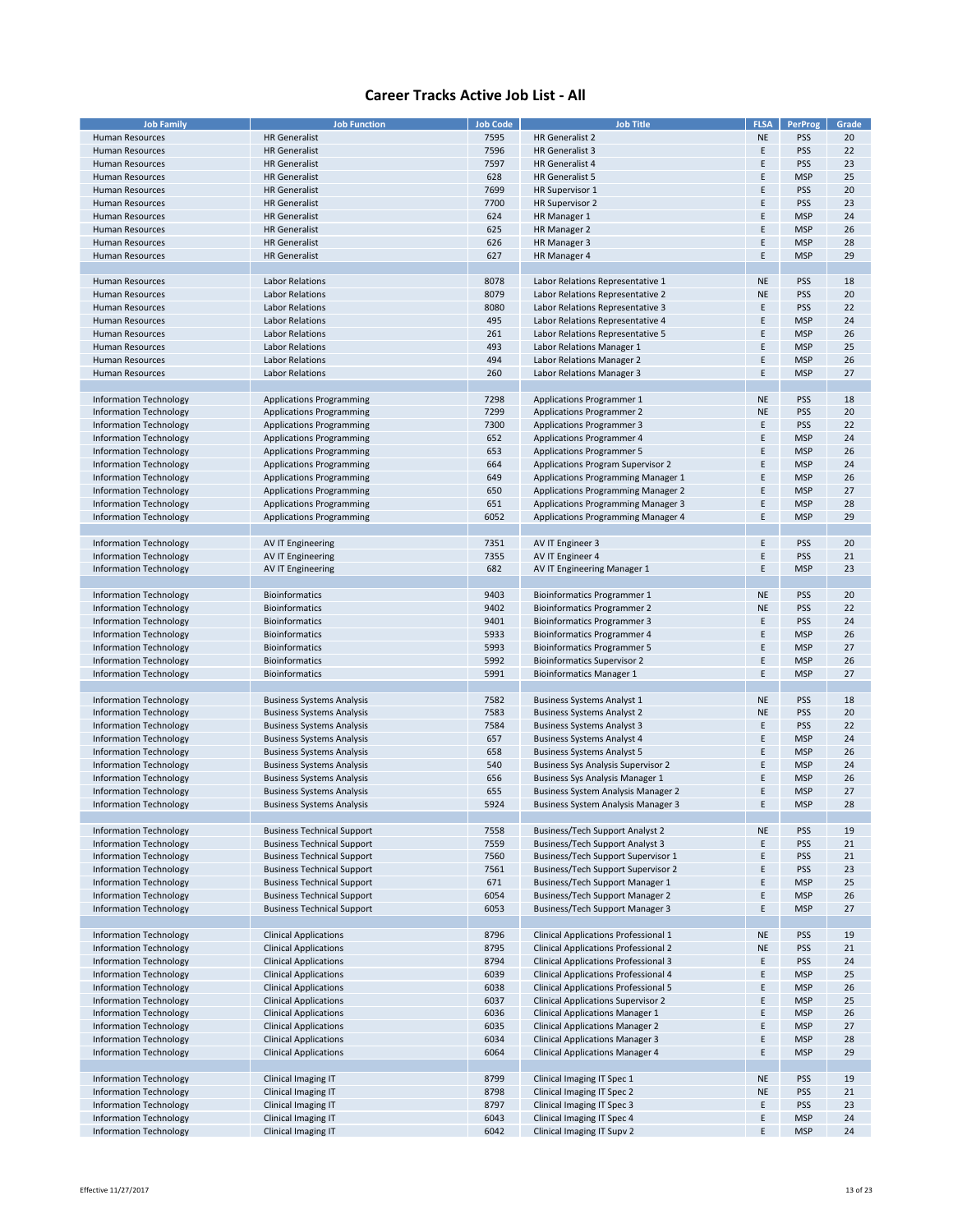| <b>Job Family</b>             | <b>Job Function</b>               | <b>Job Code</b> | <b>Job Title</b>                            | <b>FLSA</b> | <b>PerProg</b> | Grade |
|-------------------------------|-----------------------------------|-----------------|---------------------------------------------|-------------|----------------|-------|
|                               |                                   |                 |                                             |             |                |       |
| Human Resources               | <b>HR</b> Generalist              | 7595            | HR Generalist 2                             | <b>NE</b>   | PSS            | 20    |
| <b>Human Resources</b>        | <b>HR Generalist</b>              | 7596            | HR Generalist 3                             | E           | PSS            | 22    |
| Human Resources               | <b>HR</b> Generalist              | 7597            | <b>HR Generalist 4</b>                      | Ε           | <b>PSS</b>     | 23    |
| <b>Human Resources</b>        | <b>HR</b> Generalist              | 628             | HR Generalist 5                             | E           | <b>MSP</b>     | 25    |
|                               |                                   |                 |                                             |             |                |       |
| Human Resources               | <b>HR Generalist</b>              | 7699            | HR Supervisor 1                             | E           | PSS            | 20    |
| <b>Human Resources</b>        | <b>HR</b> Generalist              | 7700            | HR Supervisor 2                             | E           | PSS            | 23    |
| <b>Human Resources</b>        | <b>HR Generalist</b>              | 624             | HR Manager 1                                | E           | <b>MSP</b>     | 24    |
| <b>Human Resources</b>        | <b>HR</b> Generalist              | 625             | HR Manager 2                                | E           | <b>MSP</b>     | 26    |
| <b>Human Resources</b>        | <b>HR</b> Generalist              | 626             | HR Manager 3                                | E           | <b>MSP</b>     | 28    |
|                               |                                   |                 |                                             |             |                |       |
| <b>Human Resources</b>        | <b>HR</b> Generalist              | 627             | HR Manager 4                                | E           | <b>MSP</b>     | 29    |
|                               |                                   |                 |                                             |             |                |       |
| <b>Human Resources</b>        | <b>Labor Relations</b>            | 8078            | Labor Relations Representative 1            | <b>NE</b>   | PSS            | 18    |
| Human Resources               | <b>Labor Relations</b>            | 8079            | Labor Relations Representative 2            | <b>NE</b>   | <b>PSS</b>     | 20    |
|                               |                                   |                 |                                             |             |                |       |
| <b>Human Resources</b>        | <b>Labor Relations</b>            | 8080            | Labor Relations Representative 3            | E           | PSS            | 22    |
| Human Resources               | Labor Relations                   | 495             | Labor Relations Representative 4            | E           | <b>MSP</b>     | 24    |
| <b>Human Resources</b>        | <b>Labor Relations</b>            | 261             | Labor Relations Representative 5            | E           | <b>MSP</b>     | 26    |
| Human Resources               | <b>Labor Relations</b>            | 493             | Labor Relations Manager 1                   | E           | <b>MSP</b>     | 25    |
|                               | <b>Labor Relations</b>            |                 |                                             |             | <b>MSP</b>     |       |
| Human Resources               |                                   | 494             | Labor Relations Manager 2                   | Ε           |                | 26    |
| Human Resources               | <b>Labor Relations</b>            | 260             | Labor Relations Manager 3                   | E           | <b>MSP</b>     | 27    |
|                               |                                   |                 |                                             |             |                |       |
| Information Technology        | <b>Applications Programming</b>   | 7298            | Applications Programmer 1                   | <b>NE</b>   | PSS            | 18    |
| Information Technology        | <b>Applications Programming</b>   | 7299            | <b>Applications Programmer 2</b>            | <b>NE</b>   | PSS            | 20    |
|                               |                                   |                 |                                             |             |                |       |
| <b>Information Technology</b> | <b>Applications Programming</b>   | 7300            | <b>Applications Programmer 3</b>            | Ε           | <b>PSS</b>     | 22    |
| <b>Information Technology</b> | <b>Applications Programming</b>   | 652             | <b>Applications Programmer 4</b>            | E           | <b>MSP</b>     | 24    |
| Information Technology        | <b>Applications Programming</b>   | 653             | <b>Applications Programmer 5</b>            | E           | <b>MSP</b>     | 26    |
| Information Technology        | <b>Applications Programming</b>   | 664             | Applications Program Supervisor 2           | E           | <b>MSP</b>     | 24    |
|                               |                                   |                 |                                             |             |                |       |
| Information Technology        | <b>Applications Programming</b>   | 649             | <b>Applications Programming Manager 1</b>   | E           | <b>MSP</b>     | 26    |
| Information Technology        | <b>Applications Programming</b>   | 650             | <b>Applications Programming Manager 2</b>   | Ε           | <b>MSP</b>     | 27    |
| <b>Information Technology</b> | <b>Applications Programming</b>   | 651             | <b>Applications Programming Manager 3</b>   | E           | <b>MSP</b>     | 28    |
| <b>Information Technology</b> | <b>Applications Programming</b>   | 6052            | <b>Applications Programming Manager 4</b>   | E           | <b>MSP</b>     | 29    |
|                               |                                   |                 |                                             |             |                |       |
|                               |                                   |                 |                                             |             |                |       |
| Information Technology        | <b>AV IT Engineering</b>          | 7351            | AV IT Engineer 3                            | E           | PSS            | 20    |
| Information Technology        | <b>AV IT Engineering</b>          | 7355            | AV IT Engineer 4                            | E           | <b>PSS</b>     | 21    |
| Information Technology        | <b>AV IT Engineering</b>          | 682             | AV IT Engineering Manager 1                 | E           | <b>MSP</b>     | 23    |
|                               |                                   |                 |                                             |             |                |       |
|                               |                                   |                 |                                             |             |                |       |
| Information Technology        | <b>Bioinformatics</b>             | 9403            | <b>Bioinformatics Programmer 1</b>          | <b>NE</b>   | PSS            | 20    |
| Information Technology        | <b>Bioinformatics</b>             | 9402            | <b>Bioinformatics Programmer 2</b>          | <b>NE</b>   | PSS            | 22    |
| Information Technology        | <b>Bioinformatics</b>             | 9401            | <b>Bioinformatics Programmer 3</b>          | Ε           | <b>PSS</b>     | 24    |
| <b>Information Technology</b> | <b>Bioinformatics</b>             | 5933            | <b>Bioinformatics Programmer 4</b>          | E           | <b>MSP</b>     | 26    |
|                               |                                   |                 |                                             | E           |                | 27    |
| Information Technology        | <b>Bioinformatics</b>             | 5993            | <b>Bioinformatics Programmer 5</b>          |             | <b>MSP</b>     |       |
| <b>Information Technology</b> | <b>Bioinformatics</b>             | 5992            | <b>Bioinformatics Supervisor 2</b>          | E           | <b>MSP</b>     | 26    |
| Information Technology        | <b>Bioinformatics</b>             | 5991            | <b>Bioinformatics Manager 1</b>             | E           | <b>MSP</b>     | 27    |
|                               |                                   |                 |                                             |             |                |       |
| Information Technology        | <b>Business Systems Analysis</b>  | 7582            | <b>Business Systems Analyst 1</b>           | <b>NE</b>   | PSS            | 18    |
|                               |                                   |                 |                                             |             |                |       |
| Information Technology        | <b>Business Systems Analysis</b>  | 7583            | <b>Business Systems Analyst 2</b>           | <b>NE</b>   | PSS            | 20    |
| <b>Information Technology</b> | <b>Business Systems Analysis</b>  | 7584            | <b>Business Systems Analyst 3</b>           | Ε           | PSS            | 22    |
| Information Technology        | <b>Business Systems Analysis</b>  | 657             | <b>Business Systems Analyst 4</b>           | E           | <b>MSP</b>     | 24    |
| Information Technology        | <b>Business Systems Analysis</b>  | 658             | <b>Business Systems Analyst 5</b>           | Ε           | <b>MSP</b>     | 26    |
| <b>Information Technology</b> | <b>Business Systems Analysis</b>  | 540             | <b>Business Sys Analysis Supervisor 2</b>   | E           | <b>MSP</b>     | 24    |
|                               |                                   |                 |                                             |             |                |       |
| Information Technology        | <b>Business Systems Analysis</b>  | 656             | Business Sys Analysis Manager 1             | E           | <b>MSP</b>     | 26    |
| <b>Information Technology</b> | <b>Business Systems Analysis</b>  | 655             | Business System Analysis Manager 2          | E           | <b>MSP</b>     | 27    |
| Information Technology        | <b>Business Systems Analysis</b>  | 5924            | <b>Business System Analysis Manager 3</b>   | E           | <b>MSP</b>     | 28    |
|                               |                                   |                 |                                             |             |                |       |
|                               | <b>Business Technical Support</b> | 7558            | <b>Business/Tech Support Analyst 2</b>      | <b>NE</b>   | <b>PSS</b>     | 19    |
| Information Technology        |                                   |                 |                                             |             |                |       |
| <b>Information Technology</b> | <b>Business Technical Support</b> | 7559            | <b>Business/Tech Support Analyst 3</b>      | E           | PSS            | 21    |
| <b>Information Technology</b> | <b>Business Technical Support</b> | 7560            | Business/Tech Support Supervisor 1          | E           | <b>PSS</b>     | 21    |
| <b>Information Technology</b> | <b>Business Technical Support</b> | 7561            | <b>Business/Tech Support Supervisor 2</b>   | E           | PSS            | 23    |
| <b>Information Technology</b> | <b>Business Technical Support</b> | 671             | Business/Tech Support Manager 1             | Ε           | <b>MSP</b>     | 25    |
|                               |                                   | 6054            | <b>Business/Tech Support Manager 2</b>      | E           | <b>MSP</b>     | 26    |
| Information Technology        | <b>Business Technical Support</b> |                 |                                             |             |                |       |
| <b>Information Technology</b> | <b>Business Technical Support</b> | 6053            | Business/Tech Support Manager 3             | E           | <b>MSP</b>     | 27    |
|                               |                                   |                 |                                             |             |                |       |
| Information Technology        | <b>Clinical Applications</b>      | 8796            | Clinical Applications Professional 1        | <b>NE</b>   | PSS            | 19    |
| <b>Information Technology</b> | <b>Clinical Applications</b>      | 8795            | <b>Clinical Applications Professional 2</b> | <b>NE</b>   | <b>PSS</b>     | 21    |
| Information Technology        | <b>Clinical Applications</b>      | 8794            | <b>Clinical Applications Professional 3</b> | E           | <b>PSS</b>     | 24    |
|                               |                                   |                 |                                             |             |                |       |
| <b>Information Technology</b> | <b>Clinical Applications</b>      | 6039            | Clinical Applications Professional 4        | E           | <b>MSP</b>     | 25    |
| <b>Information Technology</b> | <b>Clinical Applications</b>      | 6038            | <b>Clinical Applications Professional 5</b> | E           | <b>MSP</b>     | 26    |
| <b>Information Technology</b> | <b>Clinical Applications</b>      | 6037            | <b>Clinical Applications Supervisor 2</b>   | E           | <b>MSP</b>     | 25    |
| <b>Information Technology</b> | <b>Clinical Applications</b>      | 6036            | <b>Clinical Applications Manager 1</b>      | Ε           | <b>MSP</b>     | 26    |
|                               |                                   |                 |                                             |             |                |       |
| Information Technology        | <b>Clinical Applications</b>      | 6035            | <b>Clinical Applications Manager 2</b>      | E           | <b>MSP</b>     | 27    |
| <b>Information Technology</b> | <b>Clinical Applications</b>      | 6034            | <b>Clinical Applications Manager 3</b>      | E           | <b>MSP</b>     | 28    |
| <b>Information Technology</b> | <b>Clinical Applications</b>      | 6064            | <b>Clinical Applications Manager 4</b>      | E           | <b>MSP</b>     | 29    |
|                               |                                   |                 |                                             |             |                |       |
| <b>Information Technology</b> | Clinical Imaging IT               | 8799            | Clinical Imaging IT Spec 1                  | <b>NE</b>   | <b>PSS</b>     | 19    |
| <b>Information Technology</b> | Clinical Imaging IT               | 8798            | Clinical Imaging IT Spec 2                  | <b>NE</b>   | <b>PSS</b>     | 21    |
|                               |                                   |                 |                                             |             |                |       |
| <b>Information Technology</b> | Clinical Imaging IT               | 8797            | Clinical Imaging IT Spec 3                  | E           | PSS            | 23    |
| <b>Information Technology</b> | Clinical Imaging IT               | 6043            | Clinical Imaging IT Spec 4                  | E           | <b>MSP</b>     | 24    |
| <b>Information Technology</b> | Clinical Imaging IT               | 6042            | Clinical Imaging IT Supv 2                  | E           | <b>MSP</b>     | 24    |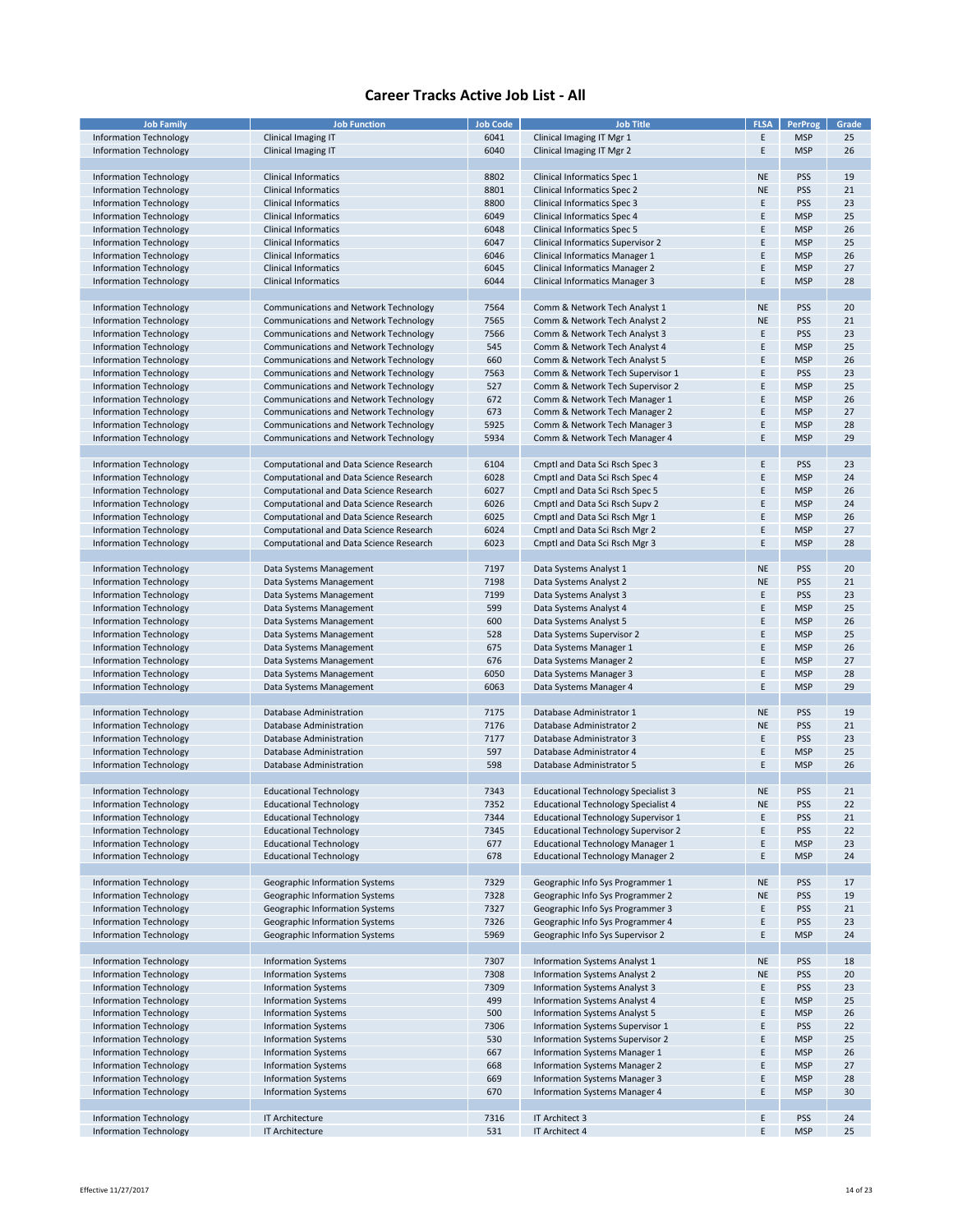| <b>Job Family</b>             | <b>Job Function</b>                          | <b>Job Code</b> | <b>Job Title</b>                           | <b>FLSA</b> | PerProg    | Grade |
|-------------------------------|----------------------------------------------|-----------------|--------------------------------------------|-------------|------------|-------|
|                               |                                              |                 |                                            |             |            |       |
| <b>Information Technology</b> | Clinical Imaging IT                          | 6041            | Clinical Imaging IT Mgr 1                  | E           | <b>MSP</b> | 25    |
| <b>Information Technology</b> | Clinical Imaging IT                          | 6040            | Clinical Imaging IT Mgr 2                  | Ε           | <b>MSP</b> | 26    |
|                               |                                              |                 |                                            |             |            |       |
|                               |                                              |                 |                                            |             |            |       |
| Information Technology        | <b>Clinical Informatics</b>                  | 8802            | Clinical Informatics Spec 1                | <b>NE</b>   | PSS        | 19    |
| Information Technology        | <b>Clinical Informatics</b>                  | 8801            | Clinical Informatics Spec 2                | <b>NE</b>   | PSS        | 21    |
|                               |                                              |                 |                                            |             |            |       |
| Information Technology        | <b>Clinical Informatics</b>                  | 8800            | Clinical Informatics Spec 3                | E           | PSS        | 23    |
| Information Technology        | <b>Clinical Informatics</b>                  | 6049            | Clinical Informatics Spec 4                | E           | <b>MSP</b> | 25    |
| <b>Information Technology</b> | <b>Clinical Informatics</b>                  | 6048            | <b>Clinical Informatics Spec 5</b>         | F           | <b>MSP</b> | 26    |
|                               |                                              |                 |                                            |             |            |       |
| Information Technology        | <b>Clinical Informatics</b>                  | 6047            | Clinical Informatics Supervisor 2          | E           | <b>MSP</b> | 25    |
| <b>Information Technology</b> | <b>Clinical Informatics</b>                  | 6046            | Clinical Informatics Manager 1             | E           | <b>MSP</b> | 26    |
|                               |                                              |                 |                                            |             |            |       |
| Information Technology        | <b>Clinical Informatics</b>                  | 6045            | <b>Clinical Informatics Manager 2</b>      | E           | <b>MSP</b> | 27    |
| Information Technology        | <b>Clinical Informatics</b>                  | 6044            | <b>Clinical Informatics Manager 3</b>      | E           | <b>MSP</b> | 28    |
|                               |                                              |                 |                                            |             |            |       |
|                               |                                              |                 |                                            |             |            |       |
| Information Technology        | Communications and Network Technology        | 7564            | Comm & Network Tech Analyst 1              | <b>NE</b>   | <b>PSS</b> | 20    |
|                               |                                              |                 |                                            |             |            |       |
| Information Technology        | <b>Communications and Network Technology</b> | 7565            | Comm & Network Tech Analyst 2              | <b>NE</b>   | <b>PSS</b> | 21    |
| Information Technology        | <b>Communications and Network Technology</b> | 7566            | Comm & Network Tech Analyst 3              | E           | <b>PSS</b> | 23    |
| Information Technology        | Communications and Network Technology        | 545             | Comm & Network Tech Analyst 4              | E           | <b>MSP</b> | 25    |
|                               |                                              |                 |                                            |             |            |       |
| Information Technology        | <b>Communications and Network Technology</b> | 660             | Comm & Network Tech Analyst 5              | E           | <b>MSP</b> | 26    |
| Information Technology        | Communications and Network Technology        | 7563            | Comm & Network Tech Supervisor 1           | E           | PSS        | 23    |
|                               |                                              |                 |                                            |             |            |       |
| Information Technology        | <b>Communications and Network Technology</b> | 527             | Comm & Network Tech Supervisor 2           | E           | <b>MSP</b> | 25    |
| Information Technology        | <b>Communications and Network Technology</b> | 672             | Comm & Network Tech Manager 1              | E           | <b>MSP</b> | 26    |
| Information Technology        | Communications and Network Technology        | 673             | Comm & Network Tech Manager 2              | E           | <b>MSP</b> | 27    |
|                               |                                              |                 |                                            |             |            |       |
| Information Technology        | <b>Communications and Network Technology</b> | 5925            | Comm & Network Tech Manager 3              | E           | <b>MSP</b> | 28    |
| Information Technology        | Communications and Network Technology        | 5934            | Comm & Network Tech Manager 4              | Ε           | <b>MSP</b> | 29    |
|                               |                                              |                 |                                            |             |            |       |
|                               |                                              |                 |                                            |             |            |       |
| <b>Information Technology</b> | Computational and Data Science Research      | 6104            | Cmptl and Data Sci Rsch Spec 3             | E           | PSS        | 23    |
|                               |                                              |                 |                                            |             |            |       |
| <b>Information Technology</b> | Computational and Data Science Research      | 6028            | Cmptl and Data Sci Rsch Spec 4             | E           | <b>MSP</b> | 24    |
| <b>Information Technology</b> | Computational and Data Science Research      | 6027            | Cmptl and Data Sci Rsch Spec 5             | E           | <b>MSP</b> | 26    |
|                               |                                              |                 |                                            |             |            |       |
| <b>Information Technology</b> | Computational and Data Science Research      | 6026            | Cmptl and Data Sci Rsch Supv 2             | E           | <b>MSP</b> | 24    |
| <b>Information Technology</b> | Computational and Data Science Research      | 6025            | Cmptl and Data Sci Rsch Mgr 1              | E           | <b>MSP</b> | 26    |
| Information Technology        | Computational and Data Science Research      | 6024            | Cmptl and Data Sci Rsch Mgr 2              | E           | <b>MSP</b> | 27    |
|                               |                                              |                 |                                            |             |            |       |
| <b>Information Technology</b> | Computational and Data Science Research      | 6023            | Cmptl and Data Sci Rsch Mgr 3              | E           | <b>MSP</b> | 28    |
|                               |                                              |                 |                                            |             |            |       |
|                               |                                              |                 |                                            |             |            |       |
| Information Technology        | Data Systems Management                      | 7197            | Data Systems Analyst 1                     | <b>NE</b>   | <b>PSS</b> | 20    |
| Information Technology        | Data Systems Management                      | 7198            | Data Systems Analyst 2                     | <b>NE</b>   | <b>PSS</b> | 21    |
|                               |                                              |                 |                                            |             |            |       |
| Information Technology        | Data Systems Management                      | 7199            | Data Systems Analyst 3                     | E           | <b>PSS</b> | 23    |
| Information Technology        | Data Systems Management                      | 599             | Data Systems Analyst 4                     | E           | <b>MSP</b> | 25    |
| Information Technology        | Data Systems Management                      | 600             | Data Systems Analyst 5                     | E           | <b>MSP</b> | 26    |
|                               |                                              |                 |                                            |             |            |       |
| <b>Information Technology</b> | Data Systems Management                      | 528             | Data Systems Supervisor 2                  | Ε           | <b>MSP</b> | 25    |
| Information Technology        | Data Systems Management                      | 675             | Data Systems Manager 1                     | E           | <b>MSP</b> | 26    |
|                               |                                              |                 |                                            |             |            |       |
| Information Technology        | Data Systems Management                      | 676             | Data Systems Manager 2                     | E           | <b>MSP</b> | 27    |
| Information Technology        | Data Systems Management                      | 6050            | Data Systems Manager 3                     | E           | <b>MSP</b> | 28    |
|                               |                                              |                 |                                            |             |            |       |
| Information Technology        | Data Systems Management                      | 6063            | Data Systems Manager 4                     | E           | <b>MSP</b> | 29    |
|                               |                                              |                 |                                            |             |            |       |
| <b>Information Technology</b> | Database Administration                      | 7175            | Database Administrator 1                   | <b>NE</b>   | <b>PSS</b> | 19    |
|                               |                                              |                 |                                            |             |            |       |
| <b>Information Technology</b> | Database Administration                      | 7176            | Database Administrator 2                   | <b>NE</b>   | <b>PSS</b> | 21    |
| Information Technology        | Database Administration                      | 7177            | Database Administrator 3                   | E           | <b>PSS</b> | 23    |
|                               |                                              |                 |                                            |             |            |       |
| Information Technology        | Database Administration                      | 597             | Database Administrator 4                   | E           | <b>MSP</b> | 25    |
| <b>Information Technology</b> | Database Administration                      | 598             | Database Administrator 5                   | Ε           | <b>MSP</b> | 26    |
|                               |                                              |                 |                                            |             |            |       |
|                               |                                              |                 |                                            |             |            |       |
| <b>Information Technology</b> | <b>Educational Technology</b>                | 7343            | <b>Educational Technology Specialist 3</b> | <b>NE</b>   | PSS        | 21    |
| <b>Information Technology</b> | <b>Educational Technology</b>                | 7352            | <b>Educational Technology Specialist 4</b> | <b>NE</b>   | PSS        | 22    |
|                               |                                              |                 |                                            |             |            |       |
| <b>Information Technology</b> | <b>Educational Technology</b>                | 7344            | <b>Educational Technology Supervisor 1</b> | E           | <b>PSS</b> | 21    |
| Information Technology        | <b>Educational Technology</b>                | 7345            | <b>Educational Technology Supervisor 2</b> | E           | <b>PSS</b> | 22    |
| <b>Information Technology</b> | <b>Educational Technology</b>                | 677             | <b>Educational Technology Manager 1</b>    | E           | <b>MSP</b> | 23    |
|                               |                                              |                 |                                            |             |            |       |
| <b>Information Technology</b> | <b>Educational Technology</b>                | 678             | <b>Educational Technology Manager 2</b>    | E           | <b>MSP</b> | 24    |
|                               |                                              |                 |                                            |             |            |       |
|                               |                                              |                 |                                            |             |            |       |
| Information Technology        | Geographic Information Systems               | 7329            | Geographic Info Sys Programmer 1           | <b>NE</b>   | <b>PSS</b> | 17    |
| Information Technology        | Geographic Information Systems               | 7328            | Geographic Info Sys Programmer 2           | <b>NE</b>   | <b>PSS</b> | 19    |
| <b>Information Technology</b> | Geographic Information Systems               | 7327            | Geographic Info Sys Programmer 3           | E           | <b>PSS</b> | 21    |
|                               |                                              |                 |                                            |             |            |       |
| Information Technology        | <b>Geographic Information Systems</b>        | 7326            | Geographic Info Sys Programmer 4           | E           | <b>PSS</b> | 23    |
| Information Technology        | Geographic Information Systems               | 5969            | Geographic Info Sys Supervisor 2           | Ε           | <b>MSP</b> | 24    |
|                               |                                              |                 |                                            |             |            |       |
|                               |                                              |                 |                                            |             |            |       |
| Information Technology        | <b>Information Systems</b>                   | 7307            | Information Systems Analyst 1              | <b>NE</b>   | <b>PSS</b> | 18    |
| Information Technology        | <b>Information Systems</b>                   | 7308            | Information Systems Analyst 2              | <b>NE</b>   | <b>PSS</b> | 20    |
|                               |                                              |                 |                                            |             |            |       |
| <b>Information Technology</b> | <b>Information Systems</b>                   | 7309            | Information Systems Analyst 3              | Ε           | <b>PSS</b> | 23    |
| <b>Information Technology</b> | <b>Information Systems</b>                   | 499             | Information Systems Analyst 4              | Ε           | <b>MSP</b> | 25    |
|                               |                                              |                 |                                            |             |            |       |
| Information Technology        | <b>Information Systems</b>                   | 500             | <b>Information Systems Analyst 5</b>       | E           | <b>MSP</b> | 26    |
| Information Technology        | <b>Information Systems</b>                   | 7306            | Information Systems Supervisor 1           | Ε           | <b>PSS</b> | 22    |
| <b>Information Technology</b> | <b>Information Systems</b>                   | 530             | Information Systems Supervisor 2           | E           | <b>MSP</b> | 25    |
|                               |                                              |                 |                                            |             |            |       |
| <b>Information Technology</b> | <b>Information Systems</b>                   | 667             | Information Systems Manager 1              | E           | <b>MSP</b> | 26    |
| <b>Information Technology</b> | <b>Information Systems</b>                   | 668             | Information Systems Manager 2              | Ε           | <b>MSP</b> | 27    |
|                               |                                              |                 |                                            |             |            |       |
| <b>Information Technology</b> | <b>Information Systems</b>                   | 669             | Information Systems Manager 3              | E           | <b>MSP</b> | 28    |
| Information Technology        | <b>Information Systems</b>                   | 670             | Information Systems Manager 4              | Ε           | <b>MSP</b> | 30    |
|                               |                                              |                 |                                            |             |            |       |
|                               |                                              |                 |                                            |             |            |       |
| <b>Information Technology</b> | IT Architecture                              | 7316            | IT Architect 3                             | E           | <b>PSS</b> | 24    |
| <b>Information Technology</b> | IT Architecture                              | 531             | IT Architect 4                             | E           | <b>MSP</b> | 25    |
|                               |                                              |                 |                                            |             |            |       |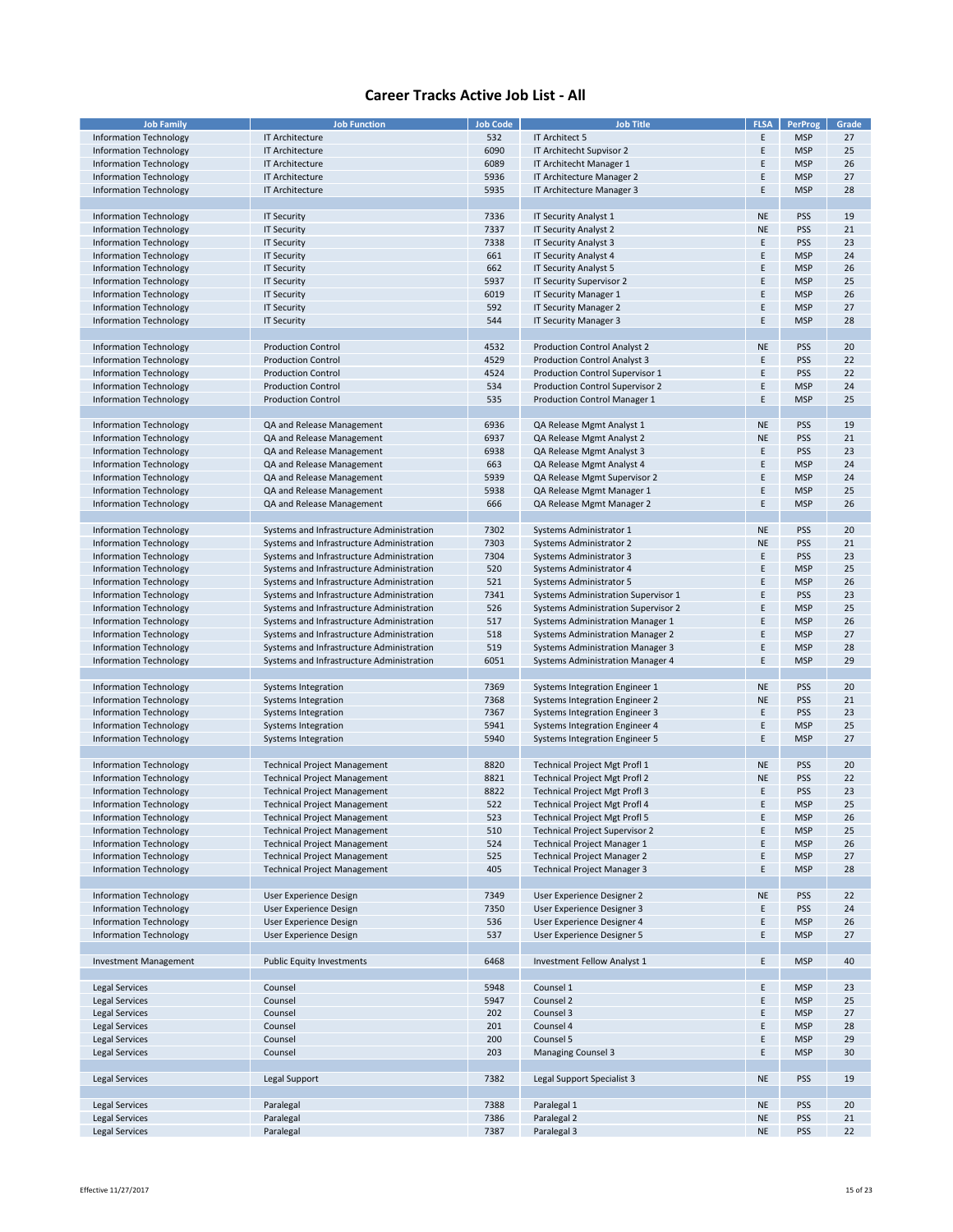| <b>Job Family</b>             | <b>Job Function</b>                       | <b>Job Code</b> | <b>Job Title</b>                        | <b>FLSA</b> | <b>PerProg</b> | Grade |
|-------------------------------|-------------------------------------------|-----------------|-----------------------------------------|-------------|----------------|-------|
|                               |                                           |                 |                                         |             |                |       |
| <b>Information Technology</b> | IT Architecture                           | 532             | IT Architect 5                          | Ε           | <b>MSP</b>     | 27    |
| Information Technology        | IT Architecture                           | 6090            | IT Architecht Supvisor 2                | E           | <b>MSP</b>     | 25    |
| <b>Information Technology</b> | <b>IT Architecture</b>                    | 6089            | IT Architecht Manager 1                 | Ε           | <b>MSP</b>     | 26    |
| Information Technology        | <b>IT Architecture</b>                    | 5936            | IT Architecture Manager 2               | E           | <b>MSP</b>     | 27    |
|                               |                                           |                 |                                         |             |                |       |
| Information Technology        | <b>IT Architecture</b>                    | 5935            | IT Architecture Manager 3               | E           | <b>MSP</b>     | 28    |
|                               |                                           |                 |                                         |             |                |       |
| Information Technology        | <b>IT Security</b>                        | 7336            | IT Security Analyst 1                   | <b>NE</b>   | PSS            | 19    |
| <b>Information Technology</b> | <b>IT Security</b>                        | 7337            | IT Security Analyst 2                   | <b>NE</b>   | PSS            | 21    |
| Information Technology        | <b>IT Security</b>                        | 7338            | IT Security Analyst 3                   | E           | <b>PSS</b>     | 23    |
|                               |                                           |                 |                                         |             |                |       |
| Information Technology        | <b>IT Security</b>                        | 661             | IT Security Analyst 4                   | E           | <b>MSP</b>     | 24    |
| Information Technology        | <b>IT Security</b>                        | 662             | IT Security Analyst 5                   | Ε           | <b>MSP</b>     | 26    |
| Information Technology        | <b>IT Security</b>                        | 5937            | IT Security Supervisor 2                | E           | <b>MSP</b>     | 25    |
| Information Technology        | <b>IT Security</b>                        | 6019            | IT Security Manager 1                   | Ε           | <b>MSP</b>     | 26    |
|                               |                                           |                 |                                         |             |                |       |
| <b>Information Technology</b> | <b>IT Security</b>                        | 592             | IT Security Manager 2                   | E           | <b>MSP</b>     | 27    |
| Information Technology        | <b>IT Security</b>                        | 544             | <b>IT Security Manager 3</b>            | E           | <b>MSP</b>     | 28    |
|                               |                                           |                 |                                         |             |                |       |
| Information Technology        | <b>Production Control</b>                 | 4532            | Production Control Analyst 2            | <b>NE</b>   | PSS            | 20    |
|                               |                                           |                 |                                         |             |                |       |
| Information Technology        | <b>Production Control</b>                 | 4529            | Production Control Analyst 3            | Ε           | PSS            | 22    |
| Information Technology        | <b>Production Control</b>                 | 4524            | Production Control Supervisor 1         | E           | <b>PSS</b>     | 22    |
| <b>Information Technology</b> | <b>Production Control</b>                 | 534             | Production Control Supervisor 2         | E           | <b>MSP</b>     | 24    |
| Information Technology        | <b>Production Control</b>                 | 535             | Production Control Manager 1            | Ε           | <b>MSP</b>     | 25    |
|                               |                                           |                 |                                         |             |                |       |
|                               |                                           |                 |                                         |             |                |       |
| Information Technology        | QA and Release Management                 | 6936            | QA Release Mgmt Analyst 1               | <b>NE</b>   | <b>PSS</b>     | 19    |
| Information Technology        | QA and Release Management                 | 6937            | QA Release Mgmt Analyst 2               | <b>NE</b>   | <b>PSS</b>     | 21    |
| Information Technology        | QA and Release Management                 | 6938            | QA Release Mgmt Analyst 3               | E           | PSS            | 23    |
| <b>Information Technology</b> | QA and Release Management                 | 663             | QA Release Mgmt Analyst 4               | Ε           | <b>MSP</b>     | 24    |
|                               |                                           |                 |                                         |             |                |       |
| Information Technology        | QA and Release Management                 | 5939            | QA Release Mgmt Supervisor 2            | E           | <b>MSP</b>     | 24    |
| <b>Information Technology</b> | QA and Release Management                 | 5938            | QA Release Mgmt Manager 1               | Ε           | <b>MSP</b>     | 25    |
| Information Technology        | QA and Release Management                 | 666             | QA Release Mgmt Manager 2               | E           | <b>MSP</b>     | 26    |
|                               |                                           |                 |                                         |             |                |       |
|                               |                                           |                 |                                         |             |                |       |
| <b>Information Technology</b> | Systems and Infrastructure Administration | 7302            | Systems Administrator 1                 | <b>NE</b>   | <b>PSS</b>     | 20    |
| Information Technology        | Systems and Infrastructure Administration | 7303            | Systems Administrator 2                 | <b>NE</b>   | PSS            | 21    |
| Information Technology        | Systems and Infrastructure Administration | 7304            | Systems Administrator 3                 | Ε           | PSS            | 23    |
| Information Technology        | Systems and Infrastructure Administration | 520             | Systems Administrator 4                 | E           | <b>MSP</b>     | 25    |
|                               |                                           |                 |                                         |             |                |       |
| Information Technology        | Systems and Infrastructure Administration | 521             | Systems Administrator 5                 | E           | <b>MSP</b>     | 26    |
| Information Technology        | Systems and Infrastructure Administration | 7341            | Systems Administration Supervisor 1     | Ε           | <b>PSS</b>     | 23    |
| Information Technology        | Systems and Infrastructure Administration | 526             | Systems Administration Supervisor 2     | E           | <b>MSP</b>     | 25    |
| Information Technology        | Systems and Infrastructure Administration | 517             | Systems Administration Manager 1        | Ε           | <b>MSP</b>     | 26    |
|                               |                                           |                 |                                         | E           |                | 27    |
| Information Technology        | Systems and Infrastructure Administration | 518             | <b>Systems Administration Manager 2</b> |             | <b>MSP</b>     |       |
| Information Technology        | Systems and Infrastructure Administration | 519             | <b>Systems Administration Manager 3</b> | E           | <b>MSP</b>     | 28    |
| Information Technology        | Systems and Infrastructure Administration | 6051            | Systems Administration Manager 4        | Ε           | <b>MSP</b>     | 29    |
|                               |                                           |                 |                                         |             |                |       |
|                               |                                           |                 |                                         |             |                |       |
| Information Technology        | Systems Integration                       | 7369            | Systems Integration Engineer 1          | <b>NE</b>   | <b>PSS</b>     | 20    |
| Information Technology        | Systems Integration                       | 7368            | <b>Systems Integration Engineer 2</b>   | <b>NE</b>   | <b>PSS</b>     | 21    |
| Information Technology        | Systems Integration                       | 7367            | <b>Systems Integration Engineer 3</b>   | E           | PSS            | 23    |
| Information Technology        | Systems Integration                       | 5941            | <b>Systems Integration Engineer 4</b>   | Ε           | <b>MSP</b>     | 25    |
| Information Technology        | Systems Integration                       | 5940            | <b>Systems Integration Engineer 5</b>   | E           | <b>MSP</b>     | 27    |
|                               |                                           |                 |                                         |             |                |       |
|                               |                                           |                 |                                         |             |                |       |
| Information Technology        | <b>Technical Project Management</b>       | 8820            | Technical Project Mgt Profl 1           | <b>NE</b>   | <b>PSS</b>     | 20    |
| Information Technology        | <b>Technical Project Management</b>       | 8821            | <b>Technical Project Mgt Profl 2</b>    | <b>NE</b>   | PSS            | 22    |
| Information Technology        | <b>Technical Project Management</b>       | 8822            | <b>Technical Project Mgt Profl 3</b>    | Ε           | PSS            | 23    |
|                               |                                           |                 |                                         | E           | <b>MSP</b>     | 25    |
| Information Technology        | <b>Technical Project Management</b>       | 522             | <b>Technical Project Mgt Profl 4</b>    |             |                |       |
| Information Technology        | <b>Technical Project Management</b>       | 523             | Technical Project Mgt Profl 5           | Ε           | <b>MSP</b>     | 26    |
| <b>Information Technology</b> | <b>Technical Project Management</b>       | 510             | <b>Technical Project Supervisor 2</b>   | Ε           | <b>MSP</b>     | 25    |
| <b>Information Technology</b> | <b>Technical Project Management</b>       | 524             | <b>Technical Project Manager 1</b>      | Ε           | <b>MSP</b>     | 26    |
| <b>Information Technology</b> | <b>Technical Project Management</b>       | 525             | <b>Technical Project Manager 2</b>      | Ε           | <b>MSP</b>     | 27    |
|                               |                                           |                 |                                         |             |                |       |
| <b>Information Technology</b> | <b>Technical Project Management</b>       | 405             | <b>Technical Project Manager 3</b>      | Ε           | <b>MSP</b>     | 28    |
|                               |                                           |                 |                                         |             |                |       |
| Information Technology        | User Experience Design                    | 7349            | User Experience Designer 2              | <b>NE</b>   | <b>PSS</b>     | 22    |
| <b>Information Technology</b> | User Experience Design                    | 7350            | User Experience Designer 3              | Е           | PSS            | 24    |
| <b>Information Technology</b> | User Experience Design                    | 536             | User Experience Designer 4              | Ε           | <b>MSP</b>     | 26    |
|                               |                                           |                 |                                         |             |                |       |
| Information Technology        | User Experience Design                    | 537             | User Experience Designer 5              | Ε           | <b>MSP</b>     | 27    |
|                               |                                           |                 |                                         |             |                |       |
| Investment Management         | <b>Public Equity Investments</b>          | 6468            | Investment Fellow Analyst 1             | Ε           | <b>MSP</b>     | 40    |
|                               |                                           |                 |                                         |             |                |       |
|                               |                                           |                 |                                         |             |                |       |
| Legal Services                | Counsel                                   | 5948            | Counsel 1                               | Ε           | <b>MSP</b>     | 23    |
| <b>Legal Services</b>         | Counsel                                   | 5947            | Counsel 2                               | Ε           | <b>MSP</b>     | 25    |
| <b>Legal Services</b>         | Counsel                                   | 202             | Counsel 3                               | Ε           | <b>MSP</b>     | 27    |
| Legal Services                | Counsel                                   | 201             | Counsel 4                               | Ε           | <b>MSP</b>     | 28    |
|                               |                                           |                 |                                         |             |                |       |
| <b>Legal Services</b>         | Counsel                                   | 200             | Counsel 5                               | Ε           | <b>MSP</b>     | 29    |
| Legal Services                | Counsel                                   | 203             | <b>Managing Counsel 3</b>               | Ε           | <b>MSP</b>     | 30    |
|                               |                                           |                 |                                         |             |                |       |
| Legal Services                | Legal Support                             | 7382            | Legal Support Specialist 3              | <b>NE</b>   | PSS            | 19    |
|                               |                                           |                 |                                         |             |                |       |
|                               |                                           |                 |                                         |             |                |       |
| <b>Legal Services</b>         | Paralegal                                 | 7388            | Paralegal 1                             | <b>NE</b>   | PSS            | 20    |
| Legal Services                | Paralegal                                 | 7386            | Paralegal 2                             | <b>NE</b>   | <b>PSS</b>     | 21    |
| Legal Services                | Paralegal                                 | 7387            | Paralegal 3                             | <b>NE</b>   | PSS            | 22    |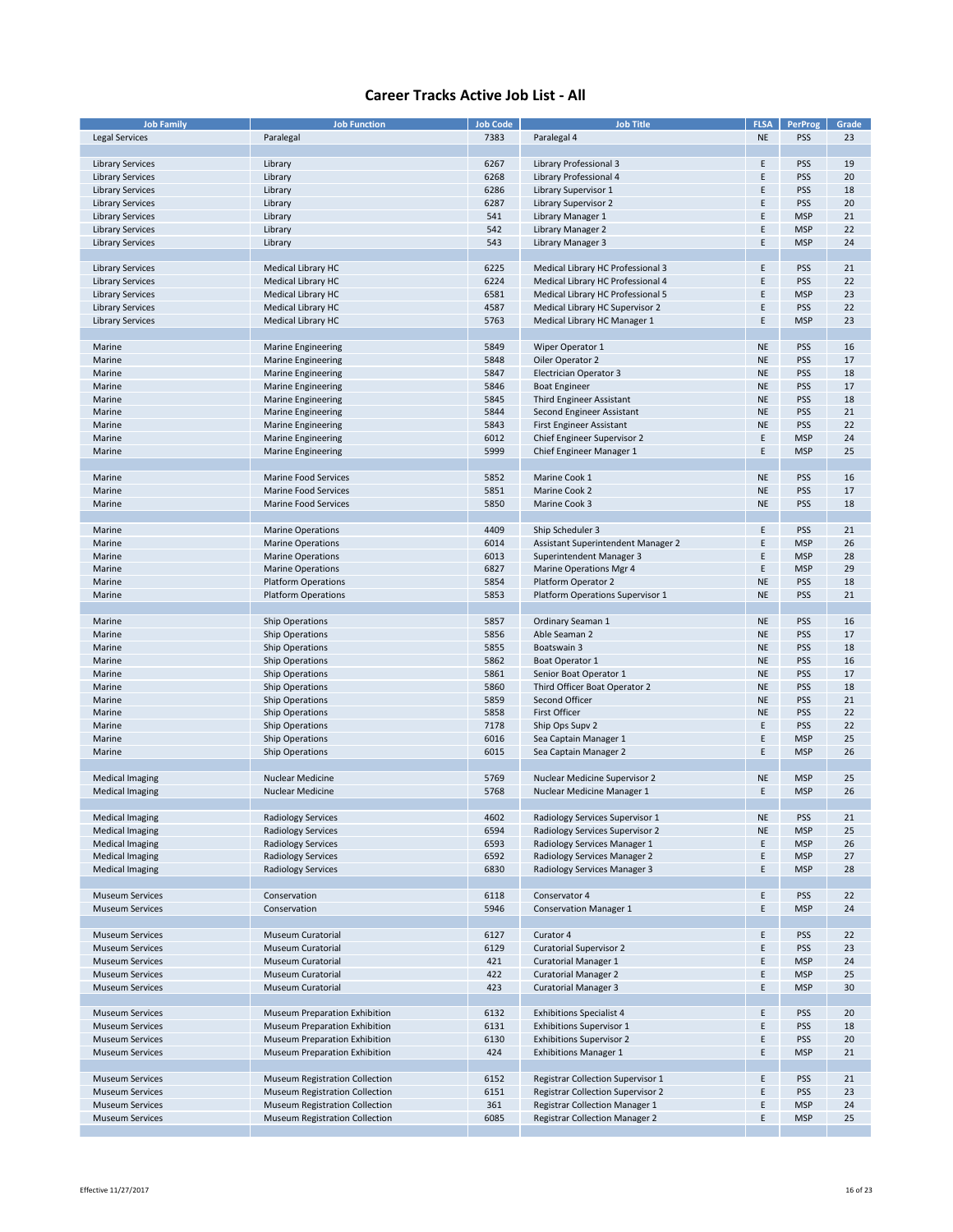| <b>Job Family</b>       | <b>Job Function</b>                  | <b>Job Code</b> | <b>Job Title</b>                         | <b>FLSA</b> | PerProg    | Grade |
|-------------------------|--------------------------------------|-----------------|------------------------------------------|-------------|------------|-------|
| <b>Legal Services</b>   | Paralegal                            | 7383            | Paralegal 4                              | <b>NE</b>   | <b>PSS</b> | 23    |
|                         |                                      |                 |                                          |             |            |       |
| <b>Library Services</b> | Library                              | 6267            | Library Professional 3                   | Ε           | PSS        | 19    |
| <b>Library Services</b> | Library                              | 6268            | Library Professional 4                   | E           | <b>PSS</b> | 20    |
| <b>Library Services</b> | Library                              | 6286            | Library Supervisor 1                     | E           | <b>PSS</b> | 18    |
|                         |                                      | 6287            | <b>Library Supervisor 2</b>              | E           | <b>PSS</b> | 20    |
| <b>Library Services</b> | Library                              |                 |                                          |             |            |       |
| <b>Library Services</b> | Library                              | 541             | Library Manager 1                        | E           | <b>MSP</b> | 21    |
| <b>Library Services</b> | Library                              | 542             | Library Manager 2                        | E           | <b>MSP</b> | 22    |
| <b>Library Services</b> | Library                              | 543             | Library Manager 3                        | Ε           | <b>MSP</b> | 24    |
|                         |                                      |                 |                                          |             |            |       |
| <b>Library Services</b> | Medical Library HC                   | 6225            | Medical Library HC Professional 3        | Ε           | <b>PSS</b> | 21    |
| <b>Library Services</b> | Medical Library HC                   | 6224            | Medical Library HC Professional 4        | E           | <b>PSS</b> | 22    |
| <b>Library Services</b> | Medical Library HC                   | 6581            | Medical Library HC Professional 5        | E           | <b>MSP</b> | 23    |
| <b>Library Services</b> | Medical Library HC                   | 4587            | Medical Library HC Supervisor 2          | Ε           | <b>PSS</b> | 22    |
| <b>Library Services</b> | Medical Library HC                   | 5763            | Medical Library HC Manager 1             | Ε           | <b>MSP</b> | 23    |
|                         |                                      |                 |                                          |             |            |       |
| Marine                  | Marine Engineering                   | 5849            | Wiper Operator 1                         | <b>NE</b>   | <b>PSS</b> | 16    |
| Marine                  | <b>Marine Engineering</b>            | 5848            | Oiler Operator 2                         | <b>NE</b>   | <b>PSS</b> | 17    |
|                         |                                      | 5847            |                                          | <b>NE</b>   | <b>PSS</b> | 18    |
| Marine                  | <b>Marine Engineering</b>            |                 | <b>Electrician Operator 3</b>            |             |            |       |
| Marine                  | <b>Marine Engineering</b>            | 5846            | <b>Boat Engineer</b>                     | NE          | <b>PSS</b> | 17    |
| Marine                  | <b>Marine Engineering</b>            | 5845            | Third Engineer Assistant                 | <b>NE</b>   | <b>PSS</b> | 18    |
| Marine                  | <b>Marine Engineering</b>            | 5844            | Second Engineer Assistant                | NE          | <b>PSS</b> | 21    |
| Marine                  | <b>Marine Engineering</b>            | 5843            | <b>First Engineer Assistant</b>          | <b>NE</b>   | <b>PSS</b> | 22    |
| Marine                  | <b>Marine Engineering</b>            | 6012            | Chief Engineer Supervisor 2              | Ε           | <b>MSP</b> | 24    |
| Marine                  | <b>Marine Engineering</b>            | 5999            | Chief Engineer Manager 1                 | Ε           | <b>MSP</b> | 25    |
|                         |                                      |                 |                                          |             |            |       |
| Marine                  | <b>Marine Food Services</b>          | 5852            | Marine Cook 1                            | <b>NE</b>   | <b>PSS</b> | 16    |
| Marine                  | <b>Marine Food Services</b>          | 5851            | Marine Cook 2                            | <b>NE</b>   | <b>PSS</b> | 17    |
| Marine                  | <b>Marine Food Services</b>          | 5850            | Marine Cook 3                            | <b>NE</b>   | <b>PSS</b> | 18    |
|                         |                                      |                 |                                          |             |            |       |
|                         |                                      |                 | Ship Scheduler 3                         |             |            |       |
| Marine                  | <b>Marine Operations</b>             | 4409            |                                          | Ε           | <b>PSS</b> | 21    |
| Marine                  | <b>Marine Operations</b>             | 6014            | Assistant Superintendent Manager 2       | E           | <b>MSP</b> | 26    |
| Marine                  | <b>Marine Operations</b>             | 6013            | Superintendent Manager 3                 | E           | <b>MSP</b> | 28    |
| Marine                  | <b>Marine Operations</b>             | 6827            | Marine Operations Mgr 4                  | Ε           | <b>MSP</b> | 29    |
| Marine                  | <b>Platform Operations</b>           | 5854            | Platform Operator 2                      | <b>NE</b>   | <b>PSS</b> | 18    |
| Marine                  | <b>Platform Operations</b>           | 5853            | Platform Operations Supervisor 1         | <b>NE</b>   | <b>PSS</b> | 21    |
|                         |                                      |                 |                                          |             |            |       |
| Marine                  | <b>Ship Operations</b>               | 5857            | Ordinary Seaman 1                        | <b>NE</b>   | <b>PSS</b> | 16    |
| Marine                  | Ship Operations                      | 5856            | Able Seaman 2                            | <b>NE</b>   | <b>PSS</b> | 17    |
| Marine                  | <b>Ship Operations</b>               | 5855            | Boatswain 3                              | NE          | <b>PSS</b> | 18    |
| Marine                  | <b>Ship Operations</b>               | 5862            | Boat Operator 1                          | <b>NE</b>   | <b>PSS</b> | 16    |
|                         |                                      |                 |                                          |             |            | 17    |
| Marine                  | <b>Ship Operations</b>               | 5861            | Senior Boat Operator 1                   | NE          | <b>PSS</b> |       |
| Marine                  | <b>Ship Operations</b>               | 5860            | Third Officer Boat Operator 2            | <b>NE</b>   | <b>PSS</b> | 18    |
| Marine                  | <b>Ship Operations</b>               | 5859            | Second Officer                           | <b>NE</b>   | <b>PSS</b> | 21    |
| Marine                  | <b>Ship Operations</b>               | 5858            | <b>First Officer</b>                     | <b>NE</b>   | <b>PSS</b> | 22    |
| Marine                  | <b>Ship Operations</b>               | 7178            | Ship Ops Supv 2                          | Ε           | <b>PSS</b> | 22    |
| Marine                  | Ship Operations                      | 6016            | Sea Captain Manager 1                    | Ε           | <b>MSP</b> | 25    |
| Marine                  | <b>Ship Operations</b>               | 6015            | Sea Captain Manager 2                    | Ε           | <b>MSP</b> | 26    |
|                         |                                      |                 |                                          |             |            |       |
| <b>Medical Imaging</b>  | <b>Nuclear Medicine</b>              | 5769            | Nuclear Medicine Supervisor 2            | <b>NE</b>   | <b>MSP</b> | 25    |
| <b>Medical Imaging</b>  | <b>Nuclear Medicine</b>              | 5768            | Nuclear Medicine Manager 1               | E           | <b>MSP</b> | 26    |
|                         |                                      |                 |                                          |             |            |       |
| <b>Medical Imaging</b>  | <b>Radiology Services</b>            | 4602            | Radiology Services Supervisor 1          | <b>NE</b>   | PSS        | 21    |
| <b>Medical Imaging</b>  | <b>Radiology Services</b>            | 6594            | Radiology Services Supervisor 2          | <b>NE</b>   | <b>MSP</b> | 25    |
| <b>Medical Imaging</b>  |                                      |                 | Radiology Services Manager 1             | E           |            |       |
|                         | <b>Radiology Services</b>            | 6593            |                                          |             | <b>MSP</b> | 26    |
| <b>Medical Imaging</b>  | <b>Radiology Services</b>            | 6592            | Radiology Services Manager 2             | E           | <b>MSP</b> | 27    |
| <b>Medical Imaging</b>  | <b>Radiology Services</b>            | 6830            | Radiology Services Manager 3             | Ε           | <b>MSP</b> | 28    |
|                         |                                      |                 |                                          |             |            |       |
| <b>Museum Services</b>  | Conservation                         | 6118            | Conservator 4                            | Ε           | <b>PSS</b> | 22    |
| <b>Museum Services</b>  | Conservation                         | 5946            | <b>Conservation Manager 1</b>            | E           | <b>MSP</b> | 24    |
|                         |                                      |                 |                                          |             |            |       |
| <b>Museum Services</b>  | Museum Curatorial                    | 6127            | Curator 4                                | Ε           | <b>PSS</b> | 22    |
| <b>Museum Services</b>  | Museum Curatorial                    | 6129            | <b>Curatorial Supervisor 2</b>           | Ε           | <b>PSS</b> | 23    |
| <b>Museum Services</b>  | Museum Curatorial                    | 421             | <b>Curatorial Manager 1</b>              | Ε           | <b>MSP</b> | 24    |
| <b>Museum Services</b>  | <b>Museum Curatorial</b>             | 422             | <b>Curatorial Manager 2</b>              | E           | <b>MSP</b> | 25    |
| <b>Museum Services</b>  | Museum Curatorial                    | 423             | <b>Curatorial Manager 3</b>              | Ε           | <b>MSP</b> | 30    |
|                         |                                      |                 |                                          |             |            |       |
|                         |                                      |                 |                                          |             |            |       |
| <b>Museum Services</b>  | <b>Museum Preparation Exhibition</b> | 6132            | <b>Exhibitions Specialist 4</b>          | Ε           | <b>PSS</b> | 20    |
| <b>Museum Services</b>  | Museum Preparation Exhibition        | 6131            | <b>Exhibitions Supervisor 1</b>          | Ε           | <b>PSS</b> | 18    |
| <b>Museum Services</b>  | Museum Preparation Exhibition        | 6130            | <b>Exhibitions Supervisor 2</b>          | E           | <b>PSS</b> | 20    |
| <b>Museum Services</b>  | Museum Preparation Exhibition        | 424             | <b>Exhibitions Manager 1</b>             | E           | <b>MSP</b> | 21    |
|                         |                                      |                 |                                          |             |            |       |
| <b>Museum Services</b>  | Museum Registration Collection       | 6152            | <b>Registrar Collection Supervisor 1</b> | E           | <b>PSS</b> | 21    |
| <b>Museum Services</b>  | Museum Registration Collection       | 6151            | <b>Registrar Collection Supervisor 2</b> | Ε           | <b>PSS</b> | 23    |
| <b>Museum Services</b>  | Museum Registration Collection       | 361             | <b>Registrar Collection Manager 1</b>    | E           | <b>MSP</b> | 24    |
| <b>Museum Services</b>  | Museum Registration Collection       | 6085            | <b>Registrar Collection Manager 2</b>    | Ε           | <b>MSP</b> | 25    |
|                         |                                      |                 |                                          |             |            |       |
|                         |                                      |                 |                                          |             |            |       |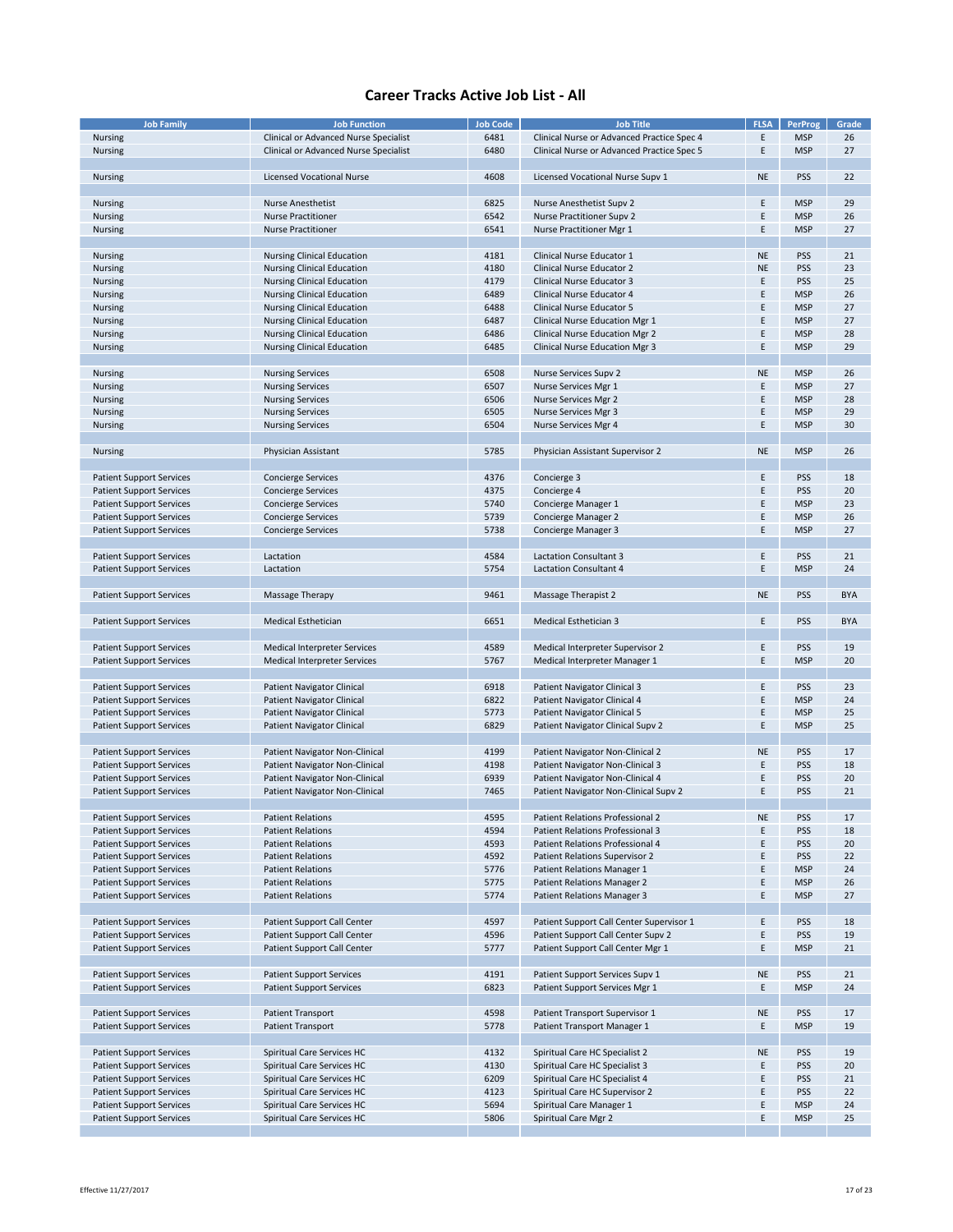| <b>Job Family</b>               | <b>Job Function</b>                   | <b>Job Code</b> | <b>Job Title</b>                           | <b>FLSA</b> | PerProg    | Grade      |
|---------------------------------|---------------------------------------|-----------------|--------------------------------------------|-------------|------------|------------|
| <b>Nursing</b>                  | Clinical or Advanced Nurse Specialist | 6481            | Clinical Nurse or Advanced Practice Spec 4 | Ε           | <b>MSP</b> | 26         |
|                                 |                                       |                 |                                            |             |            |            |
| Nursing                         | Clinical or Advanced Nurse Specialist | 6480            | Clinical Nurse or Advanced Practice Spec 5 | Ε           | <b>MSP</b> | 27         |
|                                 |                                       |                 |                                            |             |            |            |
| Nursing                         | <b>Licensed Vocational Nurse</b>      | 4608            | Licensed Vocational Nurse Supv 1           | <b>NE</b>   | <b>PSS</b> | 22         |
|                                 |                                       |                 |                                            |             |            |            |
| Nursing                         | <b>Nurse Anesthetist</b>              | 6825            | Nurse Anesthetist Supv 2                   | Ε           | <b>MSP</b> | 29         |
|                                 | <b>Nurse Practitioner</b>             | 6542            | <b>Nurse Practitioner Supv 2</b>           | Ε           | <b>MSP</b> | 26         |
| Nursing                         |                                       |                 |                                            |             |            |            |
| Nursing                         | <b>Nurse Practitioner</b>             | 6541            | Nurse Practitioner Mgr 1                   | Ε           | <b>MSP</b> | 27         |
|                                 |                                       |                 |                                            |             |            |            |
| Nursing                         | <b>Nursing Clinical Education</b>     | 4181            | Clinical Nurse Educator 1                  | <b>NE</b>   | <b>PSS</b> | 21         |
| Nursing                         | <b>Nursing Clinical Education</b>     | 4180            | <b>Clinical Nurse Educator 2</b>           | <b>NE</b>   | <b>PSS</b> | 23         |
| Nursing                         | <b>Nursing Clinical Education</b>     | 4179            | Clinical Nurse Educator 3                  | Ε           | <b>PSS</b> | 25         |
|                                 |                                       |                 |                                            | F           | <b>MSP</b> | 26         |
| Nursing                         | <b>Nursing Clinical Education</b>     | 6489            | Clinical Nurse Educator 4                  |             |            |            |
| Nursing                         | <b>Nursing Clinical Education</b>     | 6488            | Clinical Nurse Educator 5                  | E           | <b>MSP</b> | 27         |
| Nursing                         | Nursing Clinical Education            | 6487            | Clinical Nurse Education Mgr 1             | E           | <b>MSP</b> | 27         |
| Nursing                         | <b>Nursing Clinical Education</b>     | 6486            | <b>Clinical Nurse Education Mgr 2</b>      | E           | <b>MSP</b> | 28         |
| Nursing                         | <b>Nursing Clinical Education</b>     | 6485            | <b>Clinical Nurse Education Mgr 3</b>      | Ε           | <b>MSP</b> | 29         |
|                                 |                                       |                 |                                            |             |            |            |
|                                 |                                       |                 |                                            |             |            |            |
| Nursing                         | <b>Nursing Services</b>               | 6508            | Nurse Services Supv 2                      | <b>NE</b>   | <b>MSP</b> | 26         |
| Nursing                         | <b>Nursing Services</b>               | 6507            | Nurse Services Mgr 1                       | Ε           | <b>MSP</b> | 27         |
| Nursing                         | <b>Nursing Services</b>               | 6506            | Nurse Services Mgr 2                       | E           | <b>MSP</b> | 28         |
| Nursing                         | <b>Nursing Services</b>               | 6505            | Nurse Services Mgr 3                       | E           | <b>MSP</b> | 29         |
| Nursing                         | <b>Nursing Services</b>               | 6504            | Nurse Services Mgr 4                       | Ε           | <b>MSP</b> | 30         |
|                                 |                                       |                 |                                            |             |            |            |
|                                 |                                       |                 |                                            |             |            |            |
| Nursing                         | Physician Assistant                   | 5785            | Physician Assistant Supervisor 2           | <b>NE</b>   | <b>MSP</b> | 26         |
|                                 |                                       |                 |                                            |             |            |            |
| <b>Patient Support Services</b> | <b>Concierge Services</b>             | 4376            | Concierge 3                                | Ε           | <b>PSS</b> | 18         |
| <b>Patient Support Services</b> | <b>Concierge Services</b>             | 4375            | Concierge 4                                | E           | <b>PSS</b> | 20         |
| <b>Patient Support Services</b> | <b>Concierge Services</b>             | 5740            | Concierge Manager 1                        | E           | <b>MSP</b> | 23         |
|                                 |                                       |                 |                                            |             |            |            |
| <b>Patient Support Services</b> | <b>Concierge Services</b>             | 5739            | Concierge Manager 2                        | E           | <b>MSP</b> | 26         |
| <b>Patient Support Services</b> | <b>Concierge Services</b>             | 5738            | Concierge Manager 3                        | E           | <b>MSP</b> | 27         |
|                                 |                                       |                 |                                            |             |            |            |
| <b>Patient Support Services</b> | Lactation                             | 4584            | <b>Lactation Consultant 3</b>              | Ε           | <b>PSS</b> | 21         |
| <b>Patient Support Services</b> | Lactation                             | 5754            | Lactation Consultant 4                     | E           | <b>MSP</b> | 24         |
|                                 |                                       |                 |                                            |             |            |            |
|                                 |                                       |                 |                                            |             |            |            |
| <b>Patient Support Services</b> | Massage Therapy                       | 9461            | Massage Therapist 2                        | <b>NE</b>   | <b>PSS</b> | <b>BYA</b> |
|                                 |                                       |                 |                                            |             |            |            |
| <b>Patient Support Services</b> | <b>Medical Esthetician</b>            | 6651            | Medical Esthetician 3                      | Ε           | <b>PSS</b> | <b>BYA</b> |
|                                 |                                       |                 |                                            |             |            |            |
| <b>Patient Support Services</b> | Medical Interpreter Services          | 4589            | Medical Interpreter Supervisor 2           | Ε           | <b>PSS</b> | 19         |
|                                 |                                       |                 |                                            |             |            |            |
| <b>Patient Support Services</b> | Medical Interpreter Services          | 5767            | Medical Interpreter Manager 1              | Ε           | <b>MSP</b> | 20         |
|                                 |                                       |                 |                                            |             |            |            |
| <b>Patient Support Services</b> | <b>Patient Navigator Clinical</b>     | 6918            | Patient Navigator Clinical 3               | Ε           | <b>PSS</b> | 23         |
| <b>Patient Support Services</b> | <b>Patient Navigator Clinical</b>     | 6822            | Patient Navigator Clinical 4               | Ε           | <b>MSP</b> | 24         |
| <b>Patient Support Services</b> | <b>Patient Navigator Clinical</b>     | 5773            | Patient Navigator Clinical 5               | E           | <b>MSP</b> | 25         |
| <b>Patient Support Services</b> | Patient Navigator Clinical            | 6829            | Patient Navigator Clinical Supv 2          | Ε           | <b>MSP</b> | 25         |
|                                 |                                       |                 |                                            |             |            |            |
|                                 |                                       |                 |                                            |             |            |            |
| <b>Patient Support Services</b> | Patient Navigator Non-Clinical        | 4199            | Patient Navigator Non-Clinical 2           | <b>NE</b>   | <b>PSS</b> | 17         |
| <b>Patient Support Services</b> | Patient Navigator Non-Clinical        | 4198            | Patient Navigator Non-Clinical 3           | E           | <b>PSS</b> | 18         |
| <b>Patient Support Services</b> | Patient Navigator Non-Clinical        | 6939            | Patient Navigator Non-Clinical 4           | E           | <b>PSS</b> | 20         |
| <b>Patient Support Services</b> | Patient Navigator Non-Clinical        | 7465            | Patient Navigator Non-Clinical Supv 2      | E           | <b>PSS</b> | 21         |
|                                 |                                       |                 |                                            |             |            |            |
|                                 |                                       |                 |                                            |             |            |            |
| Patient Support Services        | Patient Relations                     | 4595            | Patient Relations Professional 2           | <b>NE</b>   | <b>PSS</b> | 17         |
| <b>Patient Support Services</b> | <b>Patient Relations</b>              | 4594            | Patient Relations Professional 3           | Ε           | <b>PSS</b> | 18         |
| <b>Patient Support Services</b> | <b>Patient Relations</b>              | 4593            | Patient Relations Professional 4           | E           | <b>PSS</b> | 20         |
| <b>Patient Support Services</b> | <b>Patient Relations</b>              | 4592            | Patient Relations Supervisor 2             | E           | <b>PSS</b> | 22         |
| <b>Patient Support Services</b> | <b>Patient Relations</b>              | 5776            | Patient Relations Manager 1                | E           | <b>MSP</b> | 24         |
| <b>Patient Support Services</b> | <b>Patient Relations</b>              | 5775            | Patient Relations Manager 2                | Ε           | <b>MSP</b> | 26         |
|                                 |                                       |                 |                                            | E           |            |            |
| <b>Patient Support Services</b> | <b>Patient Relations</b>              | 5774            | Patient Relations Manager 3                |             | <b>MSP</b> | 27         |
|                                 |                                       |                 |                                            |             |            |            |
| <b>Patient Support Services</b> | Patient Support Call Center           | 4597            | Patient Support Call Center Supervisor 1   | Ε           | <b>PSS</b> | 18         |
| <b>Patient Support Services</b> | Patient Support Call Center           | 4596            | Patient Support Call Center Supv 2         | E           | <b>PSS</b> | 19         |
| <b>Patient Support Services</b> | Patient Support Call Center           | 5777            | Patient Support Call Center Mgr 1          | Ε           | <b>MSP</b> | 21         |
|                                 |                                       |                 |                                            |             |            |            |
| <b>Patient Support Services</b> | <b>Patient Support Services</b>       | 4191            | Patient Support Services Supv 1            | <b>NE</b>   | <b>PSS</b> | 21         |
|                                 |                                       |                 |                                            |             |            |            |
| <b>Patient Support Services</b> | <b>Patient Support Services</b>       | 6823            | Patient Support Services Mgr 1             | Ε           | <b>MSP</b> | 24         |
|                                 |                                       |                 |                                            |             |            |            |
| <b>Patient Support Services</b> | Patient Transport                     | 4598            | Patient Transport Supervisor 1             | <b>NE</b>   | <b>PSS</b> | 17         |
| <b>Patient Support Services</b> | Patient Transport                     | 5778            | Patient Transport Manager 1                | Ε           | <b>MSP</b> | 19         |
|                                 |                                       |                 |                                            |             |            |            |
|                                 |                                       | 4132            | Spiritual Care HC Specialist 2             | <b>NE</b>   |            |            |
| <b>Patient Support Services</b> | Spiritual Care Services HC            |                 |                                            |             | <b>PSS</b> | 19         |
| <b>Patient Support Services</b> | Spiritual Care Services HC            | 4130            | Spiritual Care HC Specialist 3             | Ε           | <b>PSS</b> | 20         |
| <b>Patient Support Services</b> | Spiritual Care Services HC            | 6209            | Spiritual Care HC Specialist 4             | Ε           | <b>PSS</b> | 21         |
| <b>Patient Support Services</b> | Spiritual Care Services HC            | 4123            | Spiritual Care HC Supervisor 2             | E           | <b>PSS</b> | 22         |
| <b>Patient Support Services</b> | Spiritual Care Services HC            | 5694            | Spiritual Care Manager 1                   | Ε           | <b>MSP</b> | 24         |
| <b>Patient Support Services</b> | Spiritual Care Services HC            | 5806            | Spiritual Care Mgr 2                       | Ε           | <b>MSP</b> | 25         |
|                                 |                                       |                 |                                            |             |            |            |
|                                 |                                       |                 |                                            |             |            |            |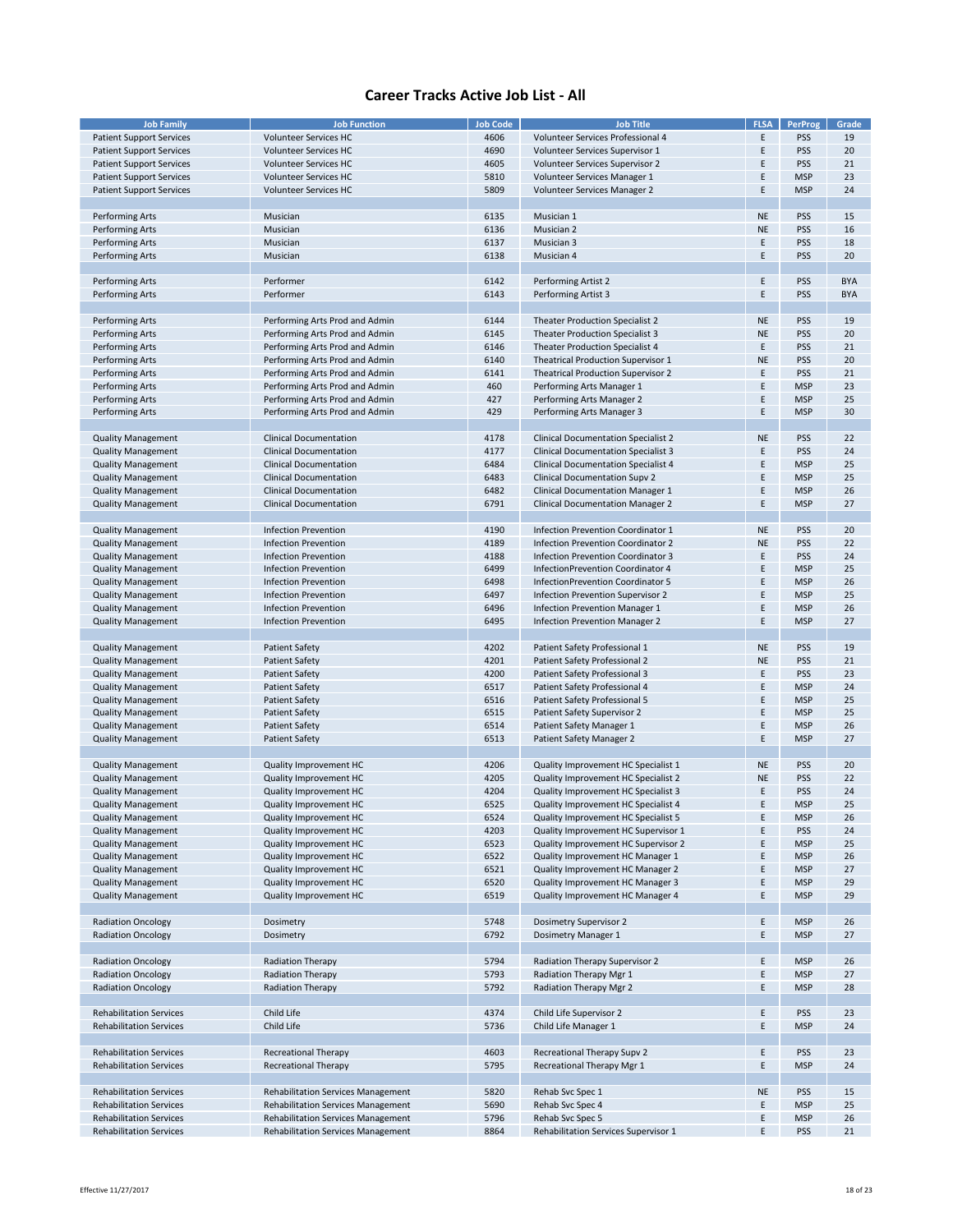| <b>Job Family</b>               | <b>Job Function</b>                       | <b>Job Code</b> | <b>Job Title</b>                           | <b>FLSA</b> | <b>PerProg</b> | Grade      |
|---------------------------------|-------------------------------------------|-----------------|--------------------------------------------|-------------|----------------|------------|
|                                 |                                           |                 |                                            |             |                |            |
| <b>Patient Support Services</b> | Volunteer Services HC                     | 4606            | Volunteer Services Professional 4          | Ε           | PSS            | 19         |
| <b>Patient Support Services</b> | <b>Volunteer Services HC</b>              | 4690            | Volunteer Services Supervisor 1            | E           | PSS            | 20         |
|                                 |                                           |                 |                                            |             |                |            |
| <b>Patient Support Services</b> | Volunteer Services HC                     | 4605            | Volunteer Services Supervisor 2            | Ε           | <b>PSS</b>     | 21         |
| <b>Patient Support Services</b> | <b>Volunteer Services HC</b>              | 5810            | Volunteer Services Manager 1               | E           | <b>MSP</b>     | 23         |
| <b>Patient Support Services</b> | <b>Volunteer Services HC</b>              | 5809            | Volunteer Services Manager 2               | E           | <b>MSP</b>     | 24         |
|                                 |                                           |                 |                                            |             |                |            |
|                                 |                                           |                 |                                            |             |                |            |
| <b>Performing Arts</b>          | Musician                                  | 6135            | Musician 1                                 | <b>NE</b>   | PSS            | 15         |
| <b>Performing Arts</b>          | Musician                                  | 6136            | Musician 2                                 | <b>NE</b>   | <b>PSS</b>     | 16         |
|                                 |                                           | 6137            | Musician 3                                 | E           | PSS            | 18         |
| Performing Arts                 | Musician                                  |                 |                                            |             |                |            |
| Performing Arts                 | Musician                                  | 6138            | Musician 4                                 | E           | PSS            | 20         |
|                                 |                                           |                 |                                            |             |                |            |
| Performing Arts                 | Performer                                 | 6142            | Performing Artist 2                        | E           | PSS            | <b>BYA</b> |
|                                 |                                           |                 |                                            |             |                |            |
| Performing Arts                 | Performer                                 | 6143            | Performing Artist 3                        | E           | <b>PSS</b>     | <b>BYA</b> |
|                                 |                                           |                 |                                            |             |                |            |
|                                 |                                           |                 |                                            |             | PSS            |            |
| Performing Arts                 | Performing Arts Prod and Admin            | 6144            | <b>Theater Production Specialist 2</b>     | <b>NE</b>   |                | 19         |
| Performing Arts                 | Performing Arts Prod and Admin            | 6145            | Theater Production Specialist 3            | <b>NE</b>   | PSS            | 20         |
| Performing Arts                 | Performing Arts Prod and Admin            | 6146            | <b>Theater Production Specialist 4</b>     | E           | PSS            | 21         |
|                                 |                                           |                 |                                            |             |                |            |
| <b>Performing Arts</b>          | Performing Arts Prod and Admin            | 6140            | <b>Theatrical Production Supervisor 1</b>  | <b>NE</b>   | <b>PSS</b>     | 20         |
| Performing Arts                 | Performing Arts Prod and Admin            | 6141            | <b>Theatrical Production Supervisor 2</b>  | E           | PSS            | 21         |
| <b>Performing Arts</b>          | Performing Arts Prod and Admin            | 460             | Performing Arts Manager 1                  | E           | <b>MSP</b>     | 23         |
|                                 |                                           |                 |                                            |             |                |            |
| <b>Performing Arts</b>          | Performing Arts Prod and Admin            | 427             | Performing Arts Manager 2                  | E           | <b>MSP</b>     | 25         |
| <b>Performing Arts</b>          | Performing Arts Prod and Admin            | 429             | Performing Arts Manager 3                  | E           | <b>MSP</b>     | 30         |
|                                 |                                           |                 |                                            |             |                |            |
|                                 |                                           |                 |                                            |             |                |            |
| <b>Quality Management</b>       | <b>Clinical Documentation</b>             | 4178            | <b>Clinical Documentation Specialist 2</b> | <b>NE</b>   | <b>PSS</b>     | 22         |
| <b>Quality Management</b>       | <b>Clinical Documentation</b>             | 4177            | <b>Clinical Documentation Specialist 3</b> | E           | PSS            | 24         |
|                                 | <b>Clinical Documentation</b>             | 6484            | <b>Clinical Documentation Specialist 4</b> | E           | <b>MSP</b>     | 25         |
| <b>Quality Management</b>       |                                           |                 |                                            |             |                |            |
| <b>Quality Management</b>       | <b>Clinical Documentation</b>             | 6483            | <b>Clinical Documentation Supv 2</b>       | E           | <b>MSP</b>     | 25         |
| <b>Quality Management</b>       | <b>Clinical Documentation</b>             | 6482            | <b>Clinical Documentation Manager 1</b>    | E           | <b>MSP</b>     | 26         |
|                                 |                                           |                 |                                            | E           |                |            |
| <b>Quality Management</b>       | <b>Clinical Documentation</b>             | 6791            | <b>Clinical Documentation Manager 2</b>    |             | <b>MSP</b>     | 27         |
|                                 |                                           |                 |                                            |             |                |            |
| <b>Quality Management</b>       | Infection Prevention                      | 4190            | Infection Prevention Coordinator 1         | <b>NE</b>   | <b>PSS</b>     | 20         |
|                                 |                                           |                 |                                            |             |                |            |
| <b>Quality Management</b>       | <b>Infection Prevention</b>               | 4189            | Infection Prevention Coordinator 2         | <b>NE</b>   | PSS            | 22         |
| <b>Quality Management</b>       | <b>Infection Prevention</b>               | 4188            | Infection Prevention Coordinator 3         | Ε           | <b>PSS</b>     | 24         |
| <b>Quality Management</b>       | <b>Infection Prevention</b>               | 6499            | InfectionPrevention Coordinator 4          | E           | <b>MSP</b>     | 25         |
|                                 |                                           |                 |                                            |             |                |            |
| <b>Quality Management</b>       | Infection Prevention                      | 6498            | InfectionPrevention Coordinator 5          | E           | <b>MSP</b>     | 26         |
| <b>Quality Management</b>       | <b>Infection Prevention</b>               | 6497            | Infection Prevention Supervisor 2          | E           | <b>MSP</b>     | 25         |
| <b>Quality Management</b>       | <b>Infection Prevention</b>               | 6496            | Infection Prevention Manager 1             | E           | <b>MSP</b>     | 26         |
|                                 |                                           |                 |                                            |             |                |            |
| <b>Quality Management</b>       | <b>Infection Prevention</b>               | 6495            | Infection Prevention Manager 2             | E           | <b>MSP</b>     | 27         |
|                                 |                                           |                 |                                            |             |                |            |
|                                 | <b>Patient Safety</b>                     | 4202            | Patient Safety Professional 1              | <b>NE</b>   | PSS            | 19         |
| <b>Quality Management</b>       |                                           |                 |                                            |             |                |            |
| <b>Quality Management</b>       | <b>Patient Safety</b>                     | 4201            | Patient Safety Professional 2              | <b>NE</b>   | PSS            | 21         |
| <b>Quality Management</b>       | <b>Patient Safety</b>                     | 4200            | Patient Safety Professional 3              | E           | PSS            | 23         |
|                                 |                                           |                 |                                            |             |                |            |
| <b>Quality Management</b>       | <b>Patient Safety</b>                     | 6517            | Patient Safety Professional 4              | Ε           | <b>MSP</b>     | 24         |
| <b>Quality Management</b>       | <b>Patient Safety</b>                     | 6516            | Patient Safety Professional 5              | E           | <b>MSP</b>     | 25         |
| <b>Quality Management</b>       | <b>Patient Safety</b>                     | 6515            | Patient Safety Supervisor 2                | E           | <b>MSP</b>     | 25         |
|                                 |                                           |                 |                                            |             |                |            |
| <b>Quality Management</b>       | <b>Patient Safety</b>                     | 6514            | Patient Safety Manager 1                   | E           | <b>MSP</b>     | 26         |
| <b>Quality Management</b>       | <b>Patient Safety</b>                     | 6513            | Patient Safety Manager 2                   | E           | <b>MSP</b>     | 27         |
|                                 |                                           |                 |                                            |             |                |            |
| <b>Quality Management</b>       | Quality Improvement HC                    | 4206            | Quality Improvement HC Specialist 1        | <b>NE</b>   | <b>PSS</b>     | 20         |
|                                 |                                           |                 |                                            |             |                |            |
| <b>Quality Management</b>       | Quality Improvement HC                    | 4205            | Quality Improvement HC Specialist 2        | <b>NE</b>   | PSS            | 22         |
| <b>Quality Management</b>       | Quality Improvement HC                    | 4204            | Quality Improvement HC Specialist 3        | E           | PSS            | 24         |
| <b>Quality Management</b>       | Quality Improvement HC                    | 6525            | Quality Improvement HC Specialist 4        | E           | <b>MSP</b>     | 25         |
|                                 |                                           |                 |                                            |             |                |            |
| <b>Quality Management</b>       | Quality Improvement HC                    | 6524            | Quality Improvement HC Specialist 5        | Ε           | <b>MSP</b>     | 26         |
| <b>Quality Management</b>       | Quality Improvement HC                    | 4203            | Quality Improvement HC Supervisor 1        | E           | <b>PSS</b>     | 24         |
| <b>Quality Management</b>       | Quality Improvement HC                    | 6523            | Quality Improvement HC Supervisor 2        | E           | <b>MSP</b>     | 25         |
|                                 |                                           |                 |                                            |             |                |            |
| <b>Quality Management</b>       | Quality Improvement HC                    | 6522            | Quality Improvement HC Manager 1           | Ε           | <b>MSP</b>     | 26         |
| <b>Quality Management</b>       | Quality Improvement HC                    | 6521            | Quality Improvement HC Manager 2           | E           | <b>MSP</b>     | 27         |
| <b>Quality Management</b>       | Quality Improvement HC                    | 6520            | Quality Improvement HC Manager 3           | E           | <b>MSP</b>     | 29         |
|                                 |                                           |                 |                                            |             |                |            |
| <b>Quality Management</b>       | Quality Improvement HC                    | 6519            | Quality Improvement HC Manager 4           | E           | <b>MSP</b>     | 29         |
|                                 |                                           |                 |                                            |             |                |            |
| <b>Radiation Oncology</b>       | Dosimetry                                 | 5748            | Dosimetry Supervisor 2                     | Ε           | <b>MSP</b>     | 26         |
|                                 |                                           |                 |                                            |             |                |            |
| <b>Radiation Oncology</b>       | Dosimetry                                 | 6792            | Dosimetry Manager 1                        | E           | <b>MSP</b>     | 27         |
|                                 |                                           |                 |                                            |             |                |            |
| <b>Radiation Oncology</b>       | <b>Radiation Therapy</b>                  | 5794            | Radiation Therapy Supervisor 2             | E           | <b>MSP</b>     | 26         |
|                                 |                                           |                 |                                            |             |                |            |
| <b>Radiation Oncology</b>       | <b>Radiation Therapy</b>                  | 5793            | Radiation Therapy Mgr 1                    | E           | <b>MSP</b>     | 27         |
| <b>Radiation Oncology</b>       | Radiation Therapy                         | 5792            | Radiation Therapy Mgr 2                    | Ε           | <b>MSP</b>     | 28         |
|                                 |                                           |                 |                                            |             |                |            |
|                                 |                                           |                 |                                            |             |                |            |
| <b>Rehabilitation Services</b>  | Child Life                                | 4374            | Child Life Supervisor 2                    | E           | <b>PSS</b>     | 23         |
| <b>Rehabilitation Services</b>  | Child Life                                | 5736            | Child Life Manager 1                       | E           | <b>MSP</b>     | 24         |
|                                 |                                           |                 |                                            |             |                |            |
|                                 |                                           |                 |                                            |             |                |            |
| <b>Rehabilitation Services</b>  | <b>Recreational Therapy</b>               | 4603            | Recreational Therapy Supv 2                | Ε           | <b>PSS</b>     | 23         |
| <b>Rehabilitation Services</b>  | <b>Recreational Therapy</b>               | 5795            | Recreational Therapy Mgr 1                 | E           | <b>MSP</b>     | 24         |
|                                 |                                           |                 |                                            |             |                |            |
|                                 |                                           |                 |                                            |             |                |            |
| <b>Rehabilitation Services</b>  | <b>Rehabilitation Services Management</b> | 5820            | Rehab Svc Spec 1                           | <b>NE</b>   | <b>PSS</b>     | 15         |
| <b>Rehabilitation Services</b>  | <b>Rehabilitation Services Management</b> | 5690            | Rehab Svc Spec 4                           | E           | <b>MSP</b>     | 25         |
|                                 |                                           |                 |                                            |             |                |            |
| <b>Rehabilitation Services</b>  | <b>Rehabilitation Services Management</b> | 5796            | Rehab Svc Spec 5                           | Ε           | <b>MSP</b>     | 26         |
| <b>Rehabilitation Services</b>  | <b>Rehabilitation Services Management</b> | 8864            | Rehabilitation Services Supervisor 1       | F           | <b>PSS</b>     | 21         |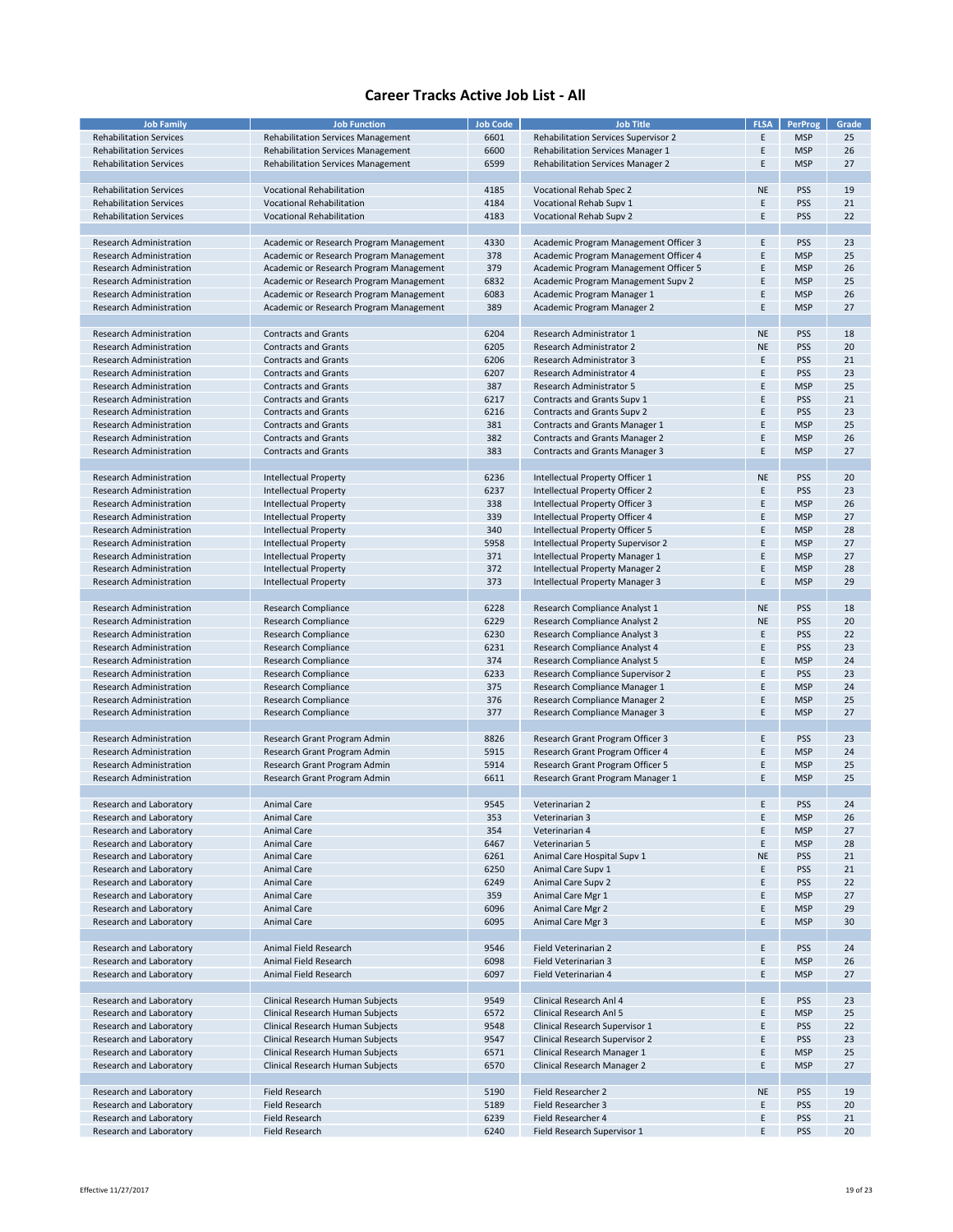| <b>Job Family</b>              | <b>Job Function</b>                       | <b>Job Code</b> | <b>Job Title</b>                            | <b>FLSA</b> | <b>PerProg</b> | Grade |
|--------------------------------|-------------------------------------------|-----------------|---------------------------------------------|-------------|----------------|-------|
|                                |                                           |                 |                                             |             |                |       |
| <b>Rehabilitation Services</b> | <b>Rehabilitation Services Management</b> | 6601            | <b>Rehabilitation Services Supervisor 2</b> | Ε           | <b>MSP</b>     | 25    |
| <b>Rehabilitation Services</b> | <b>Rehabilitation Services Management</b> | 6600            | <b>Rehabilitation Services Manager 1</b>    | Ε           | <b>MSP</b>     | 26    |
| <b>Rehabilitation Services</b> | <b>Rehabilitation Services Management</b> | 6599            | <b>Rehabilitation Services Manager 2</b>    | E           | <b>MSP</b>     | 27    |
|                                |                                           |                 |                                             |             |                |       |
|                                |                                           |                 |                                             |             |                |       |
| <b>Rehabilitation Services</b> | <b>Vocational Rehabilitation</b>          | 4185            | Vocational Rehab Spec 2                     | <b>NE</b>   | <b>PSS</b>     | 19    |
| <b>Rehabilitation Services</b> | <b>Vocational Rehabilitation</b>          | 4184            | Vocational Rehab Supv 1                     | E           | <b>PSS</b>     | 21    |
| <b>Rehabilitation Services</b> | <b>Vocational Rehabilitation</b>          | 4183            | Vocational Rehab Supv 2                     | E           | <b>PSS</b>     | 22    |
|                                |                                           |                 |                                             |             |                |       |
|                                |                                           |                 |                                             |             |                |       |
| <b>Research Administration</b> | Academic or Research Program Management   | 4330            | Academic Program Management Officer 3       | E           | <b>PSS</b>     | 23    |
| <b>Research Administration</b> | Academic or Research Program Management   | 378             | Academic Program Management Officer 4       | F           | <b>MSP</b>     | 25    |
| <b>Research Administration</b> | Academic or Research Program Management   | 379             | Academic Program Management Officer 5       | Ε           | <b>MSP</b>     | 26    |
| <b>Research Administration</b> | Academic or Research Program Management   | 6832            | Academic Program Management Supv 2          | Ε           | <b>MSP</b>     | 25    |
|                                |                                           |                 |                                             |             |                |       |
| <b>Research Administration</b> | Academic or Research Program Management   | 6083            | Academic Program Manager 1                  | E           | <b>MSP</b>     | 26    |
| <b>Research Administration</b> | Academic or Research Program Management   | 389             | Academic Program Manager 2                  | E           | <b>MSP</b>     | 27    |
|                                |                                           |                 |                                             |             |                |       |
| <b>Research Administration</b> | <b>Contracts and Grants</b>               |                 |                                             | <b>NE</b>   |                | 18    |
|                                |                                           | 6204            | Research Administrator 1                    |             | <b>PSS</b>     |       |
| <b>Research Administration</b> | <b>Contracts and Grants</b>               | 6205            | Research Administrator 2                    | <b>NE</b>   | <b>PSS</b>     | 20    |
| <b>Research Administration</b> | <b>Contracts and Grants</b>               | 6206            | Research Administrator 3                    | E           | <b>PSS</b>     | 21    |
| <b>Research Administration</b> | <b>Contracts and Grants</b>               | 6207            | Research Administrator 4                    | E           | <b>PSS</b>     | 23    |
|                                |                                           |                 |                                             |             |                |       |
| <b>Research Administration</b> | <b>Contracts and Grants</b>               | 387             | Research Administrator 5                    | F           | <b>MSP</b>     | 25    |
| <b>Research Administration</b> | <b>Contracts and Grants</b>               | 6217            | Contracts and Grants Supv 1                 | E           | <b>PSS</b>     | 21    |
| <b>Research Administration</b> | <b>Contracts and Grants</b>               | 6216            | Contracts and Grants Supv 2                 | Ε           | <b>PSS</b>     | 23    |
| <b>Research Administration</b> | <b>Contracts and Grants</b>               | 381             | Contracts and Grants Manager 1              | F           | <b>MSP</b>     | 25    |
|                                |                                           |                 |                                             |             |                |       |
| <b>Research Administration</b> | <b>Contracts and Grants</b>               | 382             | Contracts and Grants Manager 2              | E           | <b>MSP</b>     | 26    |
| <b>Research Administration</b> | <b>Contracts and Grants</b>               | 383             | Contracts and Grants Manager 3              | E           | <b>MSP</b>     | 27    |
|                                |                                           |                 |                                             |             |                |       |
| <b>Research Administration</b> |                                           | 6236            |                                             | <b>NE</b>   | <b>PSS</b>     | 20    |
|                                | <b>Intellectual Property</b>              |                 | Intellectual Property Officer 1             |             |                |       |
| <b>Research Administration</b> | <b>Intellectual Property</b>              | 6237            | Intellectual Property Officer 2             | E           | <b>PSS</b>     | 23    |
| <b>Research Administration</b> | <b>Intellectual Property</b>              | 338             | Intellectual Property Officer 3             | E           | <b>MSP</b>     | 26    |
| <b>Research Administration</b> | Intellectual Property                     | 339             | Intellectual Property Officer 4             | F           | <b>MSP</b>     | 27    |
|                                |                                           |                 |                                             |             |                |       |
| Research Administration        | <b>Intellectual Property</b>              | 340             | Intellectual Property Officer 5             | E           | <b>MSP</b>     | 28    |
| <b>Research Administration</b> | <b>Intellectual Property</b>              | 5958            | Intellectual Property Supervisor 2          | Ε           | <b>MSP</b>     | 27    |
| <b>Research Administration</b> | Intellectual Property                     | 371             | Intellectual Property Manager 1             | F           | <b>MSP</b>     | 27    |
| <b>Research Administration</b> | Intellectual Property                     | 372             | Intellectual Property Manager 2             | E           | <b>MSP</b>     | 28    |
|                                |                                           |                 |                                             |             |                |       |
| <b>Research Administration</b> | Intellectual Property                     | 373             | Intellectual Property Manager 3             | E           | <b>MSP</b>     | 29    |
|                                |                                           |                 |                                             |             |                |       |
| <b>Research Administration</b> | Research Compliance                       | 6228            | Research Compliance Analyst 1               | <b>NE</b>   | <b>PSS</b>     | 18    |
| <b>Research Administration</b> | Research Compliance                       | 6229            | Research Compliance Analyst 2               | <b>NE</b>   | <b>PSS</b>     | 20    |
|                                |                                           |                 |                                             |             |                |       |
| <b>Research Administration</b> | Research Compliance                       | 6230            | Research Compliance Analyst 3               | E           | <b>PSS</b>     | 22    |
| <b>Research Administration</b> | Research Compliance                       | 6231            | Research Compliance Analyst 4               | E           | <b>PSS</b>     | 23    |
| <b>Research Administration</b> | Research Compliance                       | 374             | Research Compliance Analyst 5               | Ε           | <b>MSP</b>     | 24    |
|                                |                                           |                 |                                             |             |                | 23    |
| <b>Research Administration</b> | Research Compliance                       | 6233            | Research Compliance Supervisor 2            | E           | <b>PSS</b>     |       |
| <b>Research Administration</b> | Research Compliance                       | 375             | Research Compliance Manager 1               | F           | <b>MSP</b>     | 24    |
| <b>Research Administration</b> | Research Compliance                       | 376             | Research Compliance Manager 2               | E           | <b>MSP</b>     | 25    |
| <b>Research Administration</b> | Research Compliance                       | 377             | Research Compliance Manager 3               | E           | <b>MSP</b>     | 27    |
|                                |                                           |                 |                                             |             |                |       |
|                                |                                           |                 |                                             |             |                |       |
| <b>Research Administration</b> | Research Grant Program Admin              | 8826            | Research Grant Program Officer 3            | Ε           | <b>PSS</b>     | 23    |
| <b>Research Administration</b> | Research Grant Program Admin              | 5915            | Research Grant Program Officer 4            | F           | <b>MSP</b>     | 24    |
| <b>Research Administration</b> | Research Grant Program Admin              | 5914            | Research Grant Program Officer 5            | E           | <b>MSP</b>     | 25    |
|                                |                                           |                 |                                             |             |                |       |
| <b>Research Administration</b> | Research Grant Program Admin              | 6611            | Research Grant Program Manager 1            | E           | <b>MSP</b>     | 25    |
|                                |                                           |                 |                                             |             |                |       |
| Research and Laboratory        | <b>Animal Care</b>                        | 9545            | Veterinarian 2                              | E           | <b>PSS</b>     | 24    |
|                                | Animal Care                               |                 |                                             | E           | <b>MSP</b>     | 26    |
| Research and Laboratory        |                                           | 353             | Veterinarian 3                              |             |                |       |
| Research and Laboratory        | <b>Animal Care</b>                        | 354             | Veterinarian 4                              | Ε           | <b>MSP</b>     | 27    |
| Research and Laboratory        | Animal Care                               | 6467            | Veterinarian 5                              | E           | <b>MSP</b>     | 28    |
| Research and Laboratory        | Animal Care                               | 6261            | Animal Care Hospital Supv 1                 | <b>NE</b>   | <b>PSS</b>     | 21    |
| Research and Laboratory        | Animal Care                               | 6250            | Animal Care Supv 1                          | Ε           | <b>PSS</b>     | 21    |
|                                |                                           |                 |                                             |             |                |       |
| Research and Laboratory        | Animal Care                               | 6249            | Animal Care Supv 2                          | E           | <b>PSS</b>     | 22    |
| Research and Laboratory        | Animal Care                               | 359             | Animal Care Mgr 1                           | E           | <b>MSP</b>     | 27    |
| Research and Laboratory        | Animal Care                               | 6096            | Animal Care Mgr 2                           | E           | <b>MSP</b>     | 29    |
| Research and Laboratory        | Animal Care                               | 6095            | Animal Care Mgr 3                           | Ε           | <b>MSP</b>     | 30    |
|                                |                                           |                 |                                             |             |                |       |
|                                |                                           |                 |                                             |             |                |       |
| Research and Laboratory        | Animal Field Research                     | 9546            | Field Veterinarian 2                        | E           | <b>PSS</b>     | 24    |
| Research and Laboratory        | Animal Field Research                     | 6098            | Field Veterinarian 3                        | Ε           | <b>MSP</b>     | 26    |
| Research and Laboratory        | Animal Field Research                     | 6097            | Field Veterinarian 4                        | E           | <b>MSP</b>     | 27    |
|                                |                                           |                 |                                             |             |                |       |
|                                |                                           |                 |                                             |             |                |       |
| Research and Laboratory        | Clinical Research Human Subjects          | 9549            | Clinical Research Anl 4                     | Ε           | <b>PSS</b>     | 23    |
| Research and Laboratory        | Clinical Research Human Subjects          | 6572            | Clinical Research Anl 5                     | E           | <b>MSP</b>     | 25    |
| Research and Laboratory        | Clinical Research Human Subjects          | 9548            | Clinical Research Supervisor 1              | E           | <b>PSS</b>     | 22    |
|                                |                                           |                 |                                             |             |                |       |
| Research and Laboratory        | Clinical Research Human Subjects          | 9547            | Clinical Research Supervisor 2              | E           | <b>PSS</b>     | 23    |
| Research and Laboratory        | Clinical Research Human Subjects          | 6571            | Clinical Research Manager 1                 | Ε           | <b>MSP</b>     | 25    |
| Research and Laboratory        | Clinical Research Human Subjects          | 6570            | Clinical Research Manager 2                 | Ε           | <b>MSP</b>     | 27    |
|                                |                                           |                 |                                             |             |                |       |
|                                |                                           |                 |                                             |             |                |       |
| Research and Laboratory        | <b>Field Research</b>                     | 5190            | Field Researcher 2                          | <b>NE</b>   | PSS            | 19    |
| Research and Laboratory        | <b>Field Research</b>                     | 5189            | Field Researcher 3                          | E           | <b>PSS</b>     | 20    |
| Research and Laboratory        | <b>Field Research</b>                     | 6239            | Field Researcher 4                          | Ε           | <b>PSS</b>     | 21    |
| Research and Laboratory        | <b>Field Research</b>                     | 6240            | Field Research Supervisor 1                 | Ε           | <b>PSS</b>     | 20    |
|                                |                                           |                 |                                             |             |                |       |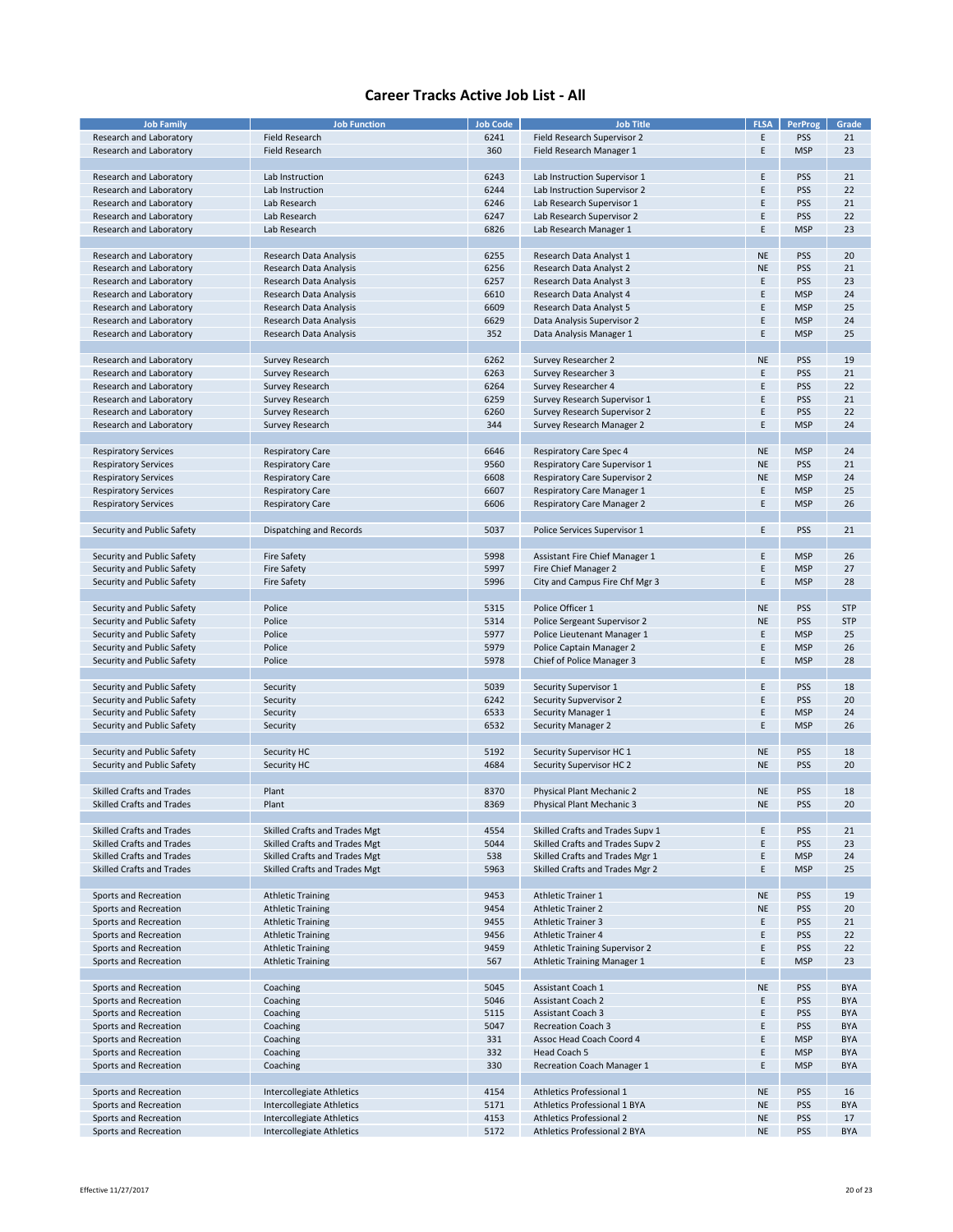| <b>Job Family</b>                | <b>Job Function</b>           | <b>Job Code</b> | <b>Job Title</b>                      | <b>FLSA</b> | <b>PerProg</b> | Grade      |
|----------------------------------|-------------------------------|-----------------|---------------------------------------|-------------|----------------|------------|
| Research and Laboratory          | <b>Field Research</b>         | 6241            | Field Research Supervisor 2           | E           | <b>PSS</b>     | 21         |
|                                  |                               |                 |                                       |             |                |            |
| Research and Laboratory          | <b>Field Research</b>         | 360             | Field Research Manager 1              | E           | <b>MSP</b>     | 23         |
|                                  |                               |                 |                                       |             |                |            |
| Research and Laboratory          | Lab Instruction               | 6243            | Lab Instruction Supervisor 1          | E           | <b>PSS</b>     | 21         |
| Research and Laboratory          | Lab Instruction               | 6244            | Lab Instruction Supervisor 2          | E           | <b>PSS</b>     | 22         |
| Research and Laboratory          | Lab Research                  | 6246            | Lab Research Supervisor 1             | E           | <b>PSS</b>     | 21         |
| Research and Laboratory          | Lab Research                  | 6247            | Lab Research Supervisor 2             | E           | <b>PSS</b>     | 22         |
| Research and Laboratory          |                               | 6826            |                                       | E           | <b>MSP</b>     | 23         |
|                                  | Lab Research                  |                 | Lab Research Manager 1                |             |                |            |
|                                  |                               |                 |                                       |             |                |            |
| Research and Laboratory          | Research Data Analysis        | 6255            | Research Data Analyst 1               | <b>NE</b>   | <b>PSS</b>     | 20         |
| Research and Laboratory          | Research Data Analysis        | 6256            | Research Data Analyst 2               | <b>NE</b>   | <b>PSS</b>     | 21         |
| Research and Laboratory          | Research Data Analysis        | 6257            | Research Data Analyst 3               | E           | <b>PSS</b>     | 23         |
| Research and Laboratory          | Research Data Analysis        | 6610            | Research Data Analyst 4               | E           | <b>MSP</b>     | 24         |
| Research and Laboratory          | Research Data Analysis        | 6609            | Research Data Analyst 5               | E           | <b>MSP</b>     | 25         |
| Research and Laboratory          | Research Data Analysis        | 6629            | Data Analysis Supervisor 2            | E           | <b>MSP</b>     | 24         |
|                                  |                               | 352             |                                       | E           | <b>MSP</b>     | 25         |
| Research and Laboratory          | Research Data Analysis        |                 | Data Analysis Manager 1               |             |                |            |
|                                  |                               |                 |                                       |             |                |            |
| Research and Laboratory          | Survey Research               | 6262            | Survey Researcher 2                   | <b>NE</b>   | <b>PSS</b>     | 19         |
| Research and Laboratory          | <b>Survey Research</b>        | 6263            | Survey Researcher 3                   | E           | <b>PSS</b>     | 21         |
| Research and Laboratory          | Survey Research               | 6264            | Survey Researcher 4                   | F           | <b>PSS</b>     | 22         |
| Research and Laboratory          | Survey Research               | 6259            | Survey Research Supervisor 1          | E           | <b>PSS</b>     | 21         |
| Research and Laboratory          | Survey Research               | 6260            | Survey Research Supervisor 2          | E           | <b>PSS</b>     | 22         |
| Research and Laboratory          | Survey Research               | 344             | Survey Research Manager 2             | E           | <b>MSP</b>     | 24         |
|                                  |                               |                 |                                       |             |                |            |
|                                  |                               |                 |                                       |             |                |            |
| <b>Respiratory Services</b>      | <b>Respiratory Care</b>       | 6646            | <b>Respiratory Care Spec 4</b>        | <b>NE</b>   | <b>MSP</b>     | 24         |
| <b>Respiratory Services</b>      | <b>Respiratory Care</b>       | 9560            | <b>Respiratory Care Supervisor 1</b>  | <b>NE</b>   | <b>PSS</b>     | 21         |
| <b>Respiratory Services</b>      | <b>Respiratory Care</b>       | 6608            | <b>Respiratory Care Supervisor 2</b>  | <b>NE</b>   | <b>MSP</b>     | 24         |
| <b>Respiratory Services</b>      | <b>Respiratory Care</b>       | 6607            | <b>Respiratory Care Manager 1</b>     | Ε           | <b>MSP</b>     | 25         |
| <b>Respiratory Services</b>      | <b>Respiratory Care</b>       | 6606            | <b>Respiratory Care Manager 2</b>     | Ε           | <b>MSP</b>     | 26         |
|                                  |                               |                 |                                       |             |                |            |
| Security and Public Safety       | Dispatching and Records       | 5037            | Police Services Supervisor 1          | E           | <b>PSS</b>     | 21         |
|                                  |                               |                 |                                       |             |                |            |
|                                  |                               |                 |                                       |             |                |            |
| Security and Public Safety       | <b>Fire Safety</b>            | 5998            | Assistant Fire Chief Manager 1        | Ε           | <b>MSP</b>     | 26         |
| Security and Public Safety       | <b>Fire Safety</b>            | 5997            | Fire Chief Manager 2                  | E           | <b>MSP</b>     | 27         |
| Security and Public Safety       | <b>Fire Safety</b>            | 5996            | City and Campus Fire Chf Mgr 3        | E           | <b>MSP</b>     | 28         |
|                                  |                               |                 |                                       |             |                |            |
| Security and Public Safety       | Police                        | 5315            | Police Officer 1                      | <b>NE</b>   | <b>PSS</b>     | <b>STP</b> |
| Security and Public Safety       | Police                        | 5314            | Police Sergeant Supervisor 2          | <b>NE</b>   | <b>PSS</b>     | <b>STP</b> |
| Security and Public Safety       | Police                        | 5977            | Police Lieutenant Manager 1           | E           | <b>MSP</b>     | 25         |
| Security and Public Safety       | Police                        | 5979            | Police Captain Manager 2              | E           | <b>MSP</b>     | 26         |
|                                  |                               |                 |                                       |             |                |            |
| Security and Public Safety       | Police                        | 5978            | Chief of Police Manager 3             | E           | <b>MSP</b>     | 28         |
|                                  |                               |                 |                                       |             |                |            |
| Security and Public Safety       | Security                      | 5039            | Security Supervisor 1                 | E           | <b>PSS</b>     | 18         |
| Security and Public Safety       | Security                      | 6242            | Security Supvervisor 2                | E           | <b>PSS</b>     | 20         |
| Security and Public Safety       | Security                      | 6533            | Security Manager 1                    | E           | <b>MSP</b>     | 24         |
| Security and Public Safety       | Security                      | 6532            | <b>Security Manager 2</b>             | Ε           | <b>MSP</b>     | 26         |
|                                  |                               |                 |                                       |             |                |            |
| Security and Public Safety       | Security HC                   | 5192            | Security Supervisor HC 1              | <b>NE</b>   | <b>PSS</b>     | 18         |
| Security and Public Safety       | Security HC                   | 4684            | Security Supervisor HC 2              | NE          | <b>PSS</b>     | 20         |
|                                  |                               |                 |                                       |             |                |            |
|                                  |                               |                 |                                       |             |                |            |
| <b>Skilled Crafts and Trades</b> | Plant                         | 8370            | Physical Plant Mechanic 2             | <b>NE</b>   | <b>PSS</b>     | 18         |
| <b>Skilled Crafts and Trades</b> | Plant                         | 8369            | Physical Plant Mechanic 3             | <b>NE</b>   | <b>PSS</b>     | 20         |
|                                  |                               |                 |                                       |             |                |            |
| Skilled Crafts and Trades        | Skilled Crafts and Trades Mgt | 4554            | Skilled Crafts and Trades Supv 1      | Ε           | <b>PSS</b>     | 21         |
| <b>Skilled Crafts and Trades</b> | Skilled Crafts and Trades Mgt | 5044            | Skilled Crafts and Trades Supv 2      | E           | <b>PSS</b>     | 23         |
| Skilled Crafts and Trades        | Skilled Crafts and Trades Mgt | 538             | Skilled Crafts and Trades Mgr 1       | E           | <b>MSP</b>     | 24         |
| Skilled Crafts and Trades        | Skilled Crafts and Trades Mgt | 5963            | Skilled Crafts and Trades Mgr 2       | E           | <b>MSP</b>     | 25         |
|                                  |                               |                 |                                       |             |                |            |
| Sports and Recreation            | <b>Athletic Training</b>      | 9453            | <b>Athletic Trainer 1</b>             | <b>NE</b>   | <b>PSS</b>     | 19         |
| Sports and Recreation            | <b>Athletic Training</b>      | 9454            | <b>Athletic Trainer 2</b>             | <b>NE</b>   | <b>PSS</b>     | 20         |
|                                  |                               |                 |                                       |             |                |            |
| Sports and Recreation            | <b>Athletic Training</b>      | 9455            | <b>Athletic Trainer 3</b>             | Ε           | <b>PSS</b>     | 21         |
| Sports and Recreation            | <b>Athletic Training</b>      | 9456            | <b>Athletic Trainer 4</b>             | E           | <b>PSS</b>     | 22         |
| Sports and Recreation            | <b>Athletic Training</b>      | 9459            | <b>Athletic Training Supervisor 2</b> | E           | <b>PSS</b>     | 22         |
| Sports and Recreation            | <b>Athletic Training</b>      | 567             | <b>Athletic Training Manager 1</b>    | E           | <b>MSP</b>     | 23         |
|                                  |                               |                 |                                       |             |                |            |
| Sports and Recreation            | Coaching                      | 5045            | Assistant Coach 1                     | <b>NE</b>   | <b>PSS</b>     | <b>BYA</b> |
| Sports and Recreation            | Coaching                      | 5046            | <b>Assistant Coach 2</b>              | E           | <b>PSS</b>     | <b>BYA</b> |
| Sports and Recreation            | Coaching                      | 5115            | Assistant Coach 3                     | E           | <b>PSS</b>     | <b>BYA</b> |
| Sports and Recreation            | Coaching                      | 5047            | <b>Recreation Coach 3</b>             | Ε           | <b>PSS</b>     | <b>BYA</b> |
|                                  |                               |                 |                                       |             |                |            |
| Sports and Recreation            | Coaching                      | 331             | Assoc Head Coach Coord 4              | E           | <b>MSP</b>     | <b>BYA</b> |
| Sports and Recreation            | Coaching                      | 332             | Head Coach 5                          | E           | <b>MSP</b>     | <b>BYA</b> |
| Sports and Recreation            | Coaching                      | 330             | Recreation Coach Manager 1            | E           | <b>MSP</b>     | <b>BYA</b> |
|                                  |                               |                 |                                       |             |                |            |
| Sports and Recreation            | Intercollegiate Athletics     | 4154            | Athletics Professional 1              | <b>NE</b>   | <b>PSS</b>     | 16         |
| Sports and Recreation            | Intercollegiate Athletics     | 5171            | Athletics Professional 1 BYA          | <b>NE</b>   | PSS            | <b>BYA</b> |
| Sports and Recreation            | Intercollegiate Athletics     | 4153            | <b>Athletics Professional 2</b>       | <b>NE</b>   | <b>PSS</b>     | 17         |
| Sports and Recreation            | Intercollegiate Athletics     | 5172            | Athletics Professional 2 BYA          | <b>NE</b>   | PSS            | <b>BYA</b> |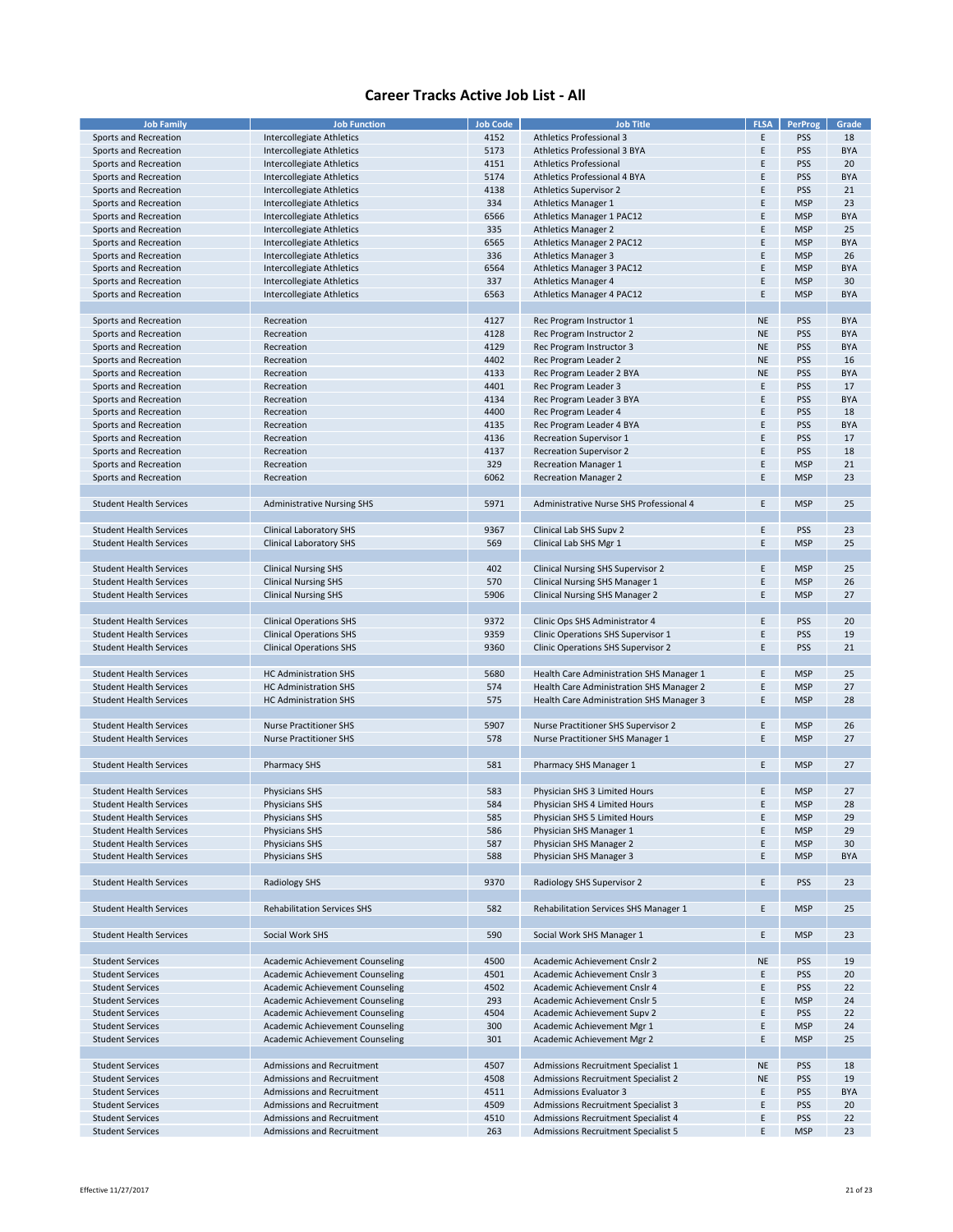| <b>Job Family</b>              | <b>Job Function</b>                | <b>Job Code</b> | <b>Job Title</b>                         | <b>FLSA</b> | PerProg    | Grade      |
|--------------------------------|------------------------------------|-----------------|------------------------------------------|-------------|------------|------------|
| Sports and Recreation          | Intercollegiate Athletics          | 4152            | <b>Athletics Professional 3</b>          | E           | PSS        | 18         |
| Sports and Recreation          | Intercollegiate Athletics          | 5173            | Athletics Professional 3 BYA             | E           | PSS        | <b>BYA</b> |
|                                |                                    |                 |                                          |             |            |            |
| Sports and Recreation          | Intercollegiate Athletics          | 4151            | <b>Athletics Professional</b>            | E           | PSS        | 20         |
| Sports and Recreation          | Intercollegiate Athletics          | 5174            | Athletics Professional 4 BYA             | E           | <b>PSS</b> | <b>BYA</b> |
|                                |                                    |                 |                                          | E           |            |            |
| Sports and Recreation          | Intercollegiate Athletics          | 4138            | <b>Athletics Supervisor 2</b>            |             | PSS        | 21         |
| Sports and Recreation          | <b>Intercollegiate Athletics</b>   | 334             | <b>Athletics Manager 1</b>               | E           | <b>MSP</b> | 23         |
| Sports and Recreation          | Intercollegiate Athletics          | 6566            | <b>Athletics Manager 1 PAC12</b>         | E           | <b>MSP</b> | <b>BYA</b> |
|                                |                                    |                 |                                          |             |            |            |
| Sports and Recreation          | Intercollegiate Athletics          | 335             | <b>Athletics Manager 2</b>               | E           | <b>MSP</b> | 25         |
| Sports and Recreation          | Intercollegiate Athletics          | 6565            | Athletics Manager 2 PAC12                | E           | <b>MSP</b> | <b>BYA</b> |
|                                |                                    |                 |                                          |             |            |            |
| Sports and Recreation          | Intercollegiate Athletics          | 336             | <b>Athletics Manager 3</b>               | E           | <b>MSP</b> | 26         |
| Sports and Recreation          | Intercollegiate Athletics          | 6564            | <b>Athletics Manager 3 PAC12</b>         | E           | <b>MSP</b> | <b>BYA</b> |
| Sports and Recreation          | Intercollegiate Athletics          | 337             |                                          | E           | <b>MSP</b> | 30         |
|                                |                                    |                 | <b>Athletics Manager 4</b>               |             |            |            |
| Sports and Recreation          | <b>Intercollegiate Athletics</b>   | 6563            | <b>Athletics Manager 4 PAC12</b>         | E           | <b>MSP</b> | <b>BYA</b> |
|                                |                                    |                 |                                          |             |            |            |
|                                |                                    |                 |                                          |             |            |            |
| Sports and Recreation          | Recreation                         | 4127            | Rec Program Instructor 1                 | <b>NE</b>   | <b>PSS</b> | <b>BYA</b> |
| Sports and Recreation          | Recreation                         | 4128            | Rec Program Instructor 2                 | <b>NE</b>   | PSS        | <b>BYA</b> |
|                                |                                    |                 |                                          |             |            |            |
| Sports and Recreation          | Recreation                         | 4129            | Rec Program Instructor 3                 | <b>NE</b>   | PSS        | <b>BYA</b> |
| Sports and Recreation          | Recreation                         | 4402            | Rec Program Leader 2                     | <b>NE</b>   | PSS        | 16         |
| Sports and Recreation          | Recreation                         | 4133            | Rec Program Leader 2 BYA                 | <b>NE</b>   | <b>PSS</b> | <b>BYA</b> |
|                                |                                    |                 |                                          |             |            |            |
| Sports and Recreation          | Recreation                         | 4401            | Rec Program Leader 3                     | E           | PSS        | 17         |
| Sports and Recreation          | Recreation                         | 4134            | Rec Program Leader 3 BYA                 | E           | PSS        | <b>BYA</b> |
|                                |                                    |                 |                                          |             |            |            |
| Sports and Recreation          | Recreation                         | 4400            | Rec Program Leader 4                     | E           | PSS        | 18         |
| Sports and Recreation          | Recreation                         | 4135            | Rec Program Leader 4 BYA                 | E           | PSS        | <b>BYA</b> |
| Sports and Recreation          | Recreation                         | 4136            |                                          | Ε           | <b>PSS</b> | 17         |
|                                |                                    |                 | <b>Recreation Supervisor 1</b>           |             |            |            |
| Sports and Recreation          | Recreation                         | 4137            | <b>Recreation Supervisor 2</b>           | E           | PSS        | 18         |
| Sports and Recreation          | Recreation                         | 329             | <b>Recreation Manager 1</b>              | E           | <b>MSP</b> | 21         |
|                                |                                    |                 |                                          |             |            |            |
| Sports and Recreation          | Recreation                         | 6062            | <b>Recreation Manager 2</b>              | E           | <b>MSP</b> | 23         |
|                                |                                    |                 |                                          |             |            |            |
|                                |                                    |                 |                                          |             |            |            |
| <b>Student Health Services</b> | <b>Administrative Nursing SHS</b>  | 5971            | Administrative Nurse SHS Professional 4  | Ε           | <b>MSP</b> | 25         |
|                                |                                    |                 |                                          |             |            |            |
|                                |                                    |                 |                                          |             |            |            |
| <b>Student Health Services</b> | <b>Clinical Laboratory SHS</b>     | 9367            | Clinical Lab SHS Supv 2                  | E           | PSS        | 23         |
| <b>Student Health Services</b> | <b>Clinical Laboratory SHS</b>     | 569             | Clinical Lab SHS Mgr 1                   | E           | <b>MSP</b> | 25         |
|                                |                                    |                 |                                          |             |            |            |
|                                |                                    |                 |                                          |             |            |            |
| <b>Student Health Services</b> | <b>Clinical Nursing SHS</b>        | 402             | <b>Clinical Nursing SHS Supervisor 2</b> | Ε           | <b>MSP</b> | 25         |
| <b>Student Health Services</b> | <b>Clinical Nursing SHS</b>        | 570             | Clinical Nursing SHS Manager 1           | E           | <b>MSP</b> | 26         |
|                                |                                    |                 |                                          |             |            |            |
| <b>Student Health Services</b> | <b>Clinical Nursing SHS</b>        | 5906            | <b>Clinical Nursing SHS Manager 2</b>    | E           | <b>MSP</b> | 27         |
|                                |                                    |                 |                                          |             |            |            |
|                                |                                    |                 |                                          |             |            |            |
| <b>Student Health Services</b> | <b>Clinical Operations SHS</b>     | 9372            | Clinic Ops SHS Administrator 4           | E           | PSS        | 20         |
| <b>Student Health Services</b> | <b>Clinical Operations SHS</b>     | 9359            | Clinic Operations SHS Supervisor 1       | Ε           | <b>PSS</b> | 19         |
| <b>Student Health Services</b> | <b>Clinical Operations SHS</b>     | 9360            | Clinic Operations SHS Supervisor 2       | E           | <b>PSS</b> | 21         |
|                                |                                    |                 |                                          |             |            |            |
|                                |                                    |                 |                                          |             |            |            |
| <b>Student Health Services</b> | <b>HC Administration SHS</b>       | 5680            | Health Care Administration SHS Manager 1 | Ε           | <b>MSP</b> | 25         |
|                                |                                    |                 |                                          |             |            |            |
| <b>Student Health Services</b> | <b>HC Administration SHS</b>       | 574             | Health Care Administration SHS Manager 2 | E           | <b>MSP</b> | 27         |
| <b>Student Health Services</b> | <b>HC Administration SHS</b>       | 575             | Health Care Administration SHS Manager 3 | E           | <b>MSP</b> | 28         |
|                                |                                    |                 |                                          |             |            |            |
|                                |                                    |                 |                                          |             |            |            |
| <b>Student Health Services</b> | <b>Nurse Practitioner SHS</b>      | 5907            | Nurse Practitioner SHS Supervisor 2      | E           | <b>MSP</b> | 26         |
| <b>Student Health Services</b> | <b>Nurse Practitioner SHS</b>      | 578             | Nurse Practitioner SHS Manager 1         | E           | <b>MSP</b> | 27         |
|                                |                                    |                 |                                          |             |            |            |
|                                |                                    |                 |                                          |             |            |            |
| <b>Student Health Services</b> | <b>Pharmacy SHS</b>                | 581             | Pharmacy SHS Manager 1                   | Ε           | <b>MSP</b> | 27         |
|                                |                                    |                 |                                          |             |            |            |
|                                |                                    |                 |                                          |             |            |            |
| <b>Student Health Services</b> | <b>Physicians SHS</b>              | 583             | Physician SHS 3 Limited Hours            | E           | <b>MSP</b> | 27         |
| <b>Student Health Services</b> | <b>Physicians SHS</b>              | 584             | Physician SHS 4 Limited Hours            | E           | <b>MSP</b> | 28         |
|                                |                                    |                 |                                          |             |            |            |
| <b>Student Health Services</b> | Physicians SHS                     | 585             | Physician SHS 5 Limited Hours            | Ε           | <b>MSP</b> | 29         |
| <b>Student Health Services</b> | Physicians SHS                     | 586             | Physician SHS Manager 1                  | E           | <b>MSP</b> | 29         |
| <b>Student Health Services</b> | <b>Physicians SHS</b>              | 587             | Physician SHS Manager 2                  | E           | <b>MSP</b> | 30         |
|                                |                                    |                 |                                          |             |            |            |
| <b>Student Health Services</b> | <b>Physicians SHS</b>              | 588             | Physician SHS Manager 3                  | E           | <b>MSP</b> | <b>BYA</b> |
|                                |                                    |                 |                                          |             |            |            |
|                                |                                    |                 |                                          |             |            |            |
| <b>Student Health Services</b> | <b>Radiology SHS</b>               | 9370            | Radiology SHS Supervisor 2               | E           | <b>PSS</b> | 23         |
|                                |                                    |                 |                                          |             |            |            |
| <b>Student Health Services</b> | <b>Rehabilitation Services SHS</b> | 582             | Rehabilitation Services SHS Manager 1    | Ε           | <b>MSP</b> | 25         |
|                                |                                    |                 |                                          |             |            |            |
|                                |                                    |                 |                                          |             |            |            |
| <b>Student Health Services</b> | Social Work SHS                    | 590             | Social Work SHS Manager 1                | Ε           | <b>MSP</b> | 23         |
|                                |                                    |                 |                                          |             |            |            |
|                                |                                    |                 |                                          |             |            |            |
| <b>Student Services</b>        | Academic Achievement Counseling    | 4500            | Academic Achievement Cnslr 2             | <b>NE</b>   | <b>PSS</b> | 19         |
|                                |                                    |                 |                                          |             |            |            |
| <b>Student Services</b>        | Academic Achievement Counseling    | 4501            | Academic Achievement Cnslr 3             | Ε           | <b>PSS</b> | 20         |
| <b>Student Services</b>        | Academic Achievement Counseling    | 4502            | Academic Achievement Cnslr 4             | E           | <b>PSS</b> | 22         |
|                                |                                    |                 |                                          |             |            |            |
| <b>Student Services</b>        | Academic Achievement Counseling    | 293             | Academic Achievement Cnslr 5             | Ε           | <b>MSP</b> | 24         |
| <b>Student Services</b>        | Academic Achievement Counseling    | 4504            | Academic Achievement Supv 2              | E           | <b>PSS</b> | 22         |
| <b>Student Services</b>        | Academic Achievement Counseling    | 300             | Academic Achievement Mgr 1               | E           | <b>MSP</b> | 24         |
|                                |                                    |                 |                                          |             |            |            |
| <b>Student Services</b>        | Academic Achievement Counseling    | 301             | Academic Achievement Mgr 2               | E           | <b>MSP</b> | 25         |
|                                |                                    |                 |                                          |             |            |            |
|                                |                                    |                 |                                          |             |            |            |
| <b>Student Services</b>        | Admissions and Recruitment         | 4507            | Admissions Recruitment Specialist 1      | <b>NE</b>   | <b>PSS</b> | 18         |
| <b>Student Services</b>        | Admissions and Recruitment         | 4508            | Admissions Recruitment Specialist 2      | <b>NE</b>   | <b>PSS</b> | 19         |
|                                |                                    |                 |                                          |             |            |            |
| <b>Student Services</b>        | Admissions and Recruitment         | 4511            | <b>Admissions Evaluator 3</b>            | Ε           | <b>PSS</b> | <b>BYA</b> |
| <b>Student Services</b>        | Admissions and Recruitment         | 4509            | Admissions Recruitment Specialist 3      | E           | <b>PSS</b> | 20         |
| <b>Student Services</b>        | Admissions and Recruitment         | 4510            | Admissions Recruitment Specialist 4      | E           | <b>PSS</b> | 22         |
|                                |                                    |                 |                                          |             |            |            |
| <b>Student Services</b>        | Admissions and Recruitment         | 263             | Admissions Recruitment Specialist 5      | F           | <b>MSP</b> | 23         |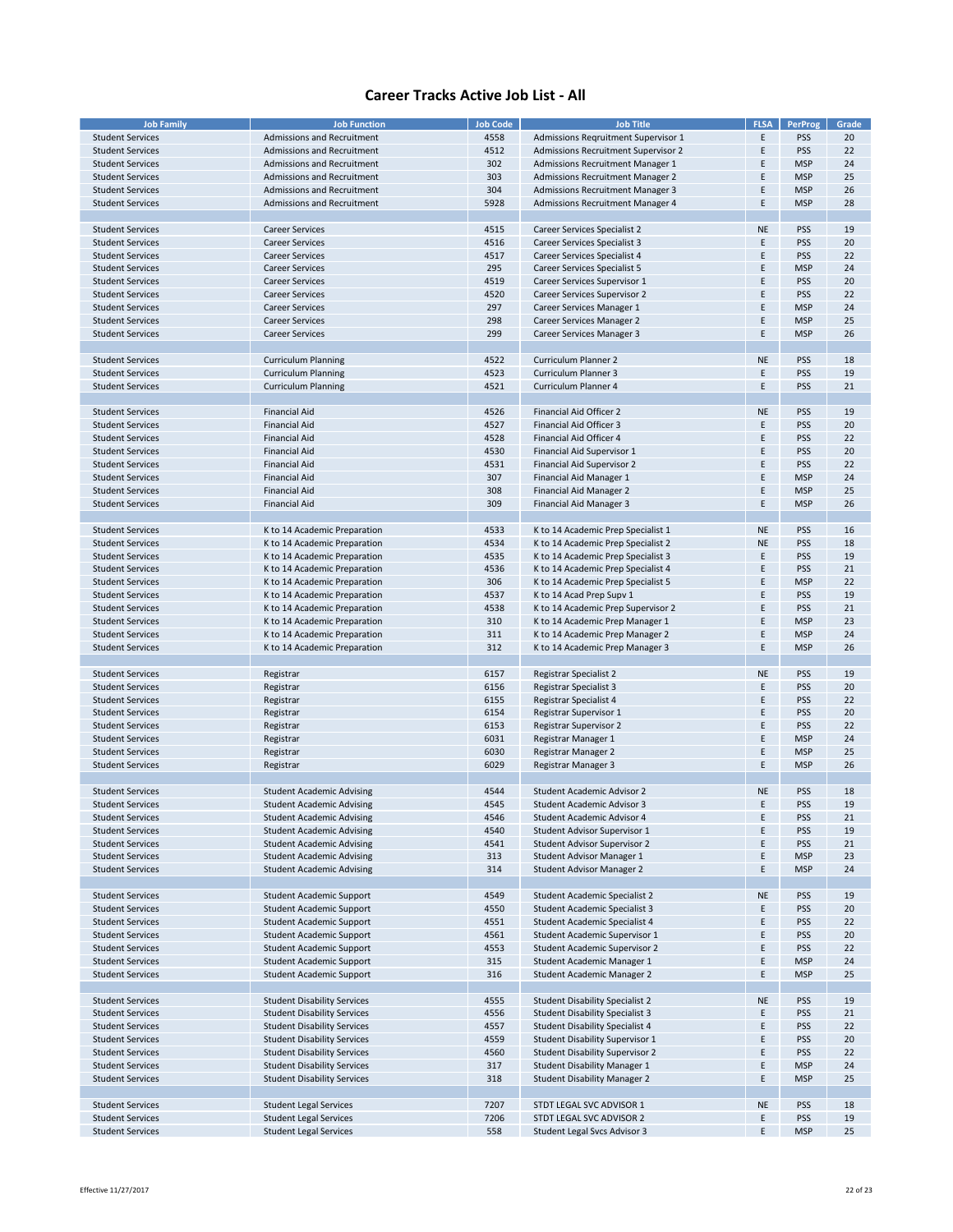| <b>Job Family</b>       | <b>Job Function</b>                | <b>Job Code</b> | <b>Job Title</b>                        | <b>FLSA</b> | <b>PerProg</b> | Grade |
|-------------------------|------------------------------------|-----------------|-----------------------------------------|-------------|----------------|-------|
|                         |                                    |                 |                                         |             |                |       |
| <b>Student Services</b> | Admissions and Recruitment         | 4558            | Admissions Regruitment Supervisor 1     | Ε           | <b>PSS</b>     | 20    |
| <b>Student Services</b> | Admissions and Recruitment         | 4512            | Admissions Recruitment Supervisor 2     | E           | <b>PSS</b>     | 22    |
| <b>Student Services</b> | Admissions and Recruitment         | 302             | Admissions Recruitment Manager 1        | E           | <b>MSP</b>     | 24    |
| <b>Student Services</b> | Admissions and Recruitment         | 303             | Admissions Recruitment Manager 2        | E           | <b>MSP</b>     | 25    |
|                         |                                    |                 |                                         |             |                |       |
| <b>Student Services</b> | Admissions and Recruitment         | 304             | <b>Admissions Recruitment Manager 3</b> | E           | <b>MSP</b>     | 26    |
| <b>Student Services</b> | Admissions and Recruitment         | 5928            | Admissions Recruitment Manager 4        | Ε           | <b>MSP</b>     | 28    |
|                         |                                    |                 |                                         |             |                |       |
| <b>Student Services</b> | <b>Career Services</b>             | 4515            | Career Services Specialist 2            | <b>NE</b>   | <b>PSS</b>     | 19    |
|                         |                                    |                 |                                         |             |                |       |
| <b>Student Services</b> | <b>Career Services</b>             | 4516            | Career Services Specialist 3            | E           | <b>PSS</b>     | 20    |
| <b>Student Services</b> | <b>Career Services</b>             | 4517            | Career Services Specialist 4            | E           | PSS            | 22    |
| <b>Student Services</b> | <b>Career Services</b>             | 295             | Career Services Specialist 5            | Ε           | <b>MSP</b>     | 24    |
| <b>Student Services</b> | <b>Career Services</b>             | 4519            | Career Services Supervisor 1            | E           | <b>PSS</b>     | 20    |
|                         |                                    |                 |                                         |             |                |       |
| <b>Student Services</b> | <b>Career Services</b>             | 4520            | Career Services Supervisor 2            | E           | <b>PSS</b>     | 22    |
| <b>Student Services</b> | <b>Career Services</b>             | 297             | Career Services Manager 1               | E           | <b>MSP</b>     | 24    |
| <b>Student Services</b> | <b>Career Services</b>             | 298             | Career Services Manager 2               | E           | <b>MSP</b>     | 25    |
| <b>Student Services</b> | <b>Career Services</b>             | 299             | Career Services Manager 3               | Ε           | <b>MSP</b>     | 26    |
|                         |                                    |                 |                                         |             |                |       |
|                         |                                    |                 |                                         |             |                |       |
| <b>Student Services</b> | <b>Curriculum Planning</b>         | 4522            | Curriculum Planner 2                    | <b>NE</b>   | <b>PSS</b>     | 18    |
| <b>Student Services</b> | <b>Curriculum Planning</b>         | 4523            | Curriculum Planner 3                    | E           | <b>PSS</b>     | 19    |
| <b>Student Services</b> | <b>Curriculum Planning</b>         | 4521            | Curriculum Planner 4                    | E           | PSS            | 21    |
|                         |                                    |                 |                                         |             |                |       |
|                         |                                    |                 |                                         |             |                |       |
| <b>Student Services</b> | <b>Financial Aid</b>               | 4526            | Financial Aid Officer 2                 | <b>NE</b>   | <b>PSS</b>     | 19    |
| <b>Student Services</b> | <b>Financial Aid</b>               | 4527            | Financial Aid Officer 3                 | Ε           | <b>PSS</b>     | 20    |
| <b>Student Services</b> | <b>Financial Aid</b>               | 4528            | Financial Aid Officer 4                 | E           | <b>PSS</b>     | 22    |
|                         |                                    |                 |                                         |             |                |       |
| <b>Student Services</b> | <b>Financial Aid</b>               | 4530            | Financial Aid Supervisor 1              | E           | <b>PSS</b>     | 20    |
| <b>Student Services</b> | <b>Financial Aid</b>               | 4531            | Financial Aid Supervisor 2              | E           | <b>PSS</b>     | 22    |
| <b>Student Services</b> | <b>Financial Aid</b>               | 307             | Financial Aid Manager 1                 | E           | <b>MSP</b>     | 24    |
| <b>Student Services</b> | <b>Financial Aid</b>               | 308             | Financial Aid Manager 2                 | Ε           | <b>MSP</b>     | 25    |
|                         |                                    |                 |                                         |             |                |       |
| <b>Student Services</b> | <b>Financial Aid</b>               | 309             | Financial Aid Manager 3                 | Ε           | <b>MSP</b>     | 26    |
|                         |                                    |                 |                                         |             |                |       |
| <b>Student Services</b> | K to 14 Academic Preparation       | 4533            | K to 14 Academic Prep Specialist 1      | <b>NE</b>   | <b>PSS</b>     | 16    |
| <b>Student Services</b> | K to 14 Academic Preparation       | 4534            | K to 14 Academic Prep Specialist 2      | <b>NE</b>   | <b>PSS</b>     | 18    |
|                         |                                    |                 |                                         |             |                |       |
| <b>Student Services</b> | K to 14 Academic Preparation       | 4535            | K to 14 Academic Prep Specialist 3      | Ε           | <b>PSS</b>     | 19    |
| <b>Student Services</b> | K to 14 Academic Preparation       | 4536            | K to 14 Academic Prep Specialist 4      | E           | <b>PSS</b>     | 21    |
| <b>Student Services</b> | K to 14 Academic Preparation       | 306             | K to 14 Academic Prep Specialist 5      | E           | <b>MSP</b>     | 22    |
| <b>Student Services</b> | K to 14 Academic Preparation       | 4537            | K to 14 Acad Prep Supv 1                | E           | <b>PSS</b>     | 19    |
|                         |                                    |                 |                                         |             |                |       |
| <b>Student Services</b> | K to 14 Academic Preparation       | 4538            | K to 14 Academic Prep Supervisor 2      | E           | <b>PSS</b>     | 21    |
| <b>Student Services</b> | K to 14 Academic Preparation       | 310             | K to 14 Academic Prep Manager 1         | E           | <b>MSP</b>     | 23    |
| <b>Student Services</b> | K to 14 Academic Preparation       | 311             | K to 14 Academic Prep Manager 2         | E           | <b>MSP</b>     | 24    |
| <b>Student Services</b> | K to 14 Academic Preparation       | 312             | K to 14 Academic Prep Manager 3         | E           | <b>MSP</b>     | 26    |
|                         |                                    |                 |                                         |             |                |       |
|                         |                                    |                 |                                         |             |                |       |
| <b>Student Services</b> | Registrar                          | 6157            | <b>Registrar Specialist 2</b>           | <b>NE</b>   | <b>PSS</b>     | 19    |
| <b>Student Services</b> | Registrar                          | 6156            | Registrar Specialist 3                  | E           | <b>PSS</b>     | 20    |
| <b>Student Services</b> | Registrar                          | 6155            | Registrar Specialist 4                  | E           | <b>PSS</b>     | 22    |
|                         |                                    |                 |                                         |             |                |       |
| <b>Student Services</b> | Registrar                          | 6154            | Registrar Supervisor 1                  | E           | <b>PSS</b>     | 20    |
| <b>Student Services</b> | Registrar                          | 6153            | Registrar Supervisor 2                  | E           | <b>PSS</b>     | 22    |
| <b>Student Services</b> | Registrar                          | 6031            | Registrar Manager 1                     | E           | <b>MSP</b>     | 24    |
| <b>Student Services</b> | Registrar                          | 6030            | Registrar Manager 2                     | Ε           | <b>MSP</b>     | 25    |
| <b>Student Services</b> |                                    | 6029            | Registrar Manager 3                     | Ε           | <b>MSP</b>     | 26    |
|                         | Registrar                          |                 |                                         |             |                |       |
|                         |                                    |                 |                                         |             |                |       |
| <b>Student Services</b> | <b>Student Academic Advising</b>   | 4544            | Student Academic Advisor 2              | <b>NE</b>   | <b>PSS</b>     | 18    |
| <b>Student Services</b> | <b>Student Academic Advising</b>   | 4545            | Student Academic Advisor 3              | E           | <b>PSS</b>     | 19    |
| <b>Student Services</b> | <b>Student Academic Advising</b>   | 4546            | Student Academic Advisor 4              | E           | <b>PSS</b>     | 21    |
|                         |                                    |                 |                                         |             |                |       |
| <b>Student Services</b> | <b>Student Academic Advising</b>   | 4540            | Student Advisor Supervisor 1            | Ε           | <b>PSS</b>     | 19    |
| <b>Student Services</b> | <b>Student Academic Advising</b>   | 4541            | <b>Student Advisor Supervisor 2</b>     | E           | <b>PSS</b>     | 21    |
| <b>Student Services</b> | <b>Student Academic Advising</b>   | 313             | Student Advisor Manager 1               | Ε           | <b>MSP</b>     | 23    |
| <b>Student Services</b> | <b>Student Academic Advising</b>   | 314             | Student Advisor Manager 2               | E           | <b>MSP</b>     | 24    |
|                         |                                    |                 |                                         |             |                |       |
|                         |                                    |                 |                                         |             |                |       |
| <b>Student Services</b> | Student Academic Support           | 4549            | Student Academic Specialist 2           | <b>NE</b>   | <b>PSS</b>     | 19    |
| <b>Student Services</b> | Student Academic Support           | 4550            | <b>Student Academic Specialist 3</b>    | E           | <b>PSS</b>     | 20    |
| <b>Student Services</b> | Student Academic Support           | 4551            | Student Academic Specialist 4           | Ε           | <b>PSS</b>     | 22    |
| <b>Student Services</b> | <b>Student Academic Support</b>    | 4561            | Student Academic Supervisor 1           | E           | <b>PSS</b>     | 20    |
|                         |                                    |                 |                                         |             |                |       |
| <b>Student Services</b> | Student Academic Support           | 4553            | Student Academic Supervisor 2           | Ε           | <b>PSS</b>     | 22    |
| <b>Student Services</b> | Student Academic Support           | 315             | Student Academic Manager 1              | Ε           | <b>MSP</b>     | 24    |
| <b>Student Services</b> | <b>Student Academic Support</b>    | 316             | Student Academic Manager 2              | Ε           | <b>MSP</b>     | 25    |
|                         |                                    |                 |                                         |             |                |       |
|                         |                                    |                 |                                         |             |                |       |
| <b>Student Services</b> | <b>Student Disability Services</b> | 4555            | <b>Student Disability Specialist 2</b>  | <b>NE</b>   | <b>PSS</b>     | 19    |
| <b>Student Services</b> | <b>Student Disability Services</b> | 4556            | <b>Student Disability Specialist 3</b>  | Ε           | <b>PSS</b>     | 21    |
| <b>Student Services</b> | <b>Student Disability Services</b> | 4557            | <b>Student Disability Specialist 4</b>  | Ε           | <b>PSS</b>     | 22    |
| <b>Student Services</b> | <b>Student Disability Services</b> | 4559            | Student Disability Supervisor 1         | E           | <b>PSS</b>     | 20    |
|                         |                                    |                 |                                         |             |                |       |
| <b>Student Services</b> | <b>Student Disability Services</b> | 4560            | Student Disability Supervisor 2         | Ε           | <b>PSS</b>     | 22    |
| <b>Student Services</b> | <b>Student Disability Services</b> | 317             | <b>Student Disability Manager 1</b>     | E           | <b>MSP</b>     | 24    |
| <b>Student Services</b> | <b>Student Disability Services</b> | 318             | <b>Student Disability Manager 2</b>     | Ε           | <b>MSP</b>     | 25    |
|                         |                                    |                 |                                         |             |                |       |
|                         |                                    |                 |                                         |             |                |       |
| <b>Student Services</b> | <b>Student Legal Services</b>      | 7207            | STDT LEGAL SVC ADVISOR 1                | <b>NE</b>   | <b>PSS</b>     | 18    |
| <b>Student Services</b> | <b>Student Legal Services</b>      | 7206            | STDT LEGAL SVC ADVISOR 2                | Ε           | <b>PSS</b>     | 19    |
| <b>Student Services</b> | <b>Student Legal Services</b>      | 558             | Student Legal Svcs Advisor 3            | E           | <b>MSP</b>     | 25    |